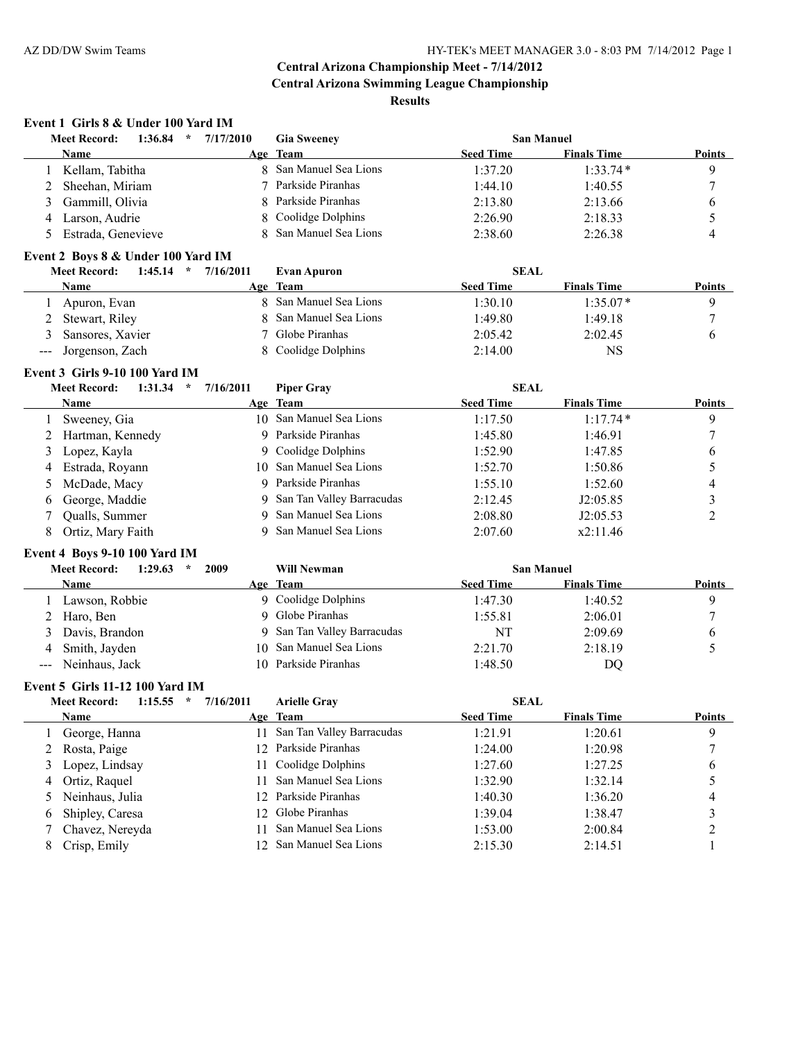# **Event 1 Girls 8 & Under 100 Yard IM**

|   | 1:36.84<br>$\star$<br><b>Meet Record:</b> | 7/17/2010 | <b>Gia Sweeney</b>     |                  | <b>San Manuel</b>  |               |
|---|-------------------------------------------|-----------|------------------------|------------------|--------------------|---------------|
|   | <b>Name</b>                               |           | Age Team               | <b>Seed Time</b> | <b>Finals Time</b> | <b>Points</b> |
|   | Kellam, Tabitha                           |           | 8 San Manuel Sea Lions | 1:37.20          | $1:33.74*$         |               |
|   | 2 Sheehan, Miriam                         |           | Parkside Piranhas      | 1:44.10          | 1:40.55            |               |
|   | 3 Gammill, Olivia                         |           | 8 Parkside Piranhas    | 2:13.80          | 2:13.66            |               |
| 4 | Larson, Audrie                            |           | 8 Coolidge Dolphins    | 2:26.90          | 2:18.33            |               |
|   | Estrada, Genevieve                        |           | 8 San Manuel Sea Lions | 2:38.60          | 2:26.38            |               |

#### **Event 2 Boys 8 & Under 100 Yard IM**

| 1:45.14<br><b>Meet Record:</b><br>$\star$ | 7/16/2011<br><b>Evan Apuron</b> | <b>SEAL</b>                            |               |
|-------------------------------------------|---------------------------------|----------------------------------------|---------------|
| <b>Name</b>                               | Age Team                        | <b>Seed Time</b><br><b>Finals Time</b> | <b>Points</b> |
| Apuron, Evan                              | 8 San Manuel Sea Lions          | $1:35.07*$<br>1:30.10                  |               |
| 2 Stewart, Riley                          | 8 San Manuel Sea Lions          | 1:49.80<br>1:49.18                     |               |
| Sansores, Xavier                          | ' Globe Piranhas                | 2:02.45<br>2:05.42                     |               |
| --- Jorgenson, Zach                       | 8 Coolidge Dolphins             | 2:14.00<br>NS                          |               |

#### **Event 3 Girls 9-10 100 Yard IM**

| 1:31.34<br><b>Meet Record:</b><br>$\star$ | 7/16/2011 | <b>Piper Gray</b>           | <b>SEAL</b>      |                    |               |
|-------------------------------------------|-----------|-----------------------------|------------------|--------------------|---------------|
| <b>Name</b>                               |           | Age Team                    | <b>Seed Time</b> | <b>Finals Time</b> | <b>Points</b> |
| Sweeney, Gia                              |           | 10 San Manuel Sea Lions     | 1:17.50          | $1:17.74*$         | 9             |
| 2 Hartman, Kennedy                        |           | 9 Parkside Piranhas         | 1:45.80          | 1:46.91            |               |
| 3 Lopez, Kayla                            |           | 9 Coolidge Dolphins         | 1:52.90          | 1:47.85            | 6             |
| 4 Estrada, Royann                         |           | 10 San Manuel Sea Lions     | 1:52.70          | 1:50.86            |               |
| 5 McDade, Macy                            |           | 9 Parkside Piranhas         | 1:55.10          | 1:52.60            | 4             |
| 6 George, Maddie                          |           | 9 San Tan Valley Barracudas | 2:12.45          | J2:05.85           |               |
| Qualls, Summer                            |           | 9 San Manuel Sea Lions      | 2:08.80          | J2:05.53           |               |
| Ortiz, Mary Faith                         |           | 9 San Manuel Sea Lions      | 2:07.60          | x2:11.46           |               |

#### **Event 4 Boys 9-10 100 Yard IM**

|   | 1:29.63<br>2009<br><b>Meet Record:</b><br>- 20 | <b>Will Newman</b>          | <b>San Manuel</b>                      |               |
|---|------------------------------------------------|-----------------------------|----------------------------------------|---------------|
|   | <b>Name</b>                                    | Age Team                    | <b>Finals Time</b><br><b>Seed Time</b> | <b>Points</b> |
|   | Lawson, Robbie                                 | 9 Coolidge Dolphins         | 1:47.30<br>1:40.52                     |               |
|   | 2 Haro, Ben                                    | 9 Globe Piranhas            | 1:55.81<br>2:06.01                     |               |
|   | 3 Davis, Brandon                               | 9 San Tan Valley Barracudas | 2:09.69<br>NT                          |               |
| 4 | Smith, Jayden                                  | 10 San Manuel Sea Lions     | 2:18.19<br>2:21.70                     |               |
|   | --- Neinhaus, Jack                             | 10 Parkside Piranhas        | 1:48.50<br>DQ                          |               |

#### **Event 5 Girls 11-12 100 Yard IM**

|   | 1:15.55<br><b>Meet Record:</b><br>$\star$ | 7/16/2011 | <b>Arielle Gray</b>       | <b>SEAL</b>      |                    |               |
|---|-------------------------------------------|-----------|---------------------------|------------------|--------------------|---------------|
|   | Name                                      |           | Age Team                  | <b>Seed Time</b> | <b>Finals Time</b> | <b>Points</b> |
|   | George, Hanna                             | 11.       | San Tan Valley Barracudas | 1:21.91          | 1:20.61            | 9             |
| 2 | Rosta, Paige                              |           | 12 Parkside Piranhas      | 1:24.00          | 1:20.98            |               |
|   | 3 Lopez, Lindsay                          |           | 11 Coolidge Dolphins      | 1:27.60          | 1:27.25            | 6             |
| 4 | Ortiz, Raquel                             |           | San Manuel Sea Lions      | 1:32.90          | 1:32.14            |               |
|   | 5 Neinhaus, Julia                         |           | 12 Parkside Piranhas      | 1:40.30          | 1:36.20            | 4             |
| 6 | Shipley, Caresa                           |           | 12 Globe Piranhas         | 1:39.04          | 1:38.47            |               |
|   | Chavez, Nereyda                           |           | San Manuel Sea Lions      | 1:53.00          | 2:00.84            |               |
|   | Crisp, Emily                              |           | 12 San Manuel Sea Lions   | 2:15.30          | 2:14.51            |               |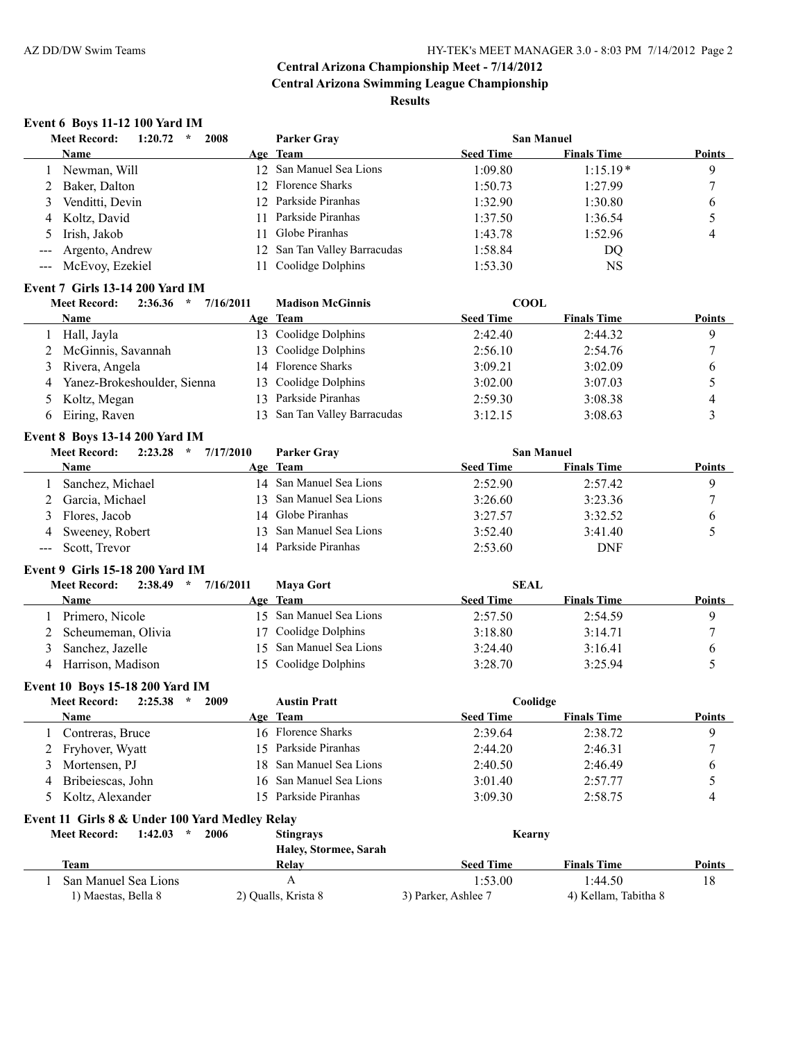# **Event 6 Boys 11-12 100 Yard IM**

|   | 2008<br><b>Meet Record:</b><br>1:20.72<br>$\star$ |     | <b>Parker Grav</b>           | <b>San Manuel</b> |                    |               |
|---|---------------------------------------------------|-----|------------------------------|-------------------|--------------------|---------------|
|   | <b>Name</b>                                       |     | Age Team                     | <b>Seed Time</b>  | <b>Finals Time</b> | <b>Points</b> |
|   | Newman, Will                                      |     | 12 San Manuel Sea Lions      | 1:09.80           | $1:15.19*$         | 9             |
|   | 2 Baker, Dalton                                   |     | 12 Florence Sharks           | 1:50.73           | 1:27.99            |               |
| 3 | Venditti, Devin                                   |     | 12 Parkside Piranhas         | 1:32.90           | 1:30.80            | 6             |
|   | 4 Koltz, David                                    | 11. | Parkside Piranhas            | 1:37.50           | 1:36.54            |               |
|   | 5 Irish, Jakob                                    | 11  | Globe Piranhas               | 1:43.78           | 1:52.96            | 4             |
|   | --- Argento, Andrew                               |     | 12 San Tan Valley Barracudas | 1:58.84           | DQ                 |               |
|   | --- McEvoy, Ezekiel                               | 11. | Coolidge Dolphins            | 1:53.30           | NS                 |               |
|   |                                                   |     |                              |                   |                    |               |

#### **Event 7 Girls 13-14 200 Yard IM**

| 2:36.36<br><b>Meet Record:</b><br>$\star$ | <b>Madison McGinnis</b><br>7/16/2011 | <b>COOL</b>      |                                     |
|-------------------------------------------|--------------------------------------|------------------|-------------------------------------|
| Name                                      | Age Team                             | <b>Seed Time</b> | <b>Finals Time</b><br><b>Points</b> |
| Hall, Jayla                               | 13 Coolidge Dolphins                 | 2:42.40          | 2:44.32<br>Q                        |
| 2 McGinnis, Savannah                      | 13 Coolidge Dolphins                 | 2:56.10          | 2:54.76                             |
| 3 Rivera, Angela                          | 14 Florence Sharks                   | 3:09.21          | 3:02.09<br>b                        |
| Yanez-Brokeshoulder, Sienna<br>4          | 13 Coolidge Dolphins                 | 3:02.00          | 3:07.03                             |
| 5 Koltz, Megan                            | Parkside Piranhas<br>l 3.            | 2:59.30          | 3:08.38                             |
| Eiring, Raven                             | San Tan Valley Barracudas            | 3:12.15          | 3:08.63                             |

#### **Event 8 Boys 13-14 200 Yard IM**

| 2:23.28<br><b>Meet Record:</b><br>$\star$ | 7/17/2010 | <b>Parker Gray</b>      | <b>San Manuel</b> |                    |               |
|-------------------------------------------|-----------|-------------------------|-------------------|--------------------|---------------|
| Name                                      |           | Age Team                | <b>Seed Time</b>  | <b>Finals Time</b> | <b>Points</b> |
| Sanchez, Michael                          |           | 14 San Manuel Sea Lions | 2:52.90           | 2:57.42            |               |
| 2 Garcia, Michael                         |           | 13 San Manuel Sea Lions | 3:26.60           | 3:23.36            |               |
| 3 Flores, Jacob                           |           | 14 Globe Piranhas       | 3:27.57           | 3:32.52            |               |
| 4 Sweeney, Robert                         |           | 13 San Manuel Sea Lions | 3:52.40           | 3:41.40            |               |
| --- Scott, Trevor                         |           | 14 Parkside Piranhas    | 2:53.60           | DNF                |               |

#### **Event 9 Girls 15-18 200 Yard IM**

| <b>Meet Record:</b>  | 2:38.49<br>$\star$ | 7/16/2011 | <b>Mava Gort</b>        | <b>SEAL</b>      |                    |               |
|----------------------|--------------------|-----------|-------------------------|------------------|--------------------|---------------|
| Name                 |                    |           | Age Team                | <b>Seed Time</b> | <b>Finals Time</b> | <b>Points</b> |
| Primero, Nicole      |                    |           | 15 San Manuel Sea Lions | 2:57.50          | 2:54.59            |               |
| 2 Scheumeman, Olivia |                    |           | 17 Coolidge Dolphins    | 3:18.80          | 3:14.71            |               |
| Sanchez, Jazelle     |                    |           | 15 San Manuel Sea Lions | 3:24.40          | 3:16.41            |               |
| Harrison, Madison    |                    |           | 15 Coolidge Dolphins    | 3:28.70          | 3:25.94            |               |

#### **Event 10 Boys 15-18 200 Yard IM**

|   | <b>Meet Record:</b><br>2:25.38<br>2009<br>$\star$ |     | <b>Austin Pratt</b>     | Coolidge            |                      |               |
|---|---------------------------------------------------|-----|-------------------------|---------------------|----------------------|---------------|
|   | <b>Name</b>                                       |     | Age Team                | <b>Seed Time</b>    | <b>Finals Time</b>   | <b>Points</b> |
|   | Contreras, Bruce                                  |     | 16 Florence Sharks      | 2:39.64             | 2:38.72              | 9             |
|   | 2 Fryhover, Wyatt                                 |     | 15 Parkside Piranhas    | 2:44.20             | 2:46.31              | ┑             |
| 3 | Mortensen, PJ                                     |     | 18 San Manuel Sea Lions | 2:40.50             | 2:46.49              | $\mathfrak b$ |
| 4 | Bribeiescas, John                                 |     | 16 San Manuel Sea Lions | 3:01.40             | 2:57.77              |               |
|   | 5 Koltz, Alexander                                | 15. | Parkside Piranhas       | 3:09.30             | 2:58.75              | 4             |
|   | Event 11 Girls 8 & Under 100 Yard Medley Relay    |     |                         |                     |                      |               |
|   | <b>Meet Record:</b><br>1:42.03<br>÷<br>2006       |     | <b>Stingrays</b>        | Kearny              |                      |               |
|   |                                                   |     | Haley, Stormee, Sarah   |                     |                      |               |
|   | Team                                              |     | Relay                   | <b>Seed Time</b>    | <b>Finals Time</b>   | <b>Points</b> |
|   | San Manuel Sea Lions                              |     | А                       | 1:53.00             | 1:44.50              | 18            |
|   | 1) Maestas, Bella 8                               |     | 2) Qualls, Krista 8     | 3) Parker, Ashlee 7 | 4) Kellam, Tabitha 8 |               |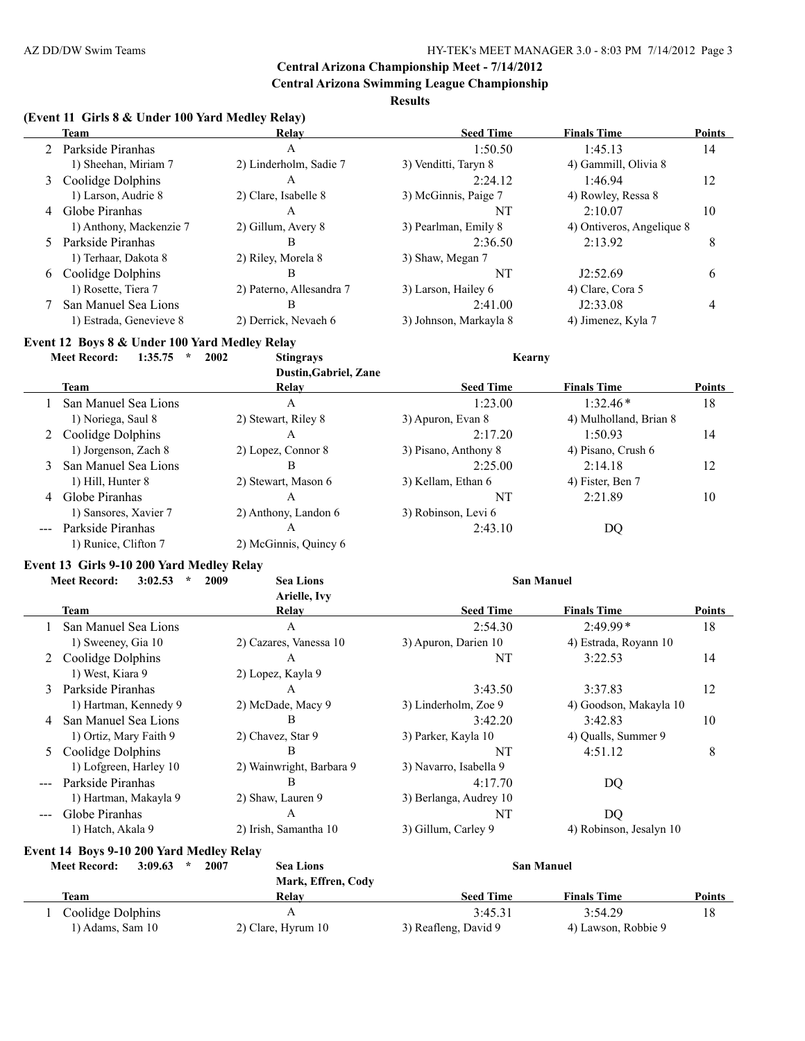#### AZ DD/DW Swim Teams **HY-TEK's MEET MANAGER 3.0 - 8:03 PM 7/14/2012** Page 3

# **Central Arizona Championship Meet - 7/14/2012**

**Central Arizona Swimming League Championship**

**Results**

| (Event 11 Girls 8 & Under 100 Yard Medley Relay) |  |  |  |
|--------------------------------------------------|--|--|--|
|                                                  |  |  |  |

|    | Team                    | Relay                    | <b>Seed Time</b>       | <b>Finals Time</b>        | <b>Points</b> |
|----|-------------------------|--------------------------|------------------------|---------------------------|---------------|
|    | 2 Parkside Piranhas     | А                        | 1:50.50                | 1:45.13                   | 14            |
|    | 1) Sheehan, Miriam 7    | 2) Linderholm, Sadie 7   | 3) Venditti, Taryn 8   | 4) Gammill, Olivia 8      |               |
| 3  | Coolidge Dolphins       | А                        | 2:24.12                | 1:46.94                   | 12            |
|    | 1) Larson, Audrie 8     | 2) Clare, Isabelle 8     | 3) McGinnis, Paige 7   | 4) Rowley, Ressa 8        |               |
| 4  | Globe Piranhas          | A                        | NT                     | 2:10.07                   | 10            |
|    | 1) Anthony, Mackenzie 7 | 2) Gillum, Avery 8       | 3) Pearlman, Emily 8   | 4) Ontiveros, Angelique 8 |               |
| 5. | Parkside Piranhas       | В                        | 2:36.50                | 2:13.92                   | 8             |
|    | 1) Terhaar, Dakota 8    | 2) Riley, Morela 8       | 3) Shaw, Megan 7       |                           |               |
| 6  | Coolidge Dolphins       | В                        | NT                     | J2:52.69                  | 6             |
|    | 1) Rosette, Tiera 7     | 2) Paterno, Allesandra 7 | 3) Larson, Hailey 6    | 4) Clare, Cora 5          |               |
|    | San Manuel Sea Lions    | B                        | 2:41.00                | J2:33.08                  | 4             |
|    | 1) Estrada, Genevieve 8 | 2) Derrick, Nevaeh 6     | 3) Johnson, Markayla 8 | 4) Jimenez, Kyla 7        |               |

#### **Event 12 Boys 8 & Under 100 Yard Medley Relay**

**Meet Record: 1:35.75 \* 2002 Stingrays Kearny**

**Dustin,Gabriel, Zane Team Relay Seed Time Finals Time Points** 1 San Manuel Sea Lions A 1:23.00 1:32.46 \* 18 1) Noriega, Saul 8 2) Stewart, Riley 8 3) Apuron, Evan 8 4) Mulholland, Brian 8 2 Coolidge Dolphins A 2:17.20 1:50.93 14 1) Jorgenson, Zach 8 2) Lopez, Connor 8 3) Pisano, Anthony 8 4) Pisano, Crush 6 3 San Manuel Sea Lions B 2:25.00 2:14.18 12 1) Hill, Hunter 8 2) Stewart, Mason 6 3) Kellam, Ethan 6 4) Fister, Ben 7 4 Globe Piranhas A A NT 2:21.89 10 1) Sansores, Xavier 7 2) Anthony, Landon 6 3) Robinson, Levi 6 --- Parkside Piranhas A 2:43.10 DQ 1) Runice, Clifton 7 2) McGinnis, Quincy 6

#### **Event 13 Girls 9-10 200 Yard Medley Relay**

|        | <b>Meet Record:</b><br>3:02.53 | 2009<br><b>Sea Lions</b> |                        | <b>San Manuel</b>       |               |
|--------|--------------------------------|--------------------------|------------------------|-------------------------|---------------|
|        |                                | Arielle, Ivy             |                        |                         |               |
|        | Team                           | Relay                    | <b>Seed Time</b>       | <b>Finals Time</b>      | <b>Points</b> |
|        | San Manuel Sea Lions           | A                        | 2:54.30                | $2:49.99*$              | 18            |
|        | 1) Sweeney, Gia 10             | 2) Cazares, Vanessa 10   | 3) Apuron, Darien 10   | 4) Estrada, Royann 10   |               |
|        | Coolidge Dolphins              | A                        | NT                     | 3:22.53                 | 14            |
|        | 1) West, Kiara 9               | 2) Lopez, Kayla 9        |                        |                         |               |
| 3      | Parkside Piranhas              | $\mathsf{A}$             | 3:43.50                | 3:37.83                 | 12            |
|        | 1) Hartman, Kennedy 9          | 2) McDade, Macy 9        | 3) Linderholm, Zoe 9   | 4) Goodson, Makayla 10  |               |
| 4      | San Manuel Sea Lions           | В                        | 3:42.20                | 3:42.83                 | 10            |
|        | 1) Ortiz, Mary Faith 9         | 2) Chavez, Star 9        | 3) Parker, Kayla 10    | 4) Qualls, Summer 9     |               |
| 5.     | Coolidge Dolphins              | B                        | NT                     | 4:51.12                 | 8             |
|        | 1) Lofgreen, Harley 10         | 2) Wainwright, Barbara 9 | 3) Navarro, Isabella 9 |                         |               |
|        | Parkside Piranhas              | В                        | 4:17.70                | DQ                      |               |
|        | 1) Hartman, Makayla 9          | 2) Shaw, Lauren 9        | 3) Berlanga, Audrey 10 |                         |               |
| $-- -$ | Globe Piranhas                 | A                        | NT                     | DQ                      |               |
|        | 1) Hatch, Akala 9              | 2) Irish, Samantha 10    | 3) Gillum, Carley 9    | 4) Robinson, Jesalyn 10 |               |

# **Event 14 Boys 9-10 200 Yard Medley Relay**<br>Meet Beegreby 3:00.63  $\pm$  2007

| 3:09.63<br><b>Meet Record:</b> | 2007 | <b>Sea Lions</b><br>Mark, Effren, Cody |                      | <b>San Manuel</b>   |        |  |
|--------------------------------|------|----------------------------------------|----------------------|---------------------|--------|--|
| Team                           |      | Relav                                  | <b>Seed Time</b>     | <b>Finals Time</b>  | Points |  |
| Coolidge Dolphins              |      |                                        | 3:45.31              | 3:54.29             |        |  |
| 1) Adams, Sam 10               |      | 2) Clare, Hyrum 10                     | 3) Reafleng, David 9 | 4) Lawson, Robbie 9 |        |  |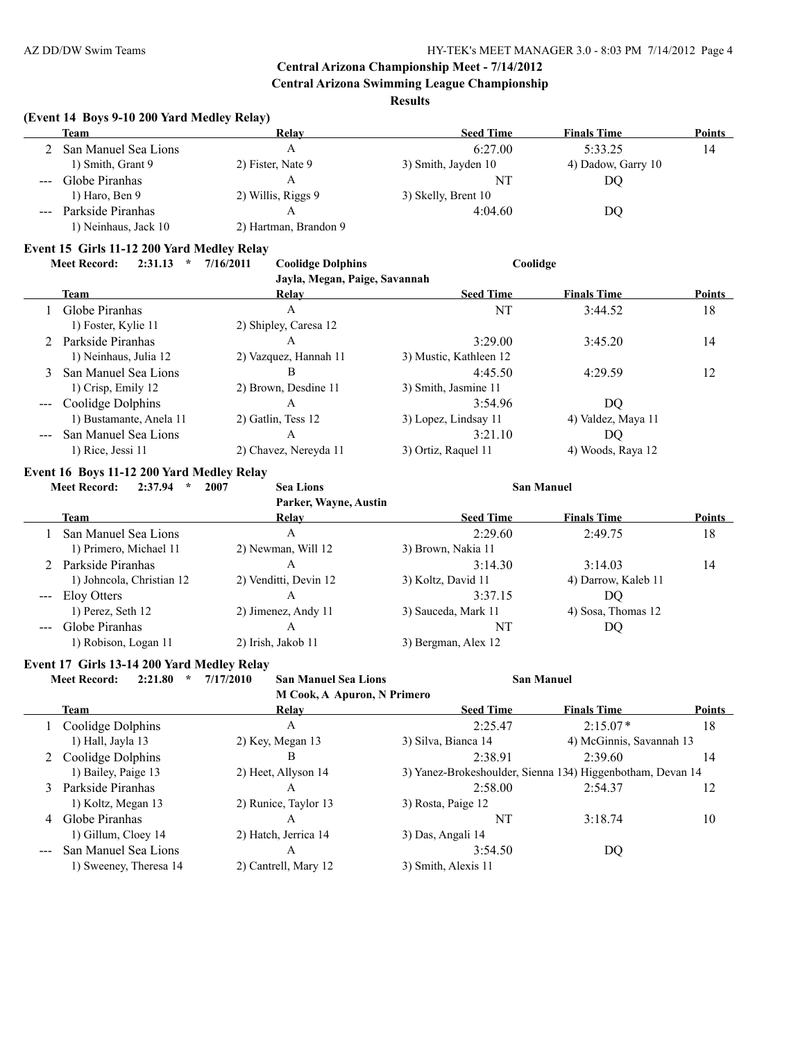**Central Arizona Swimming League Championship**

**Results**

#### **(Event 14 Boys 9-10 200 Yard Medley Relay)**

|                        | <b>Team</b>          | Relay                 | <b>Seed Time</b>    | <b>Finals Time</b> | <b>Points</b> |
|------------------------|----------------------|-----------------------|---------------------|--------------------|---------------|
|                        | San Manuel Sea Lions |                       | 6:27.00             | 5:33.25            | 14            |
|                        | 1) Smith, Grant 9    | 2) Fister, Nate 9     | 3) Smith, Jayden 10 | 4) Dadow, Garry 10 |               |
| $\qquad \qquad \cdots$ | Globe Piranhas       |                       | NT                  | DO                 |               |
|                        | $1)$ Haro, Ben 9     | 2) Willis, Riggs 9    | 3) Skelly, Brent 10 |                    |               |
| $\qquad \qquad - -$    | Parkside Piranhas    |                       | 4:04.60             | DO                 |               |
|                        | 1) Neinhaus, Jack 10 | 2) Hartman, Brandon 9 |                     |                    |               |

#### **Event 15 Girls 11-12 200 Yard Medley Relay**

| Meet Record: 2:31.13 * 7/16/2011 |  |  |  | <b>Coolidge Dolphins</b> | Coolidge |
|----------------------------------|--|--|--|--------------------------|----------|
|----------------------------------|--|--|--|--------------------------|----------|

| Jayla, Megan, Paige, Savannah |                       |                        |                    |               |  |  |  |
|-------------------------------|-----------------------|------------------------|--------------------|---------------|--|--|--|
| Team                          | Relay                 | <b>Seed Time</b>       | <b>Finals Time</b> | <b>Points</b> |  |  |  |
| Globe Piranhas                | A                     | NT                     | 3:44.52            | 18            |  |  |  |
| 1) Foster, Kylie 11           | 2) Shipley, Caresa 12 |                        |                    |               |  |  |  |
| 2 Parkside Piranhas           | A                     | 3:29.00                | 3:45.20            | 14            |  |  |  |
| 1) Neinhaus, Julia 12         | 2) Vazquez, Hannah 11 | 3) Mustic, Kathleen 12 |                    |               |  |  |  |
| 3 San Manuel Sea Lions        | B                     | 4.45.50                | 4.2959             | 12            |  |  |  |
| 1) Crisp, Emily 12            | 2) Brown, Desdine 11  | 3) Smith, Jasmine 11   |                    |               |  |  |  |
| --- Coolidge Dolphins         | A                     | 3:54.96                | DQ.                |               |  |  |  |
| 1) Bustamante, Anela 11       | 2) Gatlin, Tess 12    | 3) Lopez, Lindsay 11   | 4) Valdez, Maya 11 |               |  |  |  |
| San Manuel Sea Lions          | A                     | 3:21.10                | DO.                |               |  |  |  |
| $1)$ Rice, Jessi $11$         | 2) Chavez, Nereyda 11 | 3) Ortiz, Raquel 11    | 4) Woods, Raya 12  |               |  |  |  |

#### **Event 16 Boys 11-12 200 Yard Medley Relay**

| 2:37.94<br>$\star$<br><b>Meet Record:</b> | 2007<br><b>Sea Lions</b> |                     |                     |                   |
|-------------------------------------------|--------------------------|---------------------|---------------------|-------------------|
|                                           | Parker, Wayne, Austin    |                     |                     |                   |
| <b>Team</b>                               | Relay                    | <b>Seed Time</b>    | <b>Finals Time</b>  | <b>Points</b>     |
| San Manuel Sea Lions                      | A                        | 2:29.60             | 2:49.75             | 18                |
| 1) Primero, Michael 11                    | 2) Newman, Will 12       | 3) Brown, Nakia 11  |                     |                   |
| 2 Parkside Piranhas                       | A                        | 3:14.30             | 3:14.03             | 14                |
| 1) Johncola, Christian 12                 | 2) Venditti, Devin 12    | 3) Koltz, David 11  | 4) Darrow, Kaleb 11 |                   |
| Eloy Otters                               | A                        | 3:37.15             | DO                  |                   |
| 1) Perez, Seth 12                         | 2) Jimenez, Andy 11      | 3) Sauceda, Mark 11 | 4) Sosa, Thomas 12  |                   |
| Globe Piranhas                            | A                        | NT                  | DQ                  |                   |
| 1) Robison, Logan 11                      | 2) Irish, Jakob 11       | 3) Bergman, Alex 12 |                     |                   |
|                                           |                          |                     |                     | <b>San Manuel</b> |

#### **Event 17 Girls 13-14 200 Yard Medley Relay**

 $\overline{a}$ 

**Meet Record: 2:21.80 \* 7/17/2010 San Manuel Sea Lions San Manuel**

**M Cook, A Apuron, N Primero**

|   | Team                   | Relay                | <b>Seed Time</b>                                           | <b>Finals Time</b>       | <b>Points</b> |
|---|------------------------|----------------------|------------------------------------------------------------|--------------------------|---------------|
|   | Coolidge Dolphins      | A                    | 2:25.47                                                    | $2:15.07*$               | 18            |
|   | 1) Hall, Jayla 13      | 2) Key, Megan 13     | 3) Silva, Bianca 14                                        | 4) McGinnis, Savannah 13 |               |
|   | 2 Coolidge Dolphins    | В                    | 2:38.91                                                    | 2:39.60                  | 14            |
|   | 1) Bailey, Paige 13    | 2) Heet, Allyson 14  | 3) Yanez-Brokeshoulder, Sienna 134) Higgenbotham, Devan 14 |                          |               |
| 3 | Parkside Piranhas      | Α                    | 2:58.00                                                    | 2:54.37                  | 12            |
|   | 1) Koltz, Megan 13     | 2) Runice, Taylor 13 | 3) Rosta, Paige 12                                         |                          |               |
| 4 | Globe Piranhas         | A                    | NT                                                         | 3:18.74                  | 10            |
|   | 1) Gillum, Cloey 14    | 2) Hatch, Jerrica 14 | 3) Das, Angali 14                                          |                          |               |
|   | San Manuel Sea Lions   | Α                    | 3:54.50                                                    | DO                       |               |
|   | 1) Sweeney, Theresa 14 | 2) Cantrell, Mary 12 | 3) Smith, Alexis 11                                        |                          |               |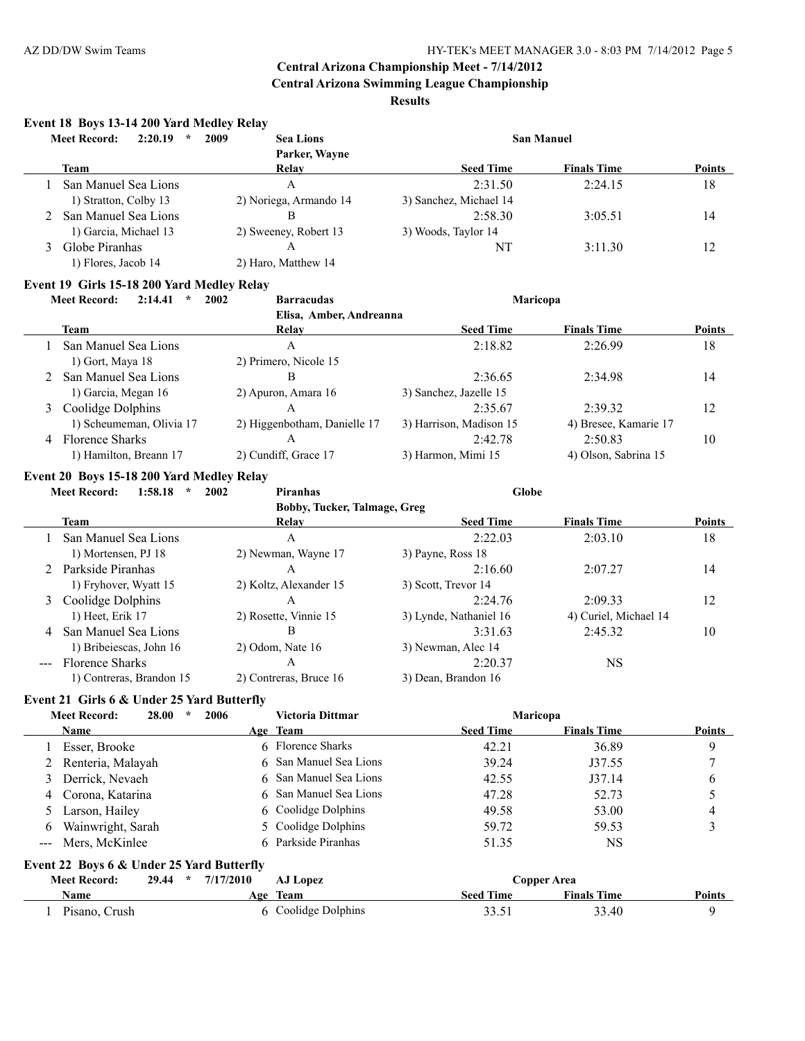**Central Arizona Swimming League Championship**

**Results**

#### **Event 18 Boys 13-14 200 Yard Medley Relay**

| 2:20.19<br><b>Meet Record:</b><br>$\star$ | 2009<br><b>Sea Lions</b> |                        | <b>San Manuel</b>  |               |
|-------------------------------------------|--------------------------|------------------------|--------------------|---------------|
|                                           | Parker, Wayne            |                        |                    |               |
| <b>Team</b>                               | Relay                    | <b>Seed Time</b>       | <b>Finals Time</b> | <b>Points</b> |
| San Manuel Sea Lions                      | А                        | 2:31.50                | 2:24.15            | 18            |
| 1) Stratton, Colby 13                     | 2) Noriega, Armando 14   | 3) Sanchez, Michael 14 |                    |               |
| San Manuel Sea Lions                      | В                        | 2:58.30                | 3:05.51            | 14            |
| 1) Garcia, Michael 13                     | 2) Sweeney, Robert 13    | 3) Woods, Taylor 14    |                    |               |
| Globe Piranhas                            | А                        | NT                     | 3:11.30            | 12            |
| 1) Flores, Jacob 14                       | 2) Haro, Matthew 14      |                        |                    |               |

#### **Event 19 Girls 15-18 200 Yard Medley Relay**

#### **Meet Record: 2:14.41 \* 2002 Barracudas Maricopa Elisa, Amber, Andreanna Team Relay Seed Time Finals Time Points** 1 San Manuel Sea Lions A 2:18.82 2:26.99 18 1) Gort, Maya 18 2) Primero, Nicole 15 2 San Manuel Sea Lions B 2:36.65 2:34.98 14 1) Garcia, Megan 16 2) Apuron, Amara 16 3) Sanchez, Jazelle 15 3 Coolidge Dolphins A 2:35.67 2:39.32 12 1) Scheumeman, Olivia 17 2) Higgenbotham, Danielle 17 3) Harrison, Madison 15 4) Bresee, Kamarie 17 4 Florence Sharks A 2:42.78 2:50.83 10 1) Hamilton, Breann 17 2) Cundiff, Grace 17 3) Harmon, Mimi 15 4) Olson, Sabrina 15

#### **Event 20 Boys 15-18 200 Yard Medley Relay**

**Meet Record: 1:58.18 \* 2002 Piranhas Globe**

**Bobby, Tucker, Talmage, Greg**

|                                                                                                                                                                                                                                                                                                                                                                                              | <b>Team</b>              | Relay                  | <b>Seed Time</b>       | <b>Finals Time</b>    | <b>Points</b> |
|----------------------------------------------------------------------------------------------------------------------------------------------------------------------------------------------------------------------------------------------------------------------------------------------------------------------------------------------------------------------------------------------|--------------------------|------------------------|------------------------|-----------------------|---------------|
|                                                                                                                                                                                                                                                                                                                                                                                              | San Manuel Sea Lions     | A                      | 2:22.03                | 2:03.10               | 18            |
|                                                                                                                                                                                                                                                                                                                                                                                              | 1) Mortensen, PJ 18      | 2) Newman, Wayne 17    | 3) Payne, Ross 18      |                       |               |
|                                                                                                                                                                                                                                                                                                                                                                                              | Parkside Piranhas        | A                      | 2:16.60                | 2:07.27               | 14            |
|                                                                                                                                                                                                                                                                                                                                                                                              | 1) Fryhover, Wyatt 15    | 2) Koltz, Alexander 15 | 3) Scott, Trevor 14    |                       |               |
| 3                                                                                                                                                                                                                                                                                                                                                                                            | Coolidge Dolphins        | A                      | 2:24.76                | 2:09.33               | 12            |
|                                                                                                                                                                                                                                                                                                                                                                                              | 1) Heet, Erik 17         | 2) Rosette, Vinnie 15  | 3) Lynde, Nathaniel 16 | 4) Curiel, Michael 14 |               |
| $\overline{4}$                                                                                                                                                                                                                                                                                                                                                                               | San Manuel Sea Lions     | B                      | 3:31.63                | 2:45.32               | 10            |
|                                                                                                                                                                                                                                                                                                                                                                                              | 1) Bribeiescas, John 16  | $2)$ Odom, Nate 16     | 3) Newman, Alec 14     |                       |               |
| $\frac{1}{2} \frac{1}{2} \frac{1}{2} \frac{1}{2} \frac{1}{2} \frac{1}{2} \frac{1}{2} \frac{1}{2} \frac{1}{2} \frac{1}{2} \frac{1}{2} \frac{1}{2} \frac{1}{2} \frac{1}{2} \frac{1}{2} \frac{1}{2} \frac{1}{2} \frac{1}{2} \frac{1}{2} \frac{1}{2} \frac{1}{2} \frac{1}{2} \frac{1}{2} \frac{1}{2} \frac{1}{2} \frac{1}{2} \frac{1}{2} \frac{1}{2} \frac{1}{2} \frac{1}{2} \frac{1}{2} \frac{$ | <b>Florence Sharks</b>   | Α                      | 2:20.37                | <b>NS</b>             |               |
|                                                                                                                                                                                                                                                                                                                                                                                              | 1) Contreras, Brandon 15 | 2) Contreras, Bruce 16 | 3) Dean, Brandon 16    |                       |               |

#### **Event 21 Girls 6 & Under 25 Yard Butterfly**

| <b>Meet Record:</b><br>28.00<br>2006                 | Victoria Dittmar       | Maricopa         |                    |               |
|------------------------------------------------------|------------------------|------------------|--------------------|---------------|
| <b>Name</b>                                          | Age Team               | <b>Seed Time</b> | <b>Finals Time</b> | <b>Points</b> |
| Esser, Brooke                                        | 6 Florence Sharks      | 42.21            | 36.89              | 9             |
| Renteria, Malayah                                    | 6 San Manuel Sea Lions | 39.24            | J37.55             |               |
| Derrick, Nevaeh                                      | 6 San Manuel Sea Lions | 42.55            | J37.14             | 6             |
| 4 Corona, Katarina                                   | 6 San Manuel Sea Lions | 47.28            | 52.73              |               |
| Larson, Hailey                                       | 6 Coolidge Dolphins    | 49.58            | 53.00              | 4             |
| Wainwright, Sarah<br>6                               | 5 Coolidge Dolphins    | 59.72            | 59.53              | ◠             |
| Mers, McKinlee<br>$---$                              | 6 Parkside Piranhas    | 51.35            | <b>NS</b>          |               |
| Event 22 Boys 6 & Under 25 Yard Butterfly            |                        |                  |                    |               |
| <b>Meet Record:</b><br>7/17/2010<br>29.44<br>$\star$ | AJ Lopez               | Copper Area      |                    |               |
| <b>Name</b>                                          | Age Team               | <b>Seed Time</b> | <b>Finals Time</b> | <b>Points</b> |
| Pisano, Crush                                        | 6 Coolidge Dolphins    | 33.51            | 33.40              | 9             |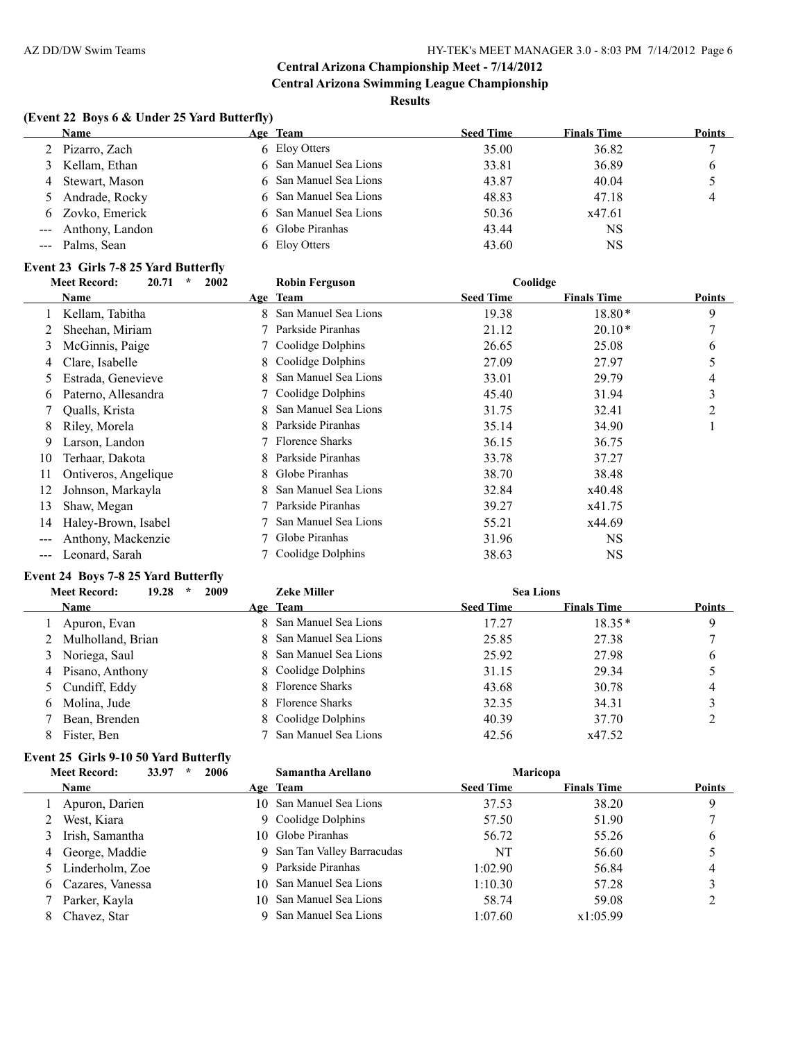# **Results**

# **(Event 22 Boys 6 & Under 25 Yard Butterfly)**

| <b>Name</b>         | Age Team               | <b>Seed Time</b> | <b>Finals Time</b> | <b>Points</b> |
|---------------------|------------------------|------------------|--------------------|---------------|
| 2 Pizarro, Zach     | 6 Eloy Otters          | 35.00            | 36.82              |               |
| 3 Kellam, Ethan     | 6 San Manuel Sea Lions | 33.81            | 36.89              | O             |
| 4 Stewart, Mason    | 6 San Manuel Sea Lions | 43.87            | 40.04              |               |
| 5 Andrade, Rocky    | 6 San Manuel Sea Lions | 48.83            | 47.18              | 4             |
| 6 Zovko, Emerick    | 6 San Manuel Sea Lions | 50.36            | x47.61             |               |
| --- Anthony, Landon | 6 Globe Piranhas       | 43.44            | NS                 |               |
| --- Palms, Sean     | 6 Eloy Otters          | 43.60            | NS                 |               |

#### **Event 23 Girls 7-8 25 Yard Butterfly**

|     | 20.71<br>$\star$<br><b>Meet Record:</b> | 2002 | <b>Robin Ferguson</b>  | Coolidge         |                    |               |
|-----|-----------------------------------------|------|------------------------|------------------|--------------------|---------------|
|     | Name                                    |      | Age Team               | <b>Seed Time</b> | <b>Finals Time</b> | <b>Points</b> |
|     | Kellam, Tabitha                         | 8    | San Manuel Sea Lions   | 19.38            | $18.80*$           | 9             |
|     | Sheehan, Miriam                         |      | Parkside Piranhas      | 21.12            | $20.10*$           | 7             |
| 3   | McGinnis, Paige                         |      | Coolidge Dolphins      | 26.65            | 25.08              | 6             |
| 4   | Clare, Isabelle                         | 8    | Coolidge Dolphins      | 27.09            | 27.97              | 5             |
| 5.  | Estrada, Genevieve                      |      | San Manuel Sea Lions   | 33.01            | 29.79              | 4             |
| b   | Paterno, Allesandra                     |      | 7 Coolidge Dolphins    | 45.40            | 31.94              | 3             |
|     | Qualls, Krista                          | 8.   | San Manuel Sea Lions   | 31.75            | 32.41              | 2             |
| 8   | Riley, Morela                           | 8    | Parkside Piranhas      | 35.14            | 34.90              |               |
| 9   | Larson, Landon                          |      | <b>Florence Sharks</b> | 36.15            | 36.75              |               |
| 10  | Terhaar, Dakota                         |      | Parkside Piranhas      | 33.78            | 37.27              |               |
| 11  | Ontiveros, Angelique                    | 8.   | Globe Piranhas         | 38.70            | 38.48              |               |
| 12  | Johnson, Markayla                       |      | San Manuel Sea Lions   | 32.84            | x40.48             |               |
| 13  | Shaw, Megan                             |      | Parkside Piranhas      | 39.27            | x41.75             |               |
| 14  | Haley-Brown, Isabel                     |      | San Manuel Sea Lions   | 55.21            | x44.69             |               |
|     | Anthony, Mackenzie                      |      | Globe Piranhas         | 31.96            | <b>NS</b>          |               |
| --- | Leonard, Sarah                          |      | 7 Coolidge Dolphins    | 38.63            | <b>NS</b>          |               |

#### **Event 24 Boys 7-8 25 Yard Butterfly**

|    | 2009<br>19.28<br><b>Meet Record:</b><br>$\star$ | <b>Zeke Miller</b>     | <b>Sea Lions</b> |                    |               |
|----|-------------------------------------------------|------------------------|------------------|--------------------|---------------|
|    | <b>Name</b>                                     | Age Team               | <b>Seed Time</b> | <b>Finals Time</b> | <b>Points</b> |
|    | Apuron, Evan                                    | 8 San Manuel Sea Lions | 17.27            | $18.35*$           | 9             |
|    | 2 Mulholland, Brian                             | 8 San Manuel Sea Lions | 25.85            | 27.38              |               |
|    | 3 Noriega, Saul                                 | 8 San Manuel Sea Lions | 25.92            | 27.98              | 6             |
|    | 4 Pisano, Anthony                               | 8 Coolidge Dolphins    | 31.15            | 29.34              |               |
|    | 5 Cundiff, Eddy                                 | 8 Florence Sharks      | 43.68            | 30.78              | 4             |
| 6. | Molina, Jude                                    | 8 Florence Sharks      | 32.35            | 34.31              |               |
|    | Bean, Brenden                                   | 8 Coolidge Dolphins    | 40.39            | 37.70              |               |
|    | Fister, Ben                                     | San Manuel Sea Lions   | 42.56            | x47.52             |               |

#### **Event 25 Girls 9-10 50 Yard Butterfly**

| <b>Meet Record:</b><br>33.97       | Samantha Arellano |                                                                                                                                                                                                                       |                    |               |
|------------------------------------|-------------------|-----------------------------------------------------------------------------------------------------------------------------------------------------------------------------------------------------------------------|--------------------|---------------|
| <b>Name</b>                        |                   | <b>Seed Time</b>                                                                                                                                                                                                      | <b>Finals Time</b> | <b>Points</b> |
| Apuron, Darien                     |                   | 37.53                                                                                                                                                                                                                 | 38.20              | 9             |
| West, Kiara                        |                   | 57.50                                                                                                                                                                                                                 | 51.90              |               |
| Irish, Samantha                    |                   | 56.72                                                                                                                                                                                                                 | 55.26              | O             |
| 4 George, Maddie                   |                   | NT                                                                                                                                                                                                                    | 56.60              |               |
| 5 Linderholm, Zoe                  |                   | 1:02.90                                                                                                                                                                                                               | 56.84              | 4             |
| Cazares, Vanessa<br>$\mathfrak{b}$ |                   | 1:10.30                                                                                                                                                                                                               | 57.28              |               |
| Parker, Kayla                      |                   | 58.74                                                                                                                                                                                                                 | 59.08              |               |
| Chavez, Star                       |                   | 1:07.60                                                                                                                                                                                                               | x1:05.99           |               |
|                                    | 2006              | Age Team<br>10 San Manuel Sea Lions<br>9 Coolidge Dolphins<br>10 Globe Piranhas<br>9 San Tan Valley Barracudas<br>9 Parkside Piranhas<br>10 San Manuel Sea Lions<br>10 San Manuel Sea Lions<br>9 San Manuel Sea Lions |                    | Maricopa      |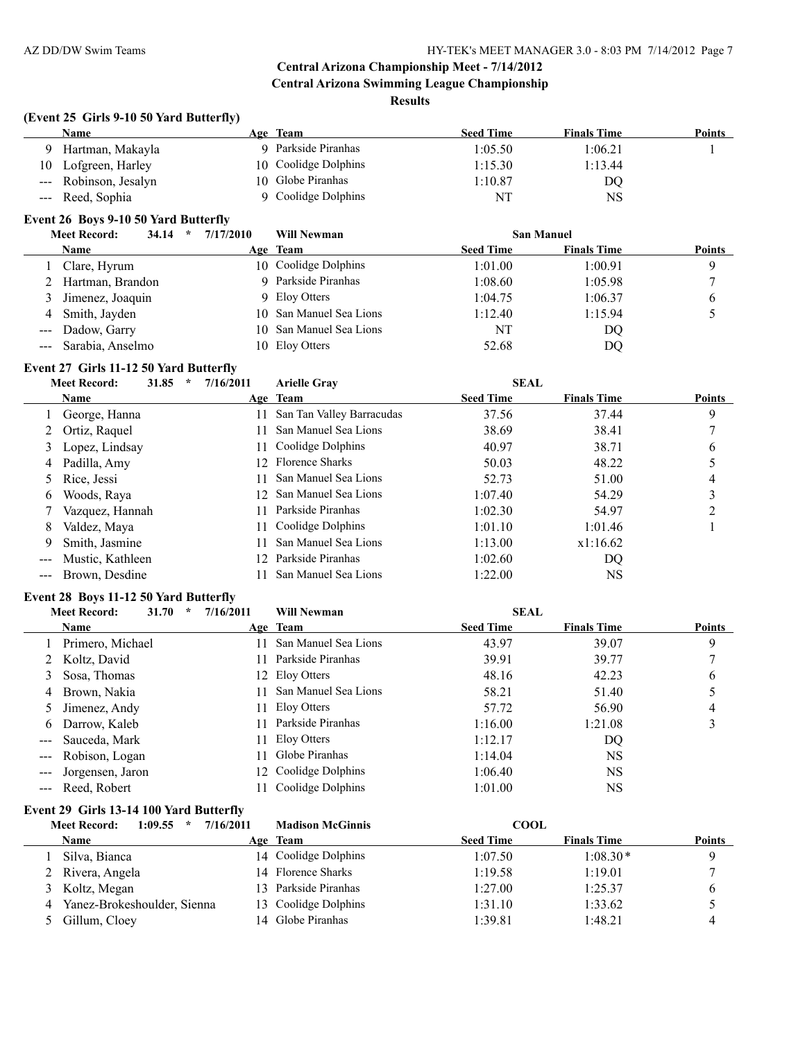#### **Results**

#### **(Event 25 Girls 9-10 50 Yard Butterfly)**

|    | Name                  | Age Team             | <b>Seed Time</b> | <b>Finals Time</b> | <b>Points</b> |
|----|-----------------------|----------------------|------------------|--------------------|---------------|
|    | Hartman, Makayla      | Parkside Piranhas    | 1:05.50          | 1:06.21            |               |
| 10 | Lofgreen, Harley      | 10 Coolidge Dolphins | 1:15.30          | 1:13.44            |               |
|    | --- Robinson, Jesalyn | 10 Globe Piranhas    | 1:10.87          | DQ                 |               |
|    | --- Reed, Sophia      | 9 Coolidge Dolphins  | NT               | <b>NS</b>          |               |

#### **Event 26 Boys 9-10 50 Yard Butterfly**

|   | <b>Meet Record:</b><br>34.14<br>$\star$ | 7/17/2010 | <b>Will Newman</b>      | <b>San Manuel</b> |                    |               |
|---|-----------------------------------------|-----------|-------------------------|-------------------|--------------------|---------------|
|   | Name                                    |           | Age Team                | <b>Seed Time</b>  | <b>Finals Time</b> | <b>Points</b> |
|   | Clare, Hyrum                            |           | 10 Coolidge Dolphins    | 1:01.00           | 1:00.91            | q             |
|   | Hartman, Brandon                        |           | 9 Parkside Piranhas     | 1:08.60           | 1:05.98            |               |
| 3 | Jimenez, Joaquin                        |           | 9 Eloy Otters           | 1:04.75           | 1:06.37            |               |
| 4 | Smith, Jayden                           |           | 10 San Manuel Sea Lions | 1:12.40           | 1:15.94            |               |
|   | --- Dadow, Garry                        |           | 10 San Manuel Sea Lions | NT                | DQ                 |               |
|   | --- Sarabia, Anselmo                    |           | 10 Eloy Otters          | 52.68             | DQ                 |               |

# **Event 27 Girls 11-12 50 Yard Butterfly**<br>Meet Becord:  $\frac{31.95}{2} \times \frac{716}{20}$

|               | EVENT#/   GHT\$ 11-14 50 TATU DUUCITIV  |                 |                           |                  |                    |               |  |  |  |
|---------------|-----------------------------------------|-----------------|---------------------------|------------------|--------------------|---------------|--|--|--|
|               | <b>Meet Record:</b><br>31.85<br>$\star$ | 7/16/2011       | <b>Arielle Grav</b>       | <b>SEAL</b>      |                    |               |  |  |  |
|               | Name                                    |                 | Age Team                  | <b>Seed Time</b> | <b>Finals Time</b> | <b>Points</b> |  |  |  |
|               | George, Hanna                           | 11              | San Tan Valley Barracudas | 37.56            | 37.44              | 9             |  |  |  |
|               | Ortiz, Raquel                           |                 | San Manuel Sea Lions      | 38.69            | 38.41              |               |  |  |  |
| 3             | Lopez, Lindsay                          | 11.             | Coolidge Dolphins         | 40.97            | 38.71              | 6             |  |  |  |
| 4             | Padilla, Amy                            |                 | 12 Florence Sharks        | 50.03            | 48.22              |               |  |  |  |
|               | 5 Rice, Jessi                           |                 | San Manuel Sea Lions      | 52.73            | 51.00              | 4             |  |  |  |
| 6             | Woods, Raya                             |                 | 12 San Manuel Sea Lions   | 1:07.40          | 54.29              | 3             |  |  |  |
|               | Vazquez, Hannah                         |                 | Parkside Piranhas         | 1:02.30          | 54.97              |               |  |  |  |
| 8             | Valdez, Mava                            |                 | Coolidge Dolphins         | 1:01.10          | 1:01.46            |               |  |  |  |
| 9             | Smith, Jasmine                          |                 | San Manuel Sea Lions      | 1:13.00          | x1:16.62           |               |  |  |  |
| $\frac{1}{2}$ | Mustic, Kathleen                        | 12 <sup>°</sup> | Parkside Piranhas         | 1:02.60          | DQ                 |               |  |  |  |
|               | Brown, Desdine                          |                 | San Manuel Sea Lions      | 1:22.00          | NS                 |               |  |  |  |

#### **Event 28 Boys 11-12 50 Yard Butterfly**

|                                                                                                                                                                                                                                                                                                                                                                                              | <b>Meet Record:</b> | 31.70 | 7/16/2011<br>$\ast$ | <b>Will Newman</b>   | <b>SEAL</b>      |                    |               |
|----------------------------------------------------------------------------------------------------------------------------------------------------------------------------------------------------------------------------------------------------------------------------------------------------------------------------------------------------------------------------------------------|---------------------|-------|---------------------|----------------------|------------------|--------------------|---------------|
|                                                                                                                                                                                                                                                                                                                                                                                              | <b>Name</b>         |       |                     | Age Team             | <b>Seed Time</b> | <b>Finals Time</b> | <b>Points</b> |
|                                                                                                                                                                                                                                                                                                                                                                                              | 1 Primero, Michael  |       | 11                  | San Manuel Sea Lions | 43.97            | 39.07              | 9             |
|                                                                                                                                                                                                                                                                                                                                                                                              | 2 Koltz, David      |       | 11.                 | Parkside Piranhas    | 39.91            | 39.77              |               |
|                                                                                                                                                                                                                                                                                                                                                                                              | Sosa, Thomas        |       |                     | 12 Eloy Otters       | 48.16            | 42.23              | 6             |
| 4                                                                                                                                                                                                                                                                                                                                                                                            | Brown, Nakia        |       | 11.                 | San Manuel Sea Lions | 58.21            | 51.40              |               |
|                                                                                                                                                                                                                                                                                                                                                                                              | 5 Jimenez, Andy     |       | 11.                 | Eloy Otters          | 57.72            | 56.90              | 4             |
|                                                                                                                                                                                                                                                                                                                                                                                              | 6 Darrow, Kaleb     |       | 11.                 | Parkside Piranhas    | 1:16.00          | 1:21.08            |               |
|                                                                                                                                                                                                                                                                                                                                                                                              | --- Sauceda, Mark   |       | 11.                 | Eloy Otters          | 1:12.17          | DQ                 |               |
| $\frac{1}{2} \frac{1}{2} \frac{1}{2} \frac{1}{2} \frac{1}{2} \frac{1}{2} \frac{1}{2} \frac{1}{2} \frac{1}{2} \frac{1}{2} \frac{1}{2} \frac{1}{2} \frac{1}{2} \frac{1}{2} \frac{1}{2} \frac{1}{2} \frac{1}{2} \frac{1}{2} \frac{1}{2} \frac{1}{2} \frac{1}{2} \frac{1}{2} \frac{1}{2} \frac{1}{2} \frac{1}{2} \frac{1}{2} \frac{1}{2} \frac{1}{2} \frac{1}{2} \frac{1}{2} \frac{1}{2} \frac{$ | Robison, Logan      |       | 11.                 | Globe Piranhas       | 1:14.04          | <b>NS</b>          |               |
|                                                                                                                                                                                                                                                                                                                                                                                              | Jorgensen, Jaron    |       |                     | 12 Coolidge Dolphins | 1:06.40          | <b>NS</b>          |               |
|                                                                                                                                                                                                                                                                                                                                                                                              | --- Reed, Robert    |       |                     | Coolidge Dolphins    | 1:01.00          | NS                 |               |

#### **Event 29 Girls 13-14 100 Yard Butterfly**

|   | 1:09.55<br>$\star$<br><b>Meet Record:</b> | 7/16/2011 | <b>Madison McGinnis</b> | <b>COOL</b>      |                    |               |
|---|-------------------------------------------|-----------|-------------------------|------------------|--------------------|---------------|
|   | Name                                      |           | Age Team                | <b>Seed Time</b> | <b>Finals Time</b> | <b>Points</b> |
|   | Silva, Bianca                             |           | 14 Coolidge Dolphins    | 1:07.50          | $1:08.30*$         |               |
|   | Rivera, Angela                            |           | 14 Florence Sharks      | 1:19.58          | 1:19.01            |               |
|   | 3 Koltz, Megan                            |           | 13 Parkside Piranhas    | 1:27.00          | 1:25.37            |               |
| 4 | Yanez-Brokeshoulder, Sienna               |           | 13 Coolidge Dolphins    | 1:31.10          | 1:33.62            |               |
|   | Gillum, Cloey                             |           | 14 Globe Piranhas       | 1:39.81          | 1:48.21            | 4             |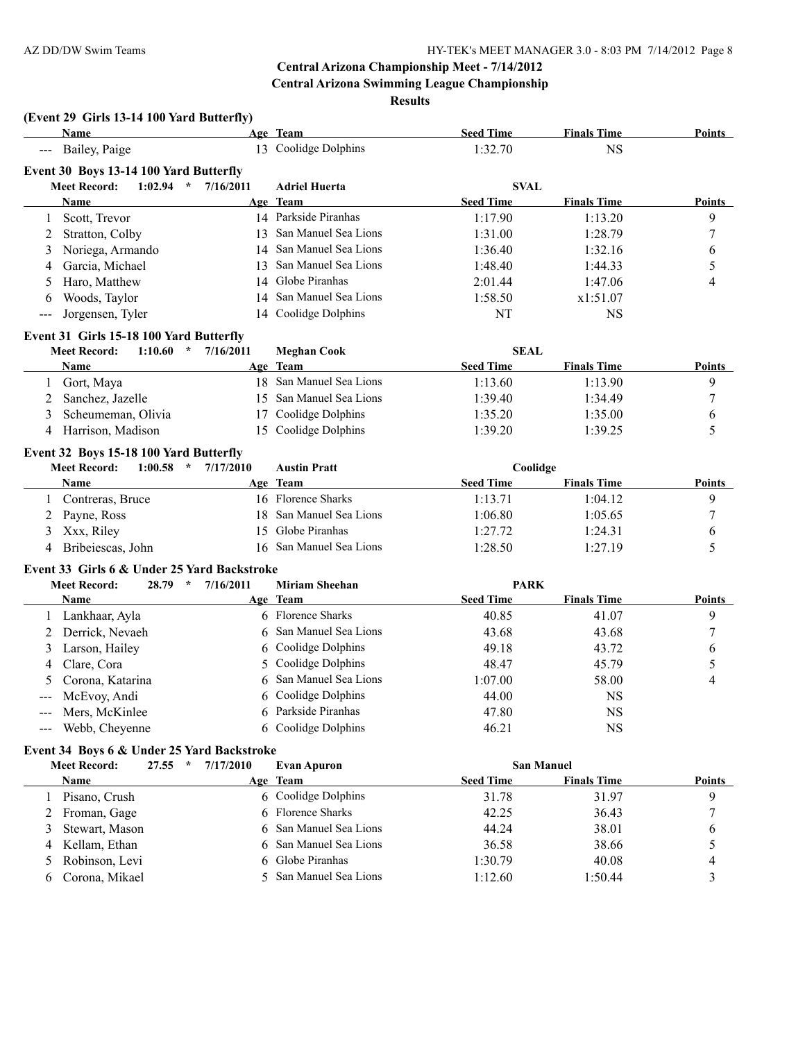**Results**

# **(Event 29 Girls 13-14 100 Yard Butterfly)**

| $($ Event 29 Girls 15-14 Too Tard Butterny<br>Name |           | Age Team                | <b>Seed Time</b> | <b>Finals Time</b> | Points        |
|----------------------------------------------------|-----------|-------------------------|------------------|--------------------|---------------|
| --- Bailey, Paige                                  |           | 13 Coolidge Dolphins    | 1:32.70          | <b>NS</b>          |               |
| Event 30 Boys 13-14 100 Yard Butterfly             |           |                         |                  |                    |               |
| <b>Meet Record:</b><br>1:02.94<br>$\mathcal{R}$    | 7/16/2011 | <b>Adriel Huerta</b>    | <b>SVAL</b>      |                    |               |
| Name                                               |           | Age Team                | <b>Seed Time</b> | <b>Finals Time</b> | <b>Points</b> |
| Scott, Trevor<br>1                                 |           | 14 Parkside Piranhas    | 1:17.90          | 1:13.20            | 9             |
| Stratton, Colby<br>2                               | 13        | San Manuel Sea Lions    | 1:31.00          | 1:28.79            | 7             |
| Noriega, Armando<br>3                              | 14        | San Manuel Sea Lions    | 1:36.40          | 1:32.16            | 6             |
| Garcia, Michael<br>4                               | 13        | San Manuel Sea Lions    | 1:48.40          | 1:44.33            | 5             |
| Haro, Matthew<br>5                                 | 14        | Globe Piranhas          | 2:01.44          | 1:47.06            | 4             |
| Woods, Taylor<br>6                                 | 14        | San Manuel Sea Lions    | 1:58.50          | x1:51.07           |               |
| Jorgensen, Tyler<br>$---$                          | 14        | Coolidge Dolphins       | NT               | <b>NS</b>          |               |
| Event 31 Girls 15-18 100 Yard Butterfly            |           |                         |                  |                    |               |
| $1:10.60$ *<br><b>Meet Record:</b>                 | 7/16/2011 | <b>Meghan Cook</b>      | <b>SEAL</b>      |                    |               |
| Name                                               |           | Age Team                | <b>Seed Time</b> | <b>Finals Time</b> | <b>Points</b> |
| Gort, Maya<br>1                                    |           | 18 San Manuel Sea Lions | 1:13.60          | 1:13.90            | 9             |
| Sanchez, Jazelle<br>2                              |           | 15 San Manuel Sea Lions | 1:39.40          | 1:34.49            | 7             |
| Scheumeman, Olivia<br>3                            | 17        | Coolidge Dolphins       | 1:35.20          | 1:35.00            | 6             |
| Harrison, Madison<br>4                             | 15        | Coolidge Dolphins       | 1:39.20          | 1:39.25            | 5             |
| Event 32 Boys 15-18 100 Yard Butterfly             |           |                         |                  |                    |               |
| <b>Meet Record:</b><br>1:00.58<br>$\star$          | 7/17/2010 | <b>Austin Pratt</b>     | Coolidge         |                    |               |
| Name                                               |           | Age Team                | <b>Seed Time</b> | <b>Finals Time</b> | <b>Points</b> |
| Contreras, Bruce<br>1                              |           | 16 Florence Sharks      | 1:13.71          | 1:04.12            | 9             |
| Payne, Ross<br>2                                   | 18        | San Manuel Sea Lions    | 1:06.80          | 1:05.65            | 7             |
| Xxx, Riley<br>3                                    | 15        | Globe Piranhas          | 1:27.72          | 1:24.31            | 6             |
| Bribeiescas, John<br>4                             | 16        | San Manuel Sea Lions    | 1:28.50          | 1:27.19            | 5             |
| Event 33 Girls 6 & Under 25 Yard Backstroke        |           |                         |                  |                    |               |
| <b>Meet Record:</b><br>$28.79$ *                   | 7/16/2011 | <b>Miriam Sheehan</b>   | <b>PARK</b>      |                    |               |
| Name                                               |           | Age Team                | <b>Seed Time</b> | <b>Finals Time</b> | <b>Points</b> |
| Lankhaar, Ayla                                     |           | 6 Florence Sharks       | 40.85            | 41.07              | 9             |
| Derrick, Nevaeh<br>2                               | 6         | San Manuel Sea Lions    | 43.68            | 43.68              | 7             |
| Larson, Hailey<br>3                                | 6         | Coolidge Dolphins       | 49.18            | 43.72              | 6             |
| Clare, Cora<br>4                                   | 5         | Coolidge Dolphins       | 48.47            | 45.79              | 5             |
| Corona, Katarina<br>5                              |           | San Manuel Sea Lions    | 1:07.00          | 58.00              | 4             |
| McEvoy, Andi<br>$---$                              |           | 6 Coolidge Dolphins     | 44.00            | <b>NS</b>          |               |
| Mers, McKinlee<br>$\qquad \qquad - -$              |           | 6 Parkside Piranhas     | 47.80            | NS                 |               |
| Webb, Cheyenne<br>$\qquad \qquad - -$              | 6         | Coolidge Dolphins       | 46.21            | <b>NS</b>          |               |
| Event 34 Boys 6 & Under 25 Yard Backstroke         |           |                         |                  |                    |               |
| 27.55<br>$\mathcal{R}$<br><b>Meet Record:</b>      | 7/17/2010 | <b>Evan Apuron</b>      |                  | <b>San Manuel</b>  |               |
| Name                                               |           | Age Team                | <b>Seed Time</b> | <b>Finals Time</b> | <b>Points</b> |
| Pisano, Crush                                      |           | 6 Coolidge Dolphins     | 31.78            | 31.97              | 9             |
| Froman, Gage<br>2                                  | 6         | Florence Sharks         | 42.25            | 36.43              | 7             |
| Stewart, Mason<br>3                                | 6         | San Manuel Sea Lions    | 44.24            | 38.01              | 6             |
| Kellam, Ethan<br>4                                 | 6         | San Manuel Sea Lions    | 36.58            | 38.66              | 5             |
| Robinson, Levi<br>5                                | 6         | Globe Piranhas          | 1:30.79          | 40.08              | 4             |
| Corona, Mikael<br>6                                | 5         | San Manuel Sea Lions    | 1:12.60          | 1:50.44            | 3             |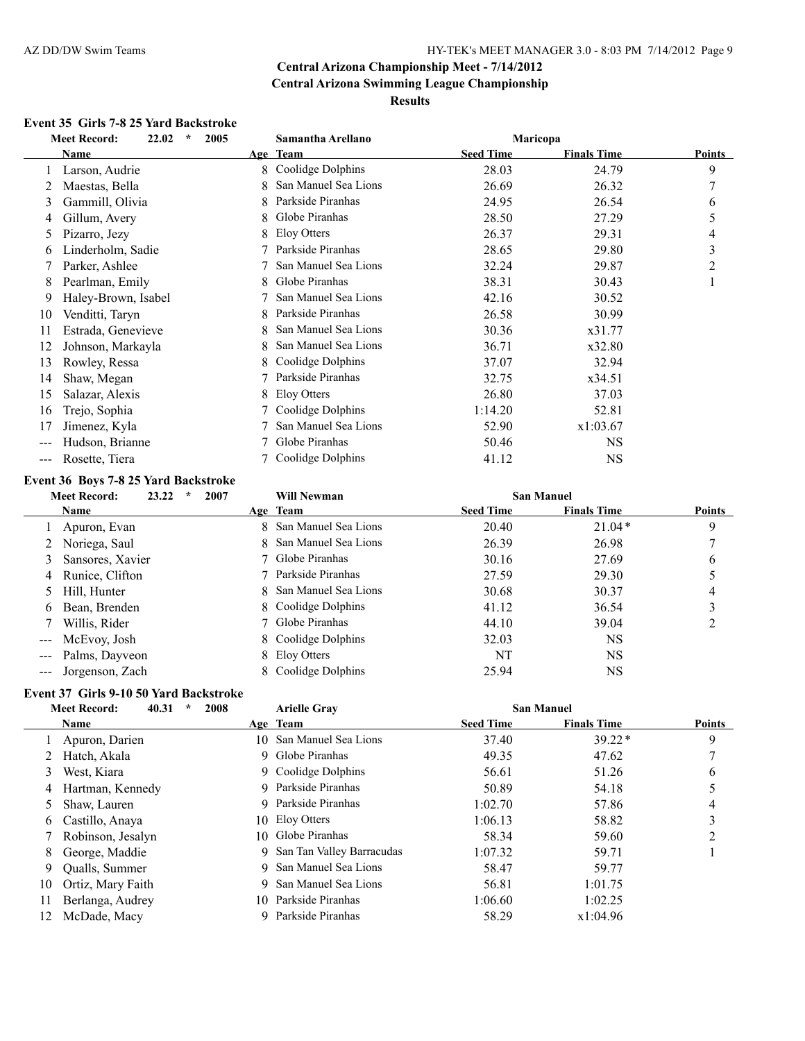# **Event 35 Girls 7-8 25 Yard Backstroke**

|                        | $\star$<br><b>Meet Record:</b><br>22.02<br>2005 |   | Samantha Arellano<br>Maricopa |                  |                    |        |
|------------------------|-------------------------------------------------|---|-------------------------------|------------------|--------------------|--------|
|                        | Name                                            |   | Age Team                      | <b>Seed Time</b> | <b>Finals Time</b> | Points |
|                        | Larson, Audrie                                  | 8 | Coolidge Dolphins             | 28.03            | 24.79              | 9      |
|                        | Maestas, Bella                                  | 8 | San Manuel Sea Lions          | 26.69            | 26.32              | 7      |
| 3                      | Gammill, Olivia                                 | 8 | Parkside Piranhas             | 24.95            | 26.54              | 6      |
| 4                      | Gillum, Avery                                   | 8 | Globe Piranhas                | 28.50            | 27.29              | 5      |
| 5                      | Pizarro, Jezy                                   | 8 | Eloy Otters                   | 26.37            | 29.31              | 4      |
| 6                      | Linderholm, Sadie                               |   | Parkside Piranhas             | 28.65            | 29.80              | 3      |
|                        | Parker, Ashlee                                  |   | San Manuel Sea Lions          | 32.24            | 29.87              | 2      |
| 8                      | Pearlman, Emily                                 | 8 | Globe Piranhas                | 38.31            | 30.43              | 1      |
| 9                      | Haley-Brown, Isabel                             |   | San Manuel Sea Lions          | 42.16            | 30.52              |        |
| 10                     | Venditti, Taryn                                 | 8 | Parkside Piranhas             | 26.58            | 30.99              |        |
| 11                     | Estrada, Genevieve                              | 8 | San Manuel Sea Lions          | 30.36            | x31.77             |        |
| 12                     | Johnson, Markayla                               | 8 | San Manuel Sea Lions          | 36.71            | x32.80             |        |
| 13                     | Rowley, Ressa                                   | 8 | Coolidge Dolphins             | 37.07            | 32.94              |        |
| 14                     | Shaw, Megan                                     |   | Parkside Piranhas             | 32.75            | x34.51             |        |
| 15                     | Salazar, Alexis                                 | 8 | Eloy Otters                   | 26.80            | 37.03              |        |
| 16                     | Trejo, Sophia                                   |   | Coolidge Dolphins             | 1:14.20          | 52.81              |        |
| 17                     | Jimenez, Kyla                                   |   | San Manuel Sea Lions          | 52.90            | x1:03.67           |        |
| ---                    | Hudson, Brianne                                 |   | Globe Piranhas                | 50.46            | <b>NS</b>          |        |
| $\qquad \qquad \cdots$ | Rosette, Tiera                                  |   | Coolidge Dolphins             | 41.12            | <b>NS</b>          |        |

# **Event 36 Boys 7-8 25 Yard Backstroke**

|   | <b>Meet Record:</b><br>23.22<br>2007<br>$\star$ | <b>Will Newman</b>     |                  | <b>San Manuel</b>  |               |
|---|-------------------------------------------------|------------------------|------------------|--------------------|---------------|
|   | <b>Name</b>                                     | Age Team               | <b>Seed Time</b> | <b>Finals Time</b> | <b>Points</b> |
|   | Apuron, Evan                                    | 8 San Manuel Sea Lions | 20.40            | $21.04*$           | 9             |
|   | 2 Noriega, Saul                                 | 8 San Manuel Sea Lions | 26.39            | 26.98              |               |
|   | 3 Sansores, Xavier                              | 7 Globe Piranhas       | 30.16            | 27.69              | 6             |
|   | 4 Runice, Clifton                               | 7 Parkside Piranhas    | 27.59            | 29.30              |               |
|   | 5 Hill, Hunter                                  | 8 San Manuel Sea Lions | 30.68            | 30.37              | 4             |
| 6 | Bean, Brenden                                   | 8 Coolidge Dolphins    | 41.12            | 36.54              |               |
|   | Willis, Rider                                   | 7 Globe Piranhas       | 44.10            | 39.04              |               |
|   | McEvoy, Josh                                    | 8 Coolidge Dolphins    | 32.03            | <b>NS</b>          |               |
|   | Palms, Dayveon                                  | 8 Eloy Otters          | NT               | NS                 |               |
|   | Jorgenson, Zach                                 | 8 Coolidge Dolphins    | 25.94            | NS                 |               |

# **Event 37 Girls 9-10 50 Yard Backstroke**

|    | 40.31<br>$\star$<br>2008<br><b>Meet Record:</b> |     | <b>Arielle Gray</b>         |                  | <b>San Manuel</b>  |               |
|----|-------------------------------------------------|-----|-----------------------------|------------------|--------------------|---------------|
|    | <b>Name</b>                                     |     | Age Team                    | <b>Seed Time</b> | <b>Finals Time</b> | <b>Points</b> |
|    | Apuron, Darien                                  |     | 10 San Manuel Sea Lions     | 37.40            | $39.22*$           | 9             |
|    | Hatch, Akala                                    |     | 9 Globe Piranhas            | 49.35            | 47.62              |               |
| 3  | West, Kiara                                     |     | 9 Coolidge Dolphins         | 56.61            | 51.26              | 6             |
| 4  | Hartman, Kennedy                                |     | 9 Parkside Piranhas         | 50.89            | 54.18              |               |
|    | Shaw, Lauren                                    |     | 9 Parkside Piranhas         | 1:02.70          | 57.86              | 4             |
| 6. | Castillo, Anaya                                 |     | 10 Eloy Otters              | 1:06.13          | 58.82              | 3             |
|    | Robinson, Jesalyn                               | 10. | Globe Piranhas              | 58.34            | 59.60              |               |
| 8. | George, Maddie                                  |     | 9 San Tan Valley Barracudas | 1:07.32          | 59.71              |               |
| 9. | Qualls, Summer                                  |     | 9 San Manuel Sea Lions      | 58.47            | 59.77              |               |
| 10 | Ortiz, Mary Faith                               | 9.  | San Manuel Sea Lions        | 56.81            | 1:01.75            |               |
| 11 | Berlanga, Audrey                                | 10. | Parkside Piranhas           | 1:06.60          | 1:02.25            |               |
| 12 | McDade, Macy                                    | 9   | Parkside Piranhas           | 58.29            | x1:04.96           |               |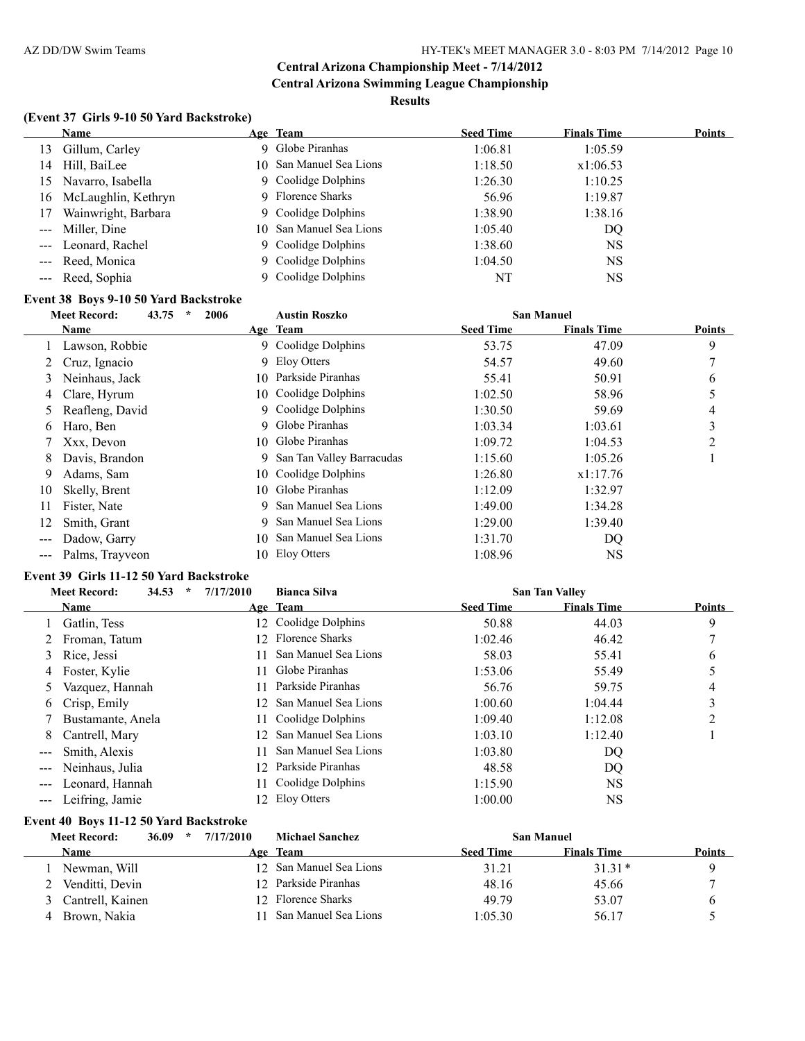# **(Event 37 Girls 9-10 50 Yard Backstroke)**

|    | Name                   | Age Team                | <b>Seed Time</b> | <b>Finals Time</b> | <b>Points</b> |
|----|------------------------|-------------------------|------------------|--------------------|---------------|
|    | 13 Gillum, Carley      | 9 Globe Piranhas        | 1:06.81          | 1:05.59            |               |
|    | 14 Hill, BaiLee        | 10 San Manuel Sea Lions | 1:18.50          | x1:06.53           |               |
|    | 15 Navarro, Isabella   | 9 Coolidge Dolphins     | 1:26.30          | 1:10.25            |               |
|    | 16 McLaughlin, Kethryn | 9 Florence Sharks       | 56.96            | 1:19.87            |               |
| 17 | Wainwright, Barbara    | 9 Coolidge Dolphins     | 1:38.90          | 1:38.16            |               |
|    | --- Miller, Dine       | 10 San Manuel Sea Lions | 1:05.40          | DQ                 |               |
|    | --- Leonard, Rachel    | 9 Coolidge Dolphins     | 1:38.60          | <b>NS</b>          |               |
|    | --- Reed, Monica       | 9 Coolidge Dolphins     | 1:04.50          | <b>NS</b>          |               |
|    | --- Reed, Sophia       | 9 Coolidge Dolphins     | NT               | NS                 |               |

# **Event 38 Boys 9-10 50 Yard Backstroke**

|               | 43.75<br>$\star$<br><b>Meet Record:</b><br>2006 |     | <b>Austin Roszko</b>        | <b>San Manuel</b> |                    |               |
|---------------|-------------------------------------------------|-----|-----------------------------|-------------------|--------------------|---------------|
|               | Name                                            |     | Age Team                    | <b>Seed Time</b>  | <b>Finals Time</b> | <b>Points</b> |
|               | Lawson, Robbie                                  |     | 9 Coolidge Dolphins         | 53.75             | 47.09              | 9             |
|               | Cruz, Ignacio                                   |     | 9 Eloy Otters               | 54.57             | 49.60              |               |
| 3             | Neinhaus, Jack                                  | 10. | Parkside Piranhas           | 55.41             | 50.91              | 6             |
| 4             | Clare, Hyrum                                    |     | 10 Coolidge Dolphins        | 1:02.50           | 58.96              |               |
| 5             | Reafleng, David                                 | 9.  | Coolidge Dolphins           | 1:30.50           | 59.69              | 4             |
| 6             | Haro, Ben                                       |     | 9 Globe Piranhas            | 1:03.34           | 1:03.61            | 3             |
|               | Xxx, Devon                                      |     | 10 Globe Piranhas           | 1:09.72           | 1:04.53            | 2             |
| 8             | Davis, Brandon                                  |     | 9 San Tan Valley Barracudas | 1:15.60           | 1:05.26            |               |
| 9             | Adams, Sam                                      |     | 10 Coolidge Dolphins        | 1:26.80           | x1:17.76           |               |
| 10            | Skelly, Brent                                   |     | 10 Globe Piranhas           | 1:12.09           | 1:32.97            |               |
| 11            | Fister, Nate                                    | 9.  | San Manuel Sea Lions        | 1:49.00           | 1:34.28            |               |
| 12            | Smith, Grant                                    | 9.  | San Manuel Sea Lions        | 1:29.00           | 1:39.40            |               |
| $\frac{1}{2}$ | Dadow, Garry                                    | 10. | San Manuel Sea Lions        | 1:31.70           | DQ                 |               |
|               | Palms, Trayveon                                 | 10. | Eloy Otters                 | 1:08.96           | NS                 |               |

#### **Event 39 Girls 11-12 50 Yard Backstroke**

|                   | <b>Meet Record:</b><br>34.53<br>$\star$ | 7/17/2010 | <b>Bianca Silva</b>     |                  | <b>San Tan Valley</b> |               |
|-------------------|-----------------------------------------|-----------|-------------------------|------------------|-----------------------|---------------|
|                   | Name                                    |           | Age Team                | <b>Seed Time</b> | <b>Finals Time</b>    | <b>Points</b> |
|                   | Gatlin, Tess                            |           | 12 Coolidge Dolphins    | 50.88            | 44.03                 | 9             |
|                   | Froman, Tatum                           |           | 12 Florence Sharks      | 1:02.46          | 46.42                 |               |
| 3                 | Rice, Jessi                             | 11.       | San Manuel Sea Lions    | 58.03            | 55.41                 | 6             |
| 4                 | Foster, Kylie                           | 11        | Globe Piranhas          | 1:53.06          | 55.49                 |               |
|                   | Vazquez, Hannah                         | 11.       | Parkside Piranhas       | 56.76            | 59.75                 | 4             |
| 6                 | Crisp, Emily                            |           | 12 San Manuel Sea Lions | 1:00.60          | 1:04.44               | 3             |
|                   | Bustamante, Anela                       | 11.       | Coolidge Dolphins       | 1:09.40          | 1:12.08               | C             |
| 8.                | Cantrell, Mary                          |           | 12 San Manuel Sea Lions | 1:03.10          | 1:12.40               |               |
| $---$             | Smith, Alexis                           | 11        | San Manuel Sea Lions    | 1:03.80          | DQ                    |               |
|                   | Neinhaus, Julia                         |           | 12 Parkside Piranhas    | 48.58            | DQ                    |               |
| $\qquad \qquad -$ | Leonard, Hannah                         | 11.       | Coolidge Dolphins       | 1:15.90          | <b>NS</b>             |               |
|                   | Leifring, Jamie                         | 12.       | Eloy Otters             | 1:00.00          | NS                    |               |

#### **Event 40 Boys 11-12 50 Yard Backstroke**

|   | <b>Meet Record:</b> | 36.09<br>$\star$ | 7/17/2010 | <b>Michael Sanchez</b>  |                  | <b>San Manuel</b>  |               |
|---|---------------------|------------------|-----------|-------------------------|------------------|--------------------|---------------|
|   | <b>Name</b>         |                  | Age       | Team                    | <b>Seed Time</b> | <b>Finals Time</b> | <b>Points</b> |
|   | Newman, Will        |                  |           | 12 San Manuel Sea Lions | 31.21            | $31.31*$           |               |
|   | Venditti, Devin     |                  |           | 12 Parkside Piranhas    | 48.16            | 45.66              |               |
|   | Cantrell, Kainen    |                  |           | 12 Florence Sharks      | 49.79            | 53.07              |               |
| 4 | Brown, Nakia        |                  |           | San Manuel Sea Lions    | 1:05.30          | 56.17              |               |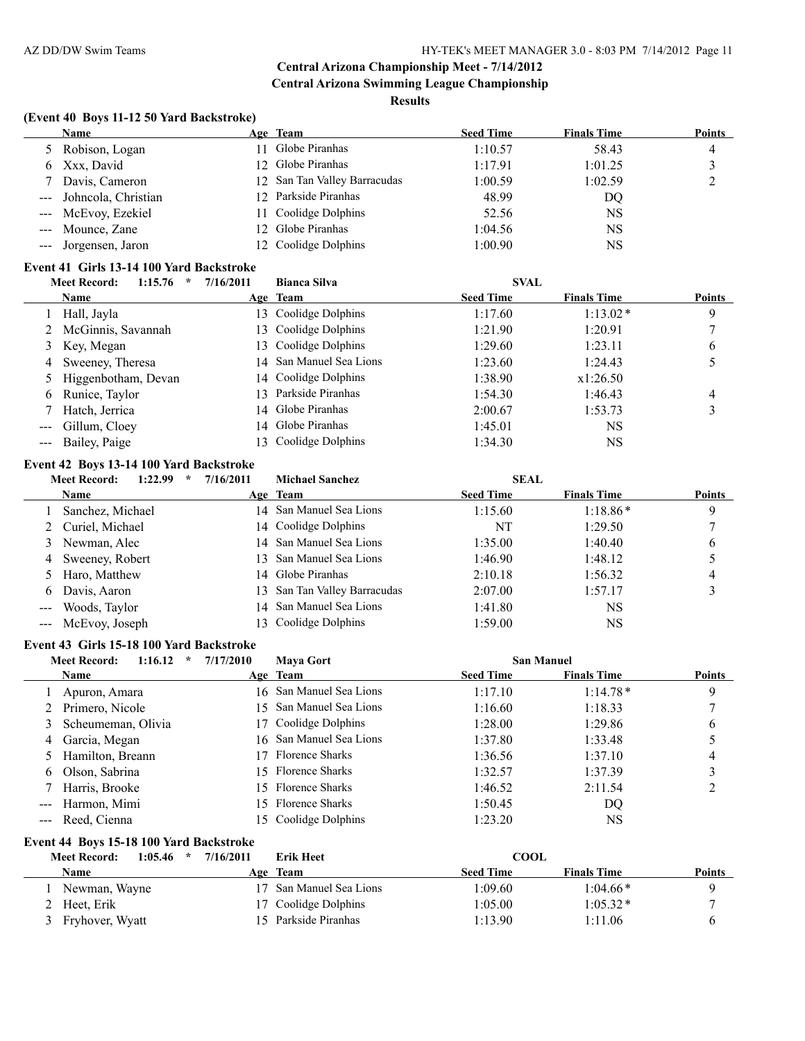#### **Results**

# **(Event 40 Boys 11-12 50 Yard Backstroke)**

| Name                    | Age Team                     | <b>Seed Time</b> | <b>Finals Time</b> | <b>Points</b> |
|-------------------------|------------------------------|------------------|--------------------|---------------|
| 5 Robison, Logan        | 11 Globe Piranhas            | 1:10.57          | 58.43              | 4             |
| 6 Xxx, David            | 12 Globe Piranhas            | 1:17.91          | 1:01.25            |               |
| 7 Davis, Cameron        | 12 San Tan Valley Barracudas | 1:00.59          | 1:02.59            |               |
| --- Johncola, Christian | 12 Parkside Piranhas         | 48.99            | DQ.                |               |
| --- McEvoy, Ezekiel     | 11 Coolidge Dolphins         | 52.56            | NS                 |               |
| --- Mounce, Zane        | 12 Globe Piranhas            | 1:04.56          | NS                 |               |
| --- Jorgensen, Jaron    | 12 Coolidge Dolphins         | 1:00.90          | NS                 |               |

#### **Event 41 Girls 13-14 100 Yard Backstroke**

|                     | 1:15.76<br><b>Meet Record:</b><br>x | 7/16/2011 | <b>Bianca Silva</b>     | <b>SVAL</b>      |                    |               |
|---------------------|-------------------------------------|-----------|-------------------------|------------------|--------------------|---------------|
|                     | Name                                |           | Age Team                | <b>Seed Time</b> | <b>Finals Time</b> | <b>Points</b> |
|                     | Hall, Jayla                         |           | 13 Coolidge Dolphins    | 1:17.60          | $1:13.02*$         | 9             |
|                     | 2 McGinnis, Savannah                |           | 13 Coolidge Dolphins    | 1:21.90          | 1:20.91            |               |
|                     | 3 Key, Megan                        |           | 13 Coolidge Dolphins    | 1:29.60          | 1:23.11            | 6             |
|                     | 4 Sweeney, Theresa                  |           | 14 San Manuel Sea Lions | 1:23.60          | 1:24.43            |               |
|                     | 5 Higgenbotham, Devan               |           | 14 Coolidge Dolphins    | 1:38.90          | x1:26.50           |               |
| 6                   | Runice, Taylor                      |           | 13 Parkside Piranhas    | 1:54.30          | 1:46.43            | 4             |
|                     | Hatch, Jerrica                      |           | 14 Globe Piranhas       | 2:00.67          | 1:53.73            |               |
| $\qquad \qquad - -$ | Gillum, Cloey                       |           | 14 Globe Piranhas       | 1:45.01          | NS                 |               |
|                     | --- Bailey, Paige                   |           | Coolidge Dolphins       | 1:34.30          | NS                 |               |

# **Event 42 Boys 13-14 100 Yard Backstroke**

| 1:22.99<br>$\star$ | 7/16/2011                                                                                                                              | <b>Michael Sanchez</b> | <b>SEAL</b>                                                                                                                                                                                                               |                    |               |
|--------------------|----------------------------------------------------------------------------------------------------------------------------------------|------------------------|---------------------------------------------------------------------------------------------------------------------------------------------------------------------------------------------------------------------------|--------------------|---------------|
| Name               |                                                                                                                                        |                        | <b>Seed Time</b>                                                                                                                                                                                                          | <b>Finals Time</b> | <b>Points</b> |
| Sanchez, Michael   |                                                                                                                                        |                        | 1:15.60                                                                                                                                                                                                                   | $1:18.86*$         | 9             |
|                    |                                                                                                                                        |                        | NT                                                                                                                                                                                                                        | 1:29.50            |               |
|                    |                                                                                                                                        |                        | 1:35.00                                                                                                                                                                                                                   | 1:40.40            | 6             |
|                    |                                                                                                                                        |                        | 1:46.90                                                                                                                                                                                                                   | 1:48.12            |               |
|                    |                                                                                                                                        |                        | 2:10.18                                                                                                                                                                                                                   | 1:56.32            | 4             |
|                    |                                                                                                                                        |                        | 2:07.00                                                                                                                                                                                                                   | 1:57.17            |               |
| Woods, Taylor      |                                                                                                                                        |                        | 1:41.80                                                                                                                                                                                                                   | NS                 |               |
|                    |                                                                                                                                        |                        | 1:59.00                                                                                                                                                                                                                   | NS                 |               |
|                    | <b>Meet Record:</b><br>2 Curiel, Michael<br>3 Newman, Alec<br>Sweeney, Robert<br>5 Haro, Matthew<br>Davis, Aaron<br>--- McEvoy, Joseph |                        | Age Team<br>14 San Manuel Sea Lions<br>14 Coolidge Dolphins<br>14 San Manuel Sea Lions<br>13 San Manuel Sea Lions<br>14 Globe Piranhas<br>13 San Tan Valley Barracudas<br>14 San Manuel Sea Lions<br>13 Coolidge Dolphins |                    |               |

#### **Event 43 Girls 15-18 100 Yard Backstroke**

|                      | 1:16.12<br><b>Meet Record:</b><br>$\star$ | 7/17/2010 | <b>Maya Gort</b>        | <b>San Manuel</b> |                    |               |
|----------------------|-------------------------------------------|-----------|-------------------------|-------------------|--------------------|---------------|
|                      | Name                                      |           | Age Team                | <b>Seed Time</b>  | <b>Finals Time</b> | <b>Points</b> |
|                      | Apuron, Amara                             |           | 16 San Manuel Sea Lions | 1:17.10           | $1:14.78*$         | 9             |
|                      | Primero, Nicole                           | 15.       | San Manuel Sea Lions    | 1:16.60           | 1:18.33            |               |
| 3                    | Scheumeman, Olivia                        |           | 17 Coolidge Dolphins    | 1:28.00           | 1:29.86            | 6             |
| 4                    | Garcia, Megan                             |           | 16 San Manuel Sea Lions | 1:37.80           | 1:33.48            |               |
| 5.                   | Hamilton, Breann                          | 17.       | <b>Florence Sharks</b>  | 1:36.56           | 1:37.10            | 4             |
| 6                    | Olson, Sabrina                            |           | 15 Florence Sharks      | 1:32.57           | 1:37.39            | 3             |
|                      | Harris, Brooke                            |           | 15 Florence Sharks      | 1:46.52           | 2:11.54            | 2             |
| $\sim$ $\sim$ $\sim$ | Harmon, Mimi                              |           | 15 Florence Sharks      | 1:50.45           | DQ                 |               |
| $\qquad \qquad - -$  | Reed, Cienna                              |           | 15 Coolidge Dolphins    | 1:23.20           | NS                 |               |
|                      | Event 44 Boys 15-18 100 Yard Backstroke   |           |                         |                   |                    |               |
|                      | <b>Meet Record:</b><br>1:05.46<br>$\star$ | 7/16/2011 | Erik Heet               | <b>COOL</b>       |                    |               |
|                      | Name                                      |           | Age Team                | <b>Seed Time</b>  | <b>Finals Time</b> | <b>Points</b> |

| <b>Name</b>       | <b>Team</b><br>Age   | Seed Time | <b>Finals Time</b> | <b>Points</b> |
|-------------------|----------------------|-----------|--------------------|---------------|
| Newman, Wayne     | San Manuel Sea Lions | :09.60    | $1:04.66*$         |               |
| 2 Heet, Erik      | 17 Coolidge Dolphins | 1:05.00   | $1:05.32*$         |               |
| 3 Fryhover, Wyatt | 15 Parkside Piranhas | l:13.90   | 1:11.06            |               |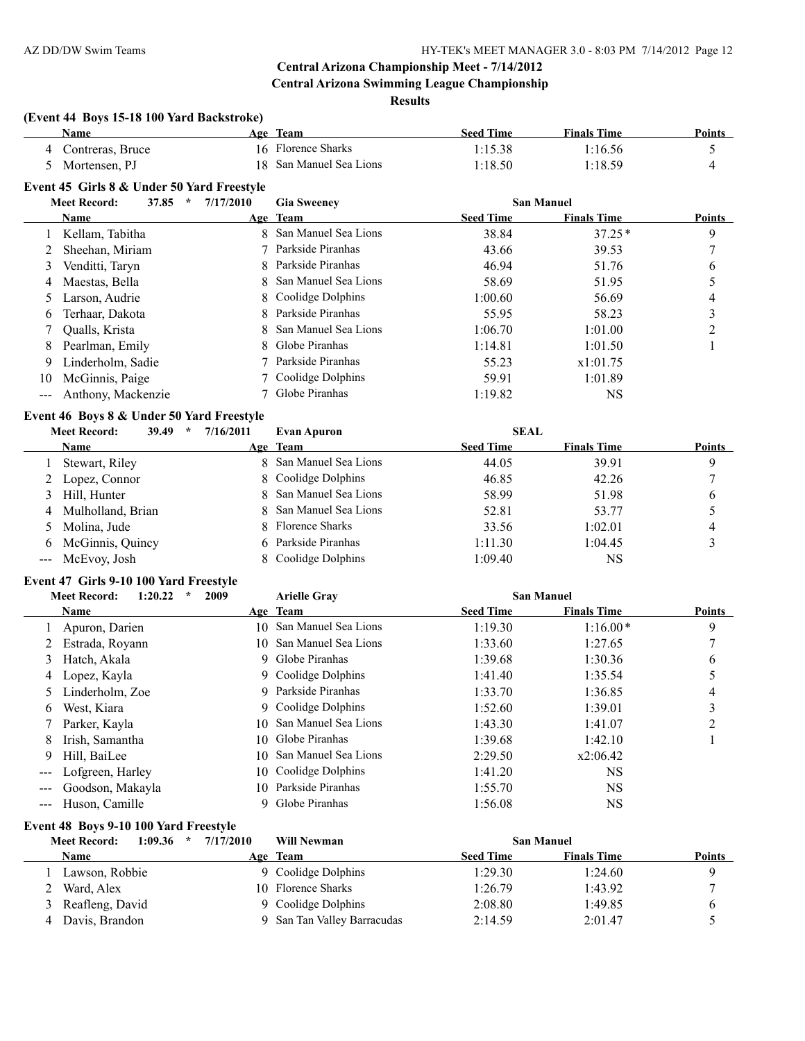#### **Results**

# **(Event 44 Boys 15-18 100 Yard Backstroke)**

|                            | <b>Name</b>                                |           | Age Team               | <b>Seed Time</b> | <b>Finals Time</b> | <b>Points</b> |
|----------------------------|--------------------------------------------|-----------|------------------------|------------------|--------------------|---------------|
|                            | Contreras, Bruce                           | 16        | Florence Sharks        | 1:15.38          | 1:16.56            | 5             |
| 5                          | Mortensen, PJ                              | 18        | San Manuel Sea Lions   | 1:18.50          | 1:18.59            | 4             |
|                            | Event 45 Girls 8 & Under 50 Yard Freestyle |           |                        |                  |                    |               |
|                            | <b>Meet Record:</b><br>37.85<br>$\star$    | 7/17/2010 | <b>Gia Sweeney</b>     |                  | <b>San Manuel</b>  |               |
|                            | Name                                       |           | Age Team               | <b>Seed Time</b> | <b>Finals Time</b> | <b>Points</b> |
|                            | Kellam, Tabitha                            | 8         | San Manuel Sea Lions   | 38.84            | $37.25*$           | 9             |
|                            | Sheehan, Miriam                            |           | Parkside Piranhas      | 43.66            | 39.53              |               |
| 3                          | Venditti, Taryn                            |           | Parkside Piranhas      | 46.94            | 51.76              | 6             |
| 4                          | Maestas, Bella                             | 8         | San Manuel Sea Lions   | 58.69            | 51.95              | 5             |
| $\mathcal{D}$              | Larson, Audrie                             |           | Coolidge Dolphins      | 1:00.60          | 56.69              | 4             |
| 6                          | Terhaar, Dakota                            | 8         | Parkside Piranhas      | 55.95            | 58.23              | 3             |
|                            | Qualls, Krista                             |           | San Manuel Sea Lions   | 1:06.70          | 1:01.00            | 2             |
| 8                          | Pearlman, Emily                            |           | Globe Piranhas         | 1:14.81          | 1:01.50            |               |
| 9                          | Linderholm, Sadie                          |           | Parkside Piranhas      | 55.23            | x1:01.75           |               |
| 10                         | McGinnis, Paige                            |           | Coolidge Dolphins      | 59.91            | 1:01.89            |               |
| $\qquad \qquad \text{---}$ | Anthony, Mackenzie                         |           | Globe Piranhas         | 1:19.82          | <b>NS</b>          |               |
|                            | Event 46 Boys 8 & Under 50 Yard Freestyle  |           |                        |                  |                    |               |
|                            | 39.49<br><b>Meet Record:</b><br>$\star$    | 7/16/2011 | <b>Evan Apuron</b>     | <b>SEAL</b>      |                    |               |
|                            | Name                                       |           | Age Team               | <b>Seed Time</b> | <b>Finals Time</b> | <b>Points</b> |
|                            | Stewart, Riley                             |           | San Manuel Sea Lions   | 44.05            | 39.91              | 9             |
| 2                          | Lopez, Connor                              | 8         | Coolidge Dolphins      | 46.85            | 42.26              | 7             |
| 3                          | Hill, Hunter                               |           | San Manuel Sea Lions   | 58.99            | 51.98              | 6             |
| 4                          | Mulholland, Brian                          |           | San Manuel Sea Lions   | 52.81            | 53.77              | 5             |
| 5                          | Molina, Jude                               |           | <b>Florence Sharks</b> | 33.56            | 1:02.01            | 4             |
| 6                          | McGinnis, Quincy                           | 6         | Parkside Piranhas      | 1:11.30          | 1:04.45            | 3             |
| ---                        | McEvoy, Josh                               |           | Coolidge Dolphins      | 1:09.40          | NS                 |               |

#### **Event 47 Girls 9-10 100 Yard Freestyle**

|       | 2009<br><b>Meet Record:</b><br>1:20.22<br>$\star$ |     | <b>Arielle Gray</b>     | <b>San Manuel</b> |                    |               |
|-------|---------------------------------------------------|-----|-------------------------|-------------------|--------------------|---------------|
|       | Name                                              |     | Age Team                | <b>Seed Time</b>  | <b>Finals Time</b> | <b>Points</b> |
|       | Apuron, Darien                                    | 10- | San Manuel Sea Lions    | 1:19.30           | $1:16.00*$         | 9             |
|       | Estrada, Royann                                   |     | 10 San Manuel Sea Lions | 1:33.60           | 1:27.65            |               |
| 3     | Hatch, Akala                                      |     | 9 Globe Piranhas        | 1:39.68           | 1:30.36            | 6             |
| 4     | Lopez, Kayla                                      |     | 9 Coolidge Dolphins     | 1:41.40           | 1:35.54            |               |
|       | Linderholm, Zoe                                   |     | 9 Parkside Piranhas     | 1:33.70           | 1:36.85            | 4             |
| 6     | West, Kiara                                       |     | 9 Coolidge Dolphins     | 1:52.60           | 1:39.01            |               |
|       | Parker, Kayla                                     |     | 10 San Manuel Sea Lions | 1:43.30           | 1:41.07            | C             |
| 8     | Irish, Samantha                                   | 10. | Globe Piranhas          | 1:39.68           | 1:42.10            |               |
| 9     | Hill, BaiLee                                      | 10. | San Manuel Sea Lions    | 2:29.50           | x2:06.42           |               |
| $---$ | Lofgreen, Harley                                  | 10- | Coolidge Dolphins       | 1:41.20           | NS                 |               |
|       | Goodson, Makayla                                  |     | 10 Parkside Piranhas    | 1:55.70           | NS                 |               |
|       | Huson, Camille                                    |     | 9 Globe Piranhas        | 1:56.08           | NS                 |               |

# **Event 48 Boys 9-10 100 Yard Freestyle**

| 1:09.36<br><b>Meet Record:</b> | 7/17/2010<br><b>Will Newman</b><br>$\star$ |                  | <b>San Manuel</b>  |               |
|--------------------------------|--------------------------------------------|------------------|--------------------|---------------|
| Name                           | Age Team                                   | <b>Seed Time</b> | <b>Finals Time</b> | <b>Points</b> |
| Lawson, Robbie                 | 9 Coolidge Dolphins                        | 1:29.30          | 1:24.60            |               |
| 2 Ward, Alex                   | 10 Florence Sharks                         | 1:26.79          | 1:43.92            |               |
| 3 Reafleng, David              | 9 Coolidge Dolphins                        | 2:08.80          | 1:49.85            |               |
| Davis, Brandon                 | San Tan Valley Barracudas                  | 2:14.59          | 2:01.47            |               |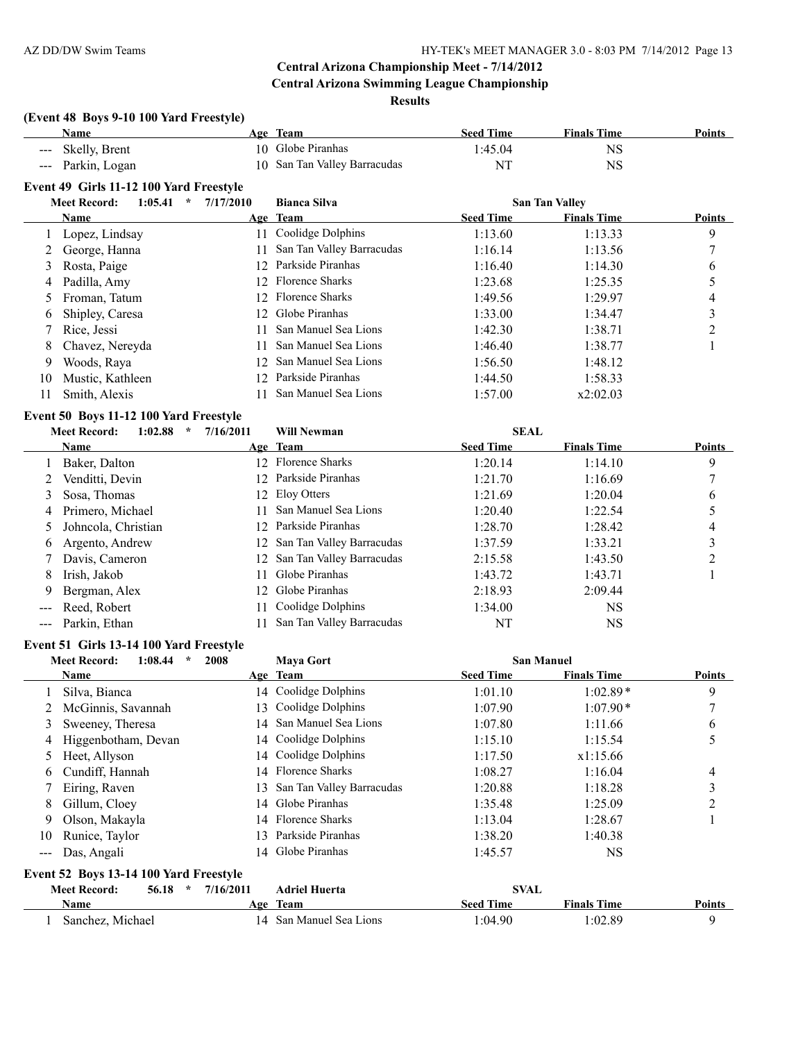**Results**

# **(Event 48 Boys 9-10 100 Yard Freestyle)**

|       | <b>Name</b>                               |           | Age Team                  | <b>Seed Time</b> | <b>Finals Time</b>    | <b>Points</b>  |
|-------|-------------------------------------------|-----------|---------------------------|------------------|-----------------------|----------------|
|       | Skelly, Brent                             |           | 10 Globe Piranhas         | 1:45.04          | <b>NS</b>             |                |
| $---$ | Parkin, Logan                             | 10        | San Tan Valley Barracudas | NT               | <b>NS</b>             |                |
|       | Event 49 Girls 11-12 100 Yard Freestyle   |           |                           |                  |                       |                |
|       | <b>Meet Record:</b><br>1:05.41<br>$\star$ | 7/17/2010 | <b>Bianca Silva</b>       |                  | <b>San Tan Valley</b> |                |
|       | Name                                      |           | Age Team                  | <b>Seed Time</b> | <b>Finals Time</b>    | <b>Points</b>  |
|       | Lopez, Lindsay                            |           | 11 Coolidge Dolphins      | 1:13.60          | 1:13.33               | 9              |
|       | George, Hanna                             | 11        | San Tan Valley Barracudas | 1:16.14          | 1:13.56               | 7              |
| 3     | Rosta, Paige                              | 12        | Parkside Piranhas         | 1:16.40          | 1:14.30               | 6              |
| 4     | Padilla, Amy                              | 12        | <b>Florence Sharks</b>    | 1:23.68          | 1:25.35               | 5              |
| 5     | Froman, Tatum                             | 12        | <b>Florence Sharks</b>    | 1:49.56          | 1:29.97               | 4              |
| 6     | Shipley, Caresa                           | 12        | Globe Piranhas            | 1:33.00          | 1:34.47               | 3              |
|       | Rice, Jessi                               | 11        | San Manuel Sea Lions      | 1:42.30          | 1:38.71               | $\overline{c}$ |
| 8     | Chavez, Nereyda                           | 11        | San Manuel Sea Lions      | 1:46.40          | 1:38.77               |                |
| 9     | Woods, Raya                               | 12        | San Manuel Sea Lions      | 1:56.50          | 1:48.12               |                |
| 10    | Mustic, Kathleen                          | 12        | Parkside Piranhas         | 1:44.50          | 1:58.33               |                |
| 11    | Smith, Alexis                             | 11        | San Manuel Sea Lions      | 1:57.00          | x2:02.03              |                |
|       | Event 50 Boys 11-12 100 Yard Freestyle    |           |                           |                  |                       |                |
|       | <b>Meet Record:</b><br>1:02.88<br>$\star$ | 7/16/2011 | <b>Will Newman</b>        | <b>SEAL</b>      |                       |                |
|       | Name                                      |           | Age Team                  | <b>Seed Time</b> | <b>Finals Time</b>    | <b>Points</b>  |
|       | Baker, Dalton                             |           | 12 Florence Sharks        | 1:20.14          | 1:14.10               | 9              |
|       | Venditti, Devin                           | 12        | Parkside Piranhas         | 1:21.70          | 1:16.69               | 7              |
| 3     | Sosa, Thomas                              | 12        | Eloy Otters               | 1:21.69          | 1:20.04               | 6              |
| 4     | Primero, Michael                          | 11        | San Manuel Sea Lions      | 1:20.40          | 1:22.54               | 5              |
| 5     | Johncola, Christian                       | 12        | Parkside Piranhas         | 1:28.70          | 1:28.42               | 4              |
| 6     | Argento, Andrew                           | 12        | San Tan Valley Barracudas | 1:37.59          | 1:33.21               | 3              |
|       | Davis, Cameron                            | 12        | San Tan Valley Barracudas | 2:15.58          | 1:43.50               | $\overline{c}$ |
| 8     | Irish, Jakob                              | 11        | Globe Piranhas            | 1:43.72          | 1:43.71               | 1              |
| 9     | Bergman, Alex                             | 12        | Globe Piranhas            | 2:18.93          | 2:09.44               |                |
|       | Reed, Robert                              | 11        | Coolidge Dolphins         | 1:34.00          | <b>NS</b>             |                |
| ---   | Parkin, Ethan                             | 11        | San Tan Valley Barracudas | NT               | <b>NS</b>             |                |

#### **Event 51 Girls 13-14 100 Yard Freestyle**

|       | 2008<br><b>Meet Record:</b><br>1:08.44<br>$\star$ |     | <b>Maya Gort</b>          | <b>San Manuel</b> |                    |               |
|-------|---------------------------------------------------|-----|---------------------------|-------------------|--------------------|---------------|
|       | Name                                              |     | Age Team                  | <b>Seed Time</b>  | <b>Finals Time</b> | <b>Points</b> |
|       | Silva, Bianca                                     |     | 14 Coolidge Dolphins      | 1:01.10           | $1:02.89*$         | 9             |
|       | McGinnis, Savannah                                |     | 13 Coolidge Dolphins      | 1:07.90           | $1:07.90*$         |               |
| 3     | Sweeney, Theresa                                  |     | 14 San Manuel Sea Lions   | 1:07.80           | 1:11.66            | 6             |
| 4     | Higgenbotham, Devan                               |     | 14 Coolidge Dolphins      | 1:15.10           | 1:15.54            |               |
| 5     | Heet, Allyson                                     |     | 14 Coolidge Dolphins      | 1:17.50           | x1:15.66           |               |
| 6     | Cundiff, Hannah                                   |     | 14 Florence Sharks        | 1:08.27           | 1:16.04            | 4             |
|       | Eiring, Raven                                     | 13. | San Tan Valley Barracudas | 1:20.88           | 1:18.28            | 3             |
| 8     | Gillum, Cloey                                     |     | 14 Globe Piranhas         | 1:35.48           | 1:25.09            | ↑             |
| 9     | Olson, Makayla                                    |     | 14 Florence Sharks        | 1:13.04           | 1:28.67            |               |
| 10    | Runice, Taylor                                    | 3   | Parkside Piranhas         | 1:38.20           | 1:40.38            |               |
| $---$ | Das, Angali                                       |     | 14 Globe Piranhas         | 1:45.57           | NS                 |               |

# **Event 52 Boys 13-14 100 Yard Freestyle**

| <b>Meet Record:</b> | 56.18<br>$\star$ | 7/16/2011 | <b>Adriel Huerta</b> | <b>SVAL</b>      |                    |        |
|---------------------|------------------|-----------|----------------------|------------------|--------------------|--------|
| Name                |                  | Age       | Team                 | <b>Seed Time</b> | <b>Finals Time</b> | Points |
| Sanchez, Michael    |                  |           | San Manuel Sea Lions | 1:04.90          | 1:02.89            |        |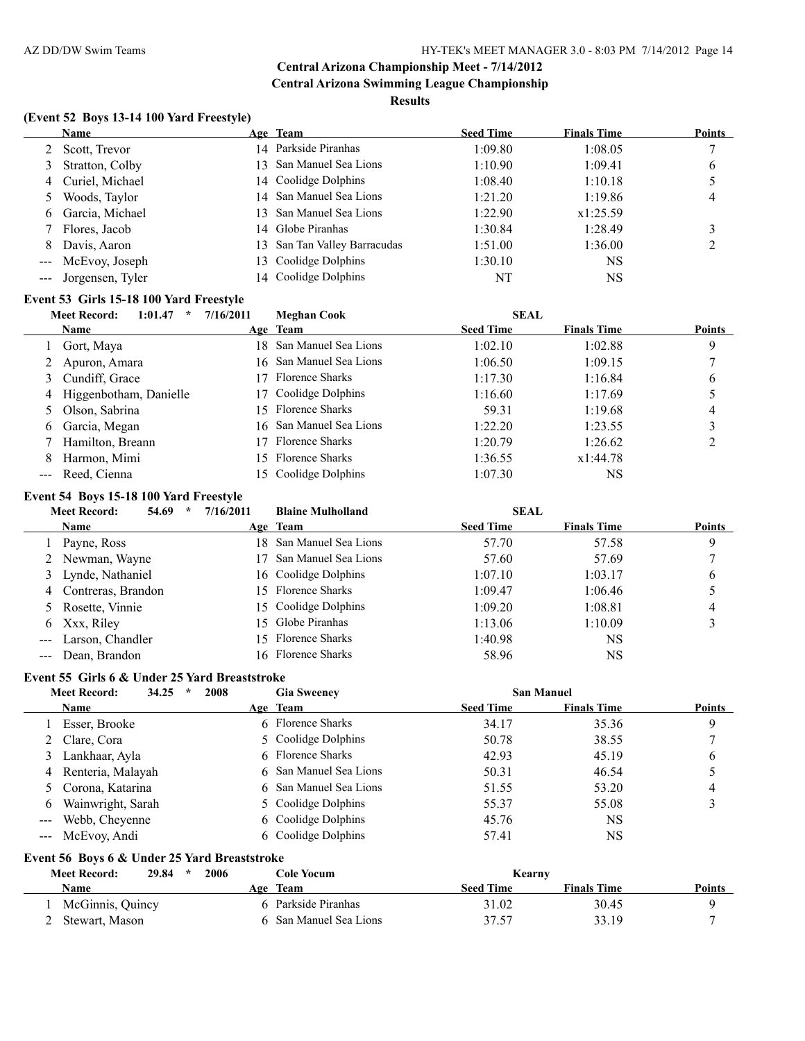#### **Results**

# **(Event 52 Boys 13-14 100 Yard Freestyle)**

|                     | <b>Name</b>          | Age Team                     | <b>Seed Time</b> | <b>Finals Time</b> | <b>Points</b> |
|---------------------|----------------------|------------------------------|------------------|--------------------|---------------|
|                     | Scott, Trevor        | 14 Parkside Piranhas         | 1:09.80          | 1:08.05            |               |
|                     | Stratton, Colby      | 13 San Manuel Sea Lions      | 1:10.90          | 1:09.41            | 6             |
| 4                   | Curiel, Michael      | 14 Coolidge Dolphins         | 1:08.40          | 1:10.18            |               |
|                     | Woods, Taylor        | 14 San Manuel Sea Lions      | 1:21.20          | 1:19.86            | 4             |
| 6                   | Garcia, Michael      | 13 San Manuel Sea Lions      | 1:22.90          | x1:25.59           |               |
|                     | Flores, Jacob        | 14 Globe Piranhas            | 1:30.84          | 1:28.49            |               |
| 8                   | Davis, Aaron         | 13 San Tan Valley Barracudas | 1:51.00          | 1:36.00            |               |
| $\qquad \qquad - -$ | McEvoy, Joseph       | 13 Coolidge Dolphins         | 1:30.10          | <b>NS</b>          |               |
|                     | --- Jorgensen, Tyler | 14 Coolidge Dolphins         | NT               | <b>NS</b>          |               |
|                     |                      |                              |                  |                    |               |

#### **Event 53 Girls 15-18 100 Yard Freestyle**

|   | <b>Meet Record:</b><br>1:01.47<br>$\star$ | 7/16/2011 | Meghan Cook             | <b>SEAL</b>      |                    |               |
|---|-------------------------------------------|-----------|-------------------------|------------------|--------------------|---------------|
|   | Name                                      |           | Age Team                | <b>Seed Time</b> | <b>Finals Time</b> | <b>Points</b> |
|   | Gort, Maya                                |           | 18 San Manuel Sea Lions | 1:02.10          | 1:02.88            | 9             |
|   | Apuron, Amara                             |           | 16 San Manuel Sea Lions | 1:06.50          | 1:09.15            |               |
|   | 3 Cundiff, Grace                          | 17.       | Florence Sharks         | 1:17.30          | 1:16.84            | 6             |
| 4 | Higgenbotham, Danielle                    |           | 17 Coolidge Dolphins    | 1:16.60          | 1:17.69            |               |
|   | Olson, Sabrina                            |           | 15 Florence Sharks      | 59.31            | 1:19.68            | 4             |
| 6 | Garcia, Megan                             |           | 16 San Manuel Sea Lions | 1:22.20          | 1:23.55            |               |
|   | Hamilton, Breann                          | 17.       | <b>Florence Sharks</b>  | 1:20.79          | 1:26.62            |               |
| 8 | Harmon, Mimi                              |           | 15 Florence Sharks      | 1:36.55          | x1:44.78           |               |
|   | --- Reed, Cienna                          |           | 15 Coolidge Dolphins    | 1:07.30          | NS                 |               |

#### **Event 54 Boys 15-18 100 Yard Freestyle**

|                                                                                                                                                                                                                                                                                                                                                                                              | <b>Meet Record:</b><br>54.69<br>$\star$ | 7/16/2011 | <b>Blaine Mulholland</b> | <b>SEAL</b>      |                    |               |
|----------------------------------------------------------------------------------------------------------------------------------------------------------------------------------------------------------------------------------------------------------------------------------------------------------------------------------------------------------------------------------------------|-----------------------------------------|-----------|--------------------------|------------------|--------------------|---------------|
|                                                                                                                                                                                                                                                                                                                                                                                              | <b>Name</b>                             |           | Age Team                 | <b>Seed Time</b> | <b>Finals Time</b> | <b>Points</b> |
|                                                                                                                                                                                                                                                                                                                                                                                              | Payne, Ross                             |           | 18 San Manuel Sea Lions  | 57.70            | 57.58              | 9             |
|                                                                                                                                                                                                                                                                                                                                                                                              | 2 Newman, Wayne                         |           | San Manuel Sea Lions     | 57.60            | 57.69              |               |
|                                                                                                                                                                                                                                                                                                                                                                                              | 3 Lynde, Nathaniel                      |           | 16 Coolidge Dolphins     | 1:07.10          | 1:03.17            | b             |
|                                                                                                                                                                                                                                                                                                                                                                                              | 4 Contreras, Brandon                    |           | 15 Florence Sharks       | 1:09.47          | 1:06.46            |               |
|                                                                                                                                                                                                                                                                                                                                                                                              | 5 Rosette, Vinnie                       |           | 15 Coolidge Dolphins     | 1:09.20          | 1:08.81            | 4             |
|                                                                                                                                                                                                                                                                                                                                                                                              | 6 Xxx, Riley                            |           | 15 Globe Piranhas        | 1:13.06          | 1:10.09            |               |
| $\frac{1}{2} \frac{1}{2} \frac{1}{2} \frac{1}{2} \frac{1}{2} \frac{1}{2} \frac{1}{2} \frac{1}{2} \frac{1}{2} \frac{1}{2} \frac{1}{2} \frac{1}{2} \frac{1}{2} \frac{1}{2} \frac{1}{2} \frac{1}{2} \frac{1}{2} \frac{1}{2} \frac{1}{2} \frac{1}{2} \frac{1}{2} \frac{1}{2} \frac{1}{2} \frac{1}{2} \frac{1}{2} \frac{1}{2} \frac{1}{2} \frac{1}{2} \frac{1}{2} \frac{1}{2} \frac{1}{2} \frac{$ | Larson, Chandler                        |           | 15 Florence Sharks       | 1:40.98          | NS                 |               |
|                                                                                                                                                                                                                                                                                                                                                                                              | --- Dean, Brandon                       |           | 16 Florence Sharks       | 58.96            | NS                 |               |

#### **Event 55 Girls 6 & Under 25 Yard Breaststroke**

|                                                                                                                                                                                                                                                                                                                                                                                                                                                                            | 34.25<br>2008<br><b>Meet Record:</b><br>$\star$ |  | <b>San Manuel</b><br><b>Gia Sweeney</b> |                  |                    |               |
|----------------------------------------------------------------------------------------------------------------------------------------------------------------------------------------------------------------------------------------------------------------------------------------------------------------------------------------------------------------------------------------------------------------------------------------------------------------------------|-------------------------------------------------|--|-----------------------------------------|------------------|--------------------|---------------|
|                                                                                                                                                                                                                                                                                                                                                                                                                                                                            | Name                                            |  | Age Team                                | <b>Seed Time</b> | <b>Finals Time</b> | <b>Points</b> |
|                                                                                                                                                                                                                                                                                                                                                                                                                                                                            | Esser, Brooke                                   |  | 6 Florence Sharks                       | 34.17            | 35.36              | 9             |
|                                                                                                                                                                                                                                                                                                                                                                                                                                                                            | 2 Clare, Cora                                   |  | 5 Coolidge Dolphins                     | 50.78            | 38.55              |               |
| 3                                                                                                                                                                                                                                                                                                                                                                                                                                                                          | Lankhaar, Ayla                                  |  | 6 Florence Sharks                       | 42.93            | 45.19              | 6             |
|                                                                                                                                                                                                                                                                                                                                                                                                                                                                            | 4 Renteria, Malayah                             |  | 6 San Manuel Sea Lions                  | 50.31            | 46.54              |               |
|                                                                                                                                                                                                                                                                                                                                                                                                                                                                            | 5 Corona, Katarina                              |  | 6 San Manuel Sea Lions                  | 51.55            | 53.20              | 4             |
| 6                                                                                                                                                                                                                                                                                                                                                                                                                                                                          | Wainwright, Sarah                               |  | 5 Coolidge Dolphins                     | 55.37            | 55.08              |               |
| $\frac{1}{2} \left( \frac{1}{2} \right) \left( \frac{1}{2} \right) \left( \frac{1}{2} \right) \left( \frac{1}{2} \right) \left( \frac{1}{2} \right) \left( \frac{1}{2} \right) \left( \frac{1}{2} \right) \left( \frac{1}{2} \right) \left( \frac{1}{2} \right) \left( \frac{1}{2} \right) \left( \frac{1}{2} \right) \left( \frac{1}{2} \right) \left( \frac{1}{2} \right) \left( \frac{1}{2} \right) \left( \frac{1}{2} \right) \left( \frac{1}{2} \right) \left( \frac$ | Webb, Cheyenne                                  |  | 6 Coolidge Dolphins                     | 45.76            | <b>NS</b>          |               |
|                                                                                                                                                                                                                                                                                                                                                                                                                                                                            | --- McEvoy, Andi                                |  | 6 Coolidge Dolphins                     | 57.41            | NS                 |               |

# **Event 56 Boys 6 & Under 25 Yard Breaststroke**

| <b>Meet Record:</b> | 2006<br>29.84<br>$\star$ | Cole Yocum           |                  | Kearny             |        |
|---------------------|--------------------------|----------------------|------------------|--------------------|--------|
| Name                |                          | Age Team             | <b>Seed Time</b> | <b>Finals Time</b> | Points |
| McGinnis, Quincy    |                          | Parkside Piranhas    | 31.02            | 30.45              |        |
| Stewart, Mason      |                          | San Manuel Sea Lions | 37.57            | 33.19              |        |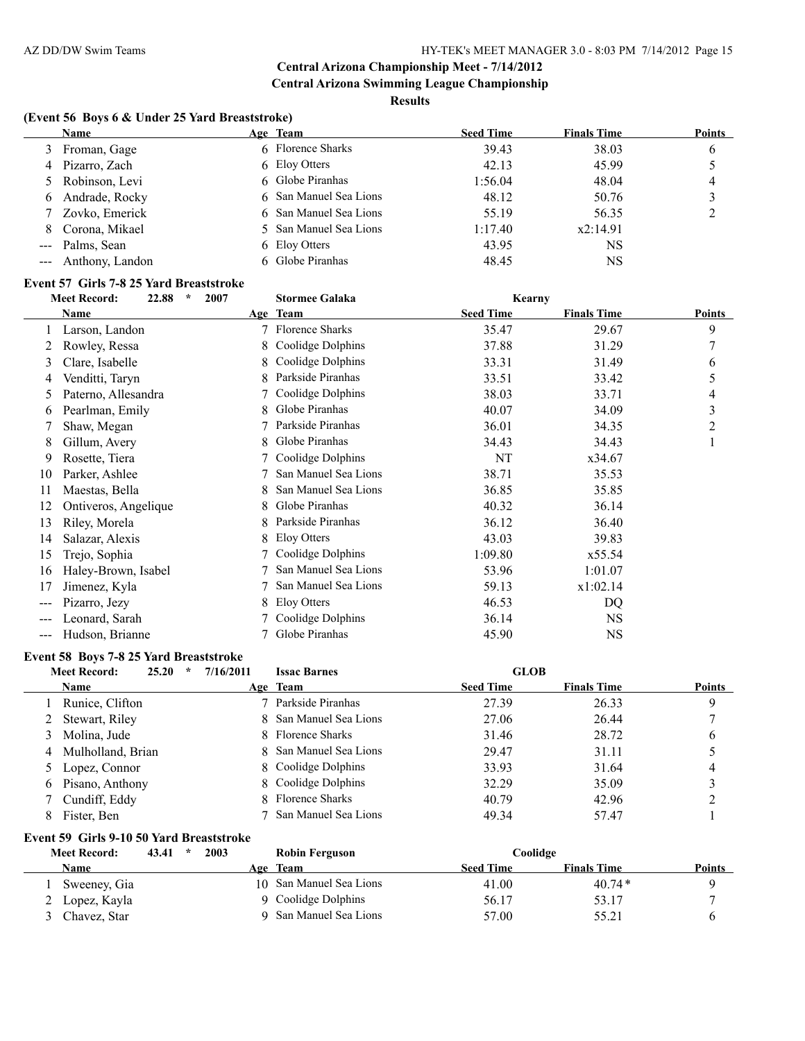**Central Arizona Swimming League Championship Results**

# **(Event 56 Boys 6 & Under 25 Yard Breaststroke)**

|   | <b>Name</b>         | Age Team               | <b>Seed Time</b> | <b>Finals Time</b> | <b>Points</b> |
|---|---------------------|------------------------|------------------|--------------------|---------------|
|   | 3 Froman, Gage      | 6 Florence Sharks      | 39.43            | 38.03              | b             |
| 4 | Pizarro, Zach       | 6 Eloy Otters          | 42.13            | 45.99              |               |
|   | 5 Robinson, Levi    | 6 Globe Piranhas       | 1:56.04          | 48.04              | 4             |
| 6 | Andrade, Rocky      | 6 San Manuel Sea Lions | 48.12            | 50.76              |               |
|   | Zovko, Emerick      | 6 San Manuel Sea Lions | 55.19            | 56.35              |               |
| 8 | Corona, Mikael      | 5 San Manuel Sea Lions | 1:17.40          | x2:14.91           |               |
|   | --- Palms, Sean     | 6 Eloy Otters          | 43.95            | NS                 |               |
|   | --- Anthony, Landon | 6 Globe Piranhas       | 48.45            | NS                 |               |

# **Event 57 Girls 7-8 25 Yard Breaststroke**

| $\star$<br><b>Meet Record:</b><br>22.88 |                      | 2007 | <b>Stormee Galaka</b>  | Kearny           |                    |                |
|-----------------------------------------|----------------------|------|------------------------|------------------|--------------------|----------------|
|                                         | Name                 |      | Age Team               | <b>Seed Time</b> | <b>Finals Time</b> | <b>Points</b>  |
|                                         | Larson, Landon       | 7    | <b>Florence Sharks</b> | 35.47            | 29.67              | 9              |
| 2                                       | Rowley, Ressa        | 8.   | Coolidge Dolphins      | 37.88            | 31.29              | 7              |
| 3                                       | Clare, Isabelle      | 8    | Coolidge Dolphins      | 33.31            | 31.49              | 6              |
| 4                                       | Venditti, Taryn      | 8.   | Parkside Piranhas      | 33.51            | 33.42              | 5              |
| 5                                       | Paterno, Allesandra  |      | Coolidge Dolphins      | 38.03            | 33.71              | 4              |
| 6                                       | Pearlman, Emily      |      | Globe Piranhas         | 40.07            | 34.09              | 3              |
|                                         | Shaw, Megan          |      | Parkside Piranhas      | 36.01            | 34.35              | $\overline{2}$ |
| 8                                       | Gillum, Avery        | 8    | Globe Piranhas         | 34.43            | 34.43              | 1              |
| 9                                       | Rosette, Tiera       |      | Coolidge Dolphins      | NT               | x34.67             |                |
| 10                                      | Parker, Ashlee       |      | San Manuel Sea Lions   | 38.71            | 35.53              |                |
| 11                                      | Maestas, Bella       |      | San Manuel Sea Lions   | 36.85            | 35.85              |                |
| 12                                      | Ontiveros, Angelique | 8    | Globe Piranhas         | 40.32            | 36.14              |                |
| 13                                      | Riley, Morela        | 8    | Parkside Piranhas      | 36.12            | 36.40              |                |
| 14                                      | Salazar, Alexis      | 8    | Eloy Otters            | 43.03            | 39.83              |                |
| 15                                      | Trejo, Sophia        |      | Coolidge Dolphins      | 1:09.80          | x55.54             |                |
| 16                                      | Haley-Brown, Isabel  |      | San Manuel Sea Lions   | 53.96            | 1:01.07            |                |
| 17                                      | Jimenez, Kyla        |      | San Manuel Sea Lions   | 59.13            | x1:02.14           |                |
| $\qquad \qquad \cdots$                  | Pizarro, Jezy        |      | Eloy Otters            | 46.53            | DQ                 |                |
| $\frac{1}{2}$                           | Leonard, Sarah       |      | Coolidge Dolphins      | 36.14            | NS.                |                |
| ---                                     | Hudson, Brianne      |      | Globe Piranhas         | 45.90            | <b>NS</b>          |                |

#### **Event 58 Boys 7-8 25 Yard Breaststroke**

|    | <b>Meet Record:</b><br>25.20<br>$\star$ | 7/16/2011 | <b>Issac Barnes</b>    | <b>GLOB</b>      |                    |               |
|----|-----------------------------------------|-----------|------------------------|------------------|--------------------|---------------|
|    | <b>Name</b>                             |           | Age Team               | <b>Seed Time</b> | <b>Finals Time</b> | <b>Points</b> |
|    | 1 Runice, Clifton                       |           | Parkside Piranhas      | 27.39            | 26.33              | 9             |
|    | 2 Stewart, Riley                        |           | 8 San Manuel Sea Lions | 27.06            | 26.44              |               |
|    | 3 Molina, Jude                          |           | 8 Florence Sharks      | 31.46            | 28.72              | 6             |
|    | 4 Mulholland, Brian                     |           | 8 San Manuel Sea Lions | 29.47            | 31.11              |               |
|    | 5 Lopez, Connor                         |           | 8 Coolidge Dolphins    | 33.93            | 31.64              | 4             |
|    | 6 Pisano, Anthony                       |           | 8 Coolidge Dolphins    | 32.29            | 35.09              |               |
|    | 7 Cundiff, Eddy                         |           | 8 Florence Sharks      | 40.79            | 42.96              |               |
| 8. | Fister, Ben                             |           | San Manuel Sea Lions   | 49.34            | 57.47              |               |

#### **Event 59 Girls 9-10 50 Yard Breaststroke**

| <b>Meet Record:</b> | 2003<br>43.41<br>$\star$ | Robin Ferguson          | Coolidge         |                    |               |
|---------------------|--------------------------|-------------------------|------------------|--------------------|---------------|
| Name                |                          | Age Team                | <b>Seed Time</b> | <b>Finals Time</b> | <b>Points</b> |
| Sweeney, Gia        |                          | 10 San Manuel Sea Lions | 41.00            | $40.74*$           |               |
| 2 Lopez, Kayla      |                          | 9 Coolidge Dolphins     | 56.17            | 53.17              |               |
| Chavez, Star        |                          | San Manuel Sea Lions    | 57.00            | 55.21              |               |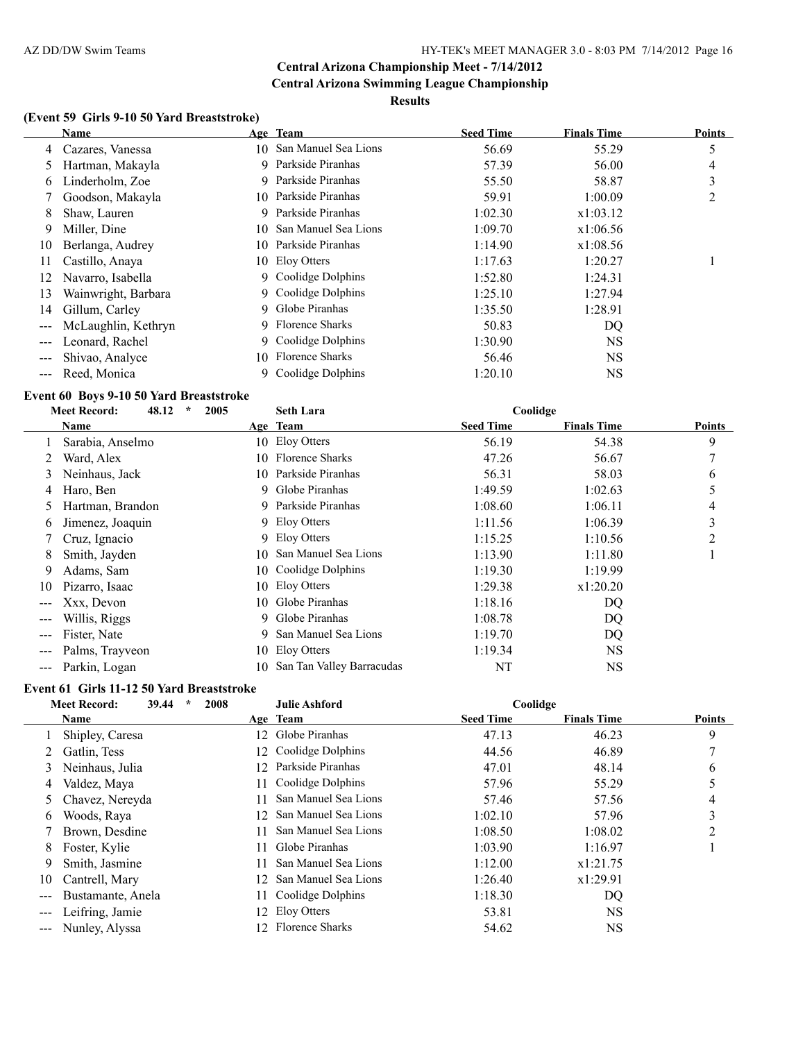#### **Results**

# **(Event 59 Girls 9-10 50 Yard Breaststroke)**

|       | <b>Name</b>         |     | Age Team                | <b>Seed Time</b> | <b>Finals Time</b> | <b>Points</b> |
|-------|---------------------|-----|-------------------------|------------------|--------------------|---------------|
| 4     | Cazares, Vanessa    |     | 10 San Manuel Sea Lions | 56.69            | 55.29              | 5             |
| 5     | Hartman, Makayla    | 9   | Parkside Piranhas       | 57.39            | 56.00              | 4             |
| 6     | Linderholm, Zoe     |     | 9 Parkside Piranhas     | 55.50            | 58.87              | 3             |
|       | Goodson, Makayla    |     | 10 Parkside Piranhas    | 59.91            | 1:00.09            | 2             |
| 8     | Shaw, Lauren        |     | 9 Parkside Piranhas     | 1:02.30          | x1:03.12           |               |
| 9     | Miller, Dine        | 10  | San Manuel Sea Lions    | 1:09.70          | x1:06.56           |               |
| 10    | Berlanga, Audrey    | 10  | Parkside Piranhas       | 1:14.90          | x1:08.56           |               |
| 11    | Castillo, Anaya     |     | 10 Eloy Otters          | 1:17.63          | 1:20.27            |               |
| 12    | Navarro, Isabella   |     | 9 Coolidge Dolphins     | 1:52.80          | 1:24.31            |               |
| 13    | Wainwright, Barbara |     | 9 Coolidge Dolphins     | 1:25.10          | 1:27.94            |               |
| 14    | Gillum, Carley      |     | 9 Globe Piranhas        | 1:35.50          | 1:28.91            |               |
|       | McLaughlin, Kethryn |     | 9 Florence Sharks       | 50.83            | DQ                 |               |
| $---$ | Leonard, Rachel     |     | 9 Coolidge Dolphins     | 1:30.90          | <b>NS</b>          |               |
|       | Shivao, Analyce     | 10. | <b>Florence Sharks</b>  | 56.46            | NS.                |               |
|       | Reed, Monica        | 9.  | Coolidge Dolphins       | 1:20.10          | NS                 |               |

#### **Event 60 Boys 9-10 50 Yard Breaststroke**

|                        | 48.12<br><b>Meet Record:</b><br>2005<br>$\ast$ | Coolidge<br><b>Seth Lara</b> |                           |                  |                    |               |
|------------------------|------------------------------------------------|------------------------------|---------------------------|------------------|--------------------|---------------|
|                        | Name                                           |                              | Age Team                  | <b>Seed Time</b> | <b>Finals Time</b> | <b>Points</b> |
|                        | Sarabia, Anselmo                               |                              | 10 Eloy Otters            | 56.19            | 54.38              | 9             |
|                        | Ward, Alex                                     | 10                           | <b>Florence Sharks</b>    | 47.26            | 56.67              |               |
| 3                      | Neinhaus, Jack                                 | 10.                          | Parkside Piranhas         | 56.31            | 58.03              | 6             |
| 4                      | Haro, Ben                                      | 9.                           | Globe Piranhas            | 1:49.59          | 1:02.63            |               |
| 5                      | Hartman, Brandon                               | 9.                           | Parkside Piranhas         | 1:08.60          | 1:06.11            | 4             |
| O                      | Jimenez, Joaquin                               |                              | 9 Eloy Otters             | 1:11.56          | 1:06.39            | 3             |
|                        | Cruz, Ignacio                                  | 9                            | Eloy Otters               | 1:15.25          | 1:10.56            | 2             |
| 8                      | Smith, Jayden                                  | 10                           | San Manuel Sea Lions      | 1:13.90          | 1:11.80            |               |
| 9                      | Adams, Sam                                     | 10-                          | Coolidge Dolphins         | 1:19.30          | 1:19.99            |               |
| 10                     | Pizarro, Isaac                                 | 10.                          | Eloy Otters               | 1:29.38          | x1:20.20           |               |
| $\qquad \qquad -$      | Xxx, Devon                                     | 10-                          | Globe Piranhas            | 1:18.16          | DQ                 |               |
| $\qquad \qquad \cdots$ | Willis, Riggs                                  | 9                            | Globe Piranhas            | 1:08.78          | DQ                 |               |
|                        | Fister, Nate                                   | 9                            | San Manuel Sea Lions      | 1:19.70          | DQ                 |               |
|                        | Palms, Trayveon                                | 10                           | Eloy Otters               | 1:19.34          | <b>NS</b>          |               |
| $\qquad \qquad -$      | Parkin, Logan                                  | 10                           | San Tan Valley Barracudas | NT               | <b>NS</b>          |               |

# **Event 61 Girls 11-12 50 Yard Breaststroke**

|       | 39.44<br>$\star$<br><b>Meet Record:</b> | Coolidge<br>2008<br><b>Julie Ashford</b> |                        |                  |                    |               |
|-------|-----------------------------------------|------------------------------------------|------------------------|------------------|--------------------|---------------|
|       | Name                                    |                                          | Age Team               | <b>Seed Time</b> | <b>Finals Time</b> | <b>Points</b> |
|       | Shipley, Caresa                         | 12                                       | Globe Piranhas         | 47.13            | 46.23              | 9             |
|       | Gatlin, Tess                            | 12.                                      | Coolidge Dolphins      | 44.56            | 46.89              |               |
| 3     | Neinhaus, Julia                         | 12                                       | Parkside Piranhas      | 47.01            | 48.14              | 6             |
| 4     | Valdez, Maya                            | 11                                       | Coolidge Dolphins      | 57.96            | 55.29              |               |
| 5     | Chavez, Nereyda                         | 11.                                      | San Manuel Sea Lions   | 57.46            | 57.56              | 4             |
| 6     | Woods, Raya                             | 12                                       | San Manuel Sea Lions   | 1:02.10          | 57.96              | 3             |
|       | Brown, Desdine                          | 11.                                      | San Manuel Sea Lions   | 1:08.50          | 1:08.02            | 2             |
| 8     | Foster, Kylie                           | 11                                       | Globe Piranhas         | 1:03.90          | 1:16.97            |               |
| 9     | Smith, Jasmine                          | 11                                       | San Manuel Sea Lions   | 1:12.00          | x1:21.75           |               |
| 10    | Cantrell, Mary                          | 12                                       | San Manuel Sea Lions   | 1:26.40          | x1:29.91           |               |
|       | Bustamante, Anela                       | 11                                       | Coolidge Dolphins      | 1:18.30          | DQ                 |               |
| $---$ | Leifring, Jamie                         | 12                                       | Eloy Otters            | 53.81            | <b>NS</b>          |               |
|       | Nunley, Alyssa                          | $\mathcal{D}$                            | <b>Florence Sharks</b> | 54.62            | NS                 |               |
|       |                                         |                                          |                        |                  |                    |               |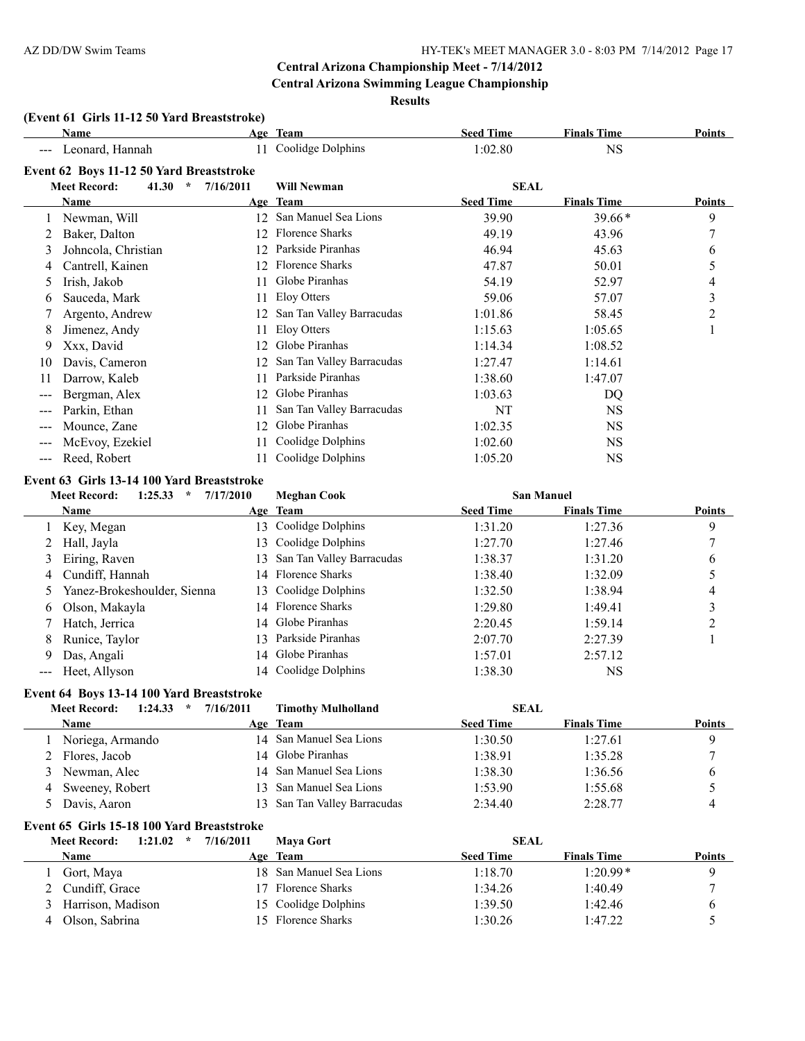#### **Results**

# **(Event 61 Girls 11-12 50 Yard Breaststroke)**

|                   | Name                                     |           | Age Team                  | <b>Seed Time</b> | <b>Finals Time</b> | Points |
|-------------------|------------------------------------------|-----------|---------------------------|------------------|--------------------|--------|
|                   | Leonard, Hannah                          | 11        | Coolidge Dolphins         | 1:02.80          | <b>NS</b>          |        |
|                   | Event 62 Boys 11-12 50 Yard Breaststroke |           |                           |                  |                    |        |
|                   | <b>Meet Record:</b><br>41.30<br>$\star$  | 7/16/2011 | <b>Will Newman</b>        | <b>SEAL</b>      |                    |        |
|                   | Name                                     |           | Age Team                  | <b>Seed Time</b> | <b>Finals Time</b> | Points |
|                   | Newman, Will                             | 12        | San Manuel Sea Lions      | 39.90            | $39.66*$           | 9      |
|                   | Baker, Dalton                            | 12.       | <b>Florence Sharks</b>    | 49.19            | 43.96              | 7      |
| 3                 | Johncola, Christian                      | 12        | Parkside Piranhas         | 46.94            | 45.63              | 6      |
| 4                 | Cantrell, Kainen                         | 12.       | <b>Florence Sharks</b>    | 47.87            | 50.01              | 5      |
| $\mathcal{L}$     | Irish, Jakob                             |           | Globe Piranhas            | 54.19            | 52.97              | 4      |
| 6                 | Sauceda, Mark                            |           | Eloy Otters               | 59.06            | 57.07              | 3      |
|                   | Argento, Andrew                          | 12        | San Tan Valley Barracudas | 1:01.86          | 58.45              | 2      |
| 8                 | Jimenez, Andy                            |           | Eloy Otters               | 1:15.63          | 1:05.65            |        |
| 9                 | Xxx, David                               | 12        | Globe Piranhas            | 1:14.34          | 1:08.52            |        |
| 10                | Davis, Cameron                           | 12        | San Tan Valley Barracudas | 1:27.47          | 1:14.61            |        |
| 11                | Darrow, Kaleb                            |           | Parkside Piranhas         | 1:38.60          | 1:47.07            |        |
|                   | Bergman, Alex                            | 12        | Globe Piranhas            | 1:03.63          | DQ                 |        |
| $---$             | Parkin, Ethan                            | 11        | San Tan Valley Barracudas | NT               | <b>NS</b>          |        |
| $---$             | Mounce, Zane                             | 12        | Globe Piranhas            | 1:02.35          | <b>NS</b>          |        |
|                   | McEvoy, Ezekiel                          | 11        | Coolidge Dolphins         | 1:02.60          | <b>NS</b>          |        |
| $\qquad \qquad -$ | Reed, Robert                             |           | Coolidge Dolphins         | 1:05.20          | NS                 |        |

#### **Event 63 Girls 13-14 100 Yard Breaststroke**

|    | <b>Meet Record:</b><br>1:25.33<br>$\star$ |     | 7/17/2010<br><b>Meghan Cook</b> |                  | <b>San Manuel</b>  |               |
|----|-------------------------------------------|-----|---------------------------------|------------------|--------------------|---------------|
|    | <b>Name</b>                               |     | Age Team                        | <b>Seed Time</b> | <b>Finals Time</b> | <b>Points</b> |
|    | 1 Key, Megan                              | 13  | Coolidge Dolphins               | 1:31.20          | 1:27.36            | 9             |
|    | Hall, Jayla                               |     | 13 Coolidge Dolphins            | 1:27.70          | 1:27.46            |               |
| 3  | Eiring, Raven                             |     | 13 San Tan Valley Barracudas    | 1:38.37          | 1:31.20            | 6             |
|    | 4 Cundiff, Hannah                         |     | 14 Florence Sharks              | 1:38.40          | 1:32.09            |               |
|    | Yanez-Brokeshoulder, Sienna               |     | 13 Coolidge Dolphins            | 1:32.50          | 1:38.94            | 4             |
| 6. | Olson, Makayla                            |     | 14 Florence Sharks              | 1:29.80          | 1:49.41            |               |
|    | Hatch, Jerrica                            |     | 14 Globe Piranhas               | 2:20.45          | 1:59.14            |               |
| 8  | Runice, Taylor                            | 13. | Parkside Piranhas               | 2:07.70          | 2:27.39            |               |
| 9  | Das, Angali                               |     | 14 Globe Piranhas               | 1:57.01          | 2:57.12            |               |
|    | --- Heet, Allyson                         |     | 14 Coolidge Dolphins            | 1:38.30          | NS                 |               |

# **Event 64 Boys 13-14 100 Yard Breaststroke**

|        | 1:24.33<br>$\star$<br><b>Meet Record:</b> | 7/16/2011 | <b>Timothy Mulholland</b>    | <b>SEAL</b>      |                    |               |
|--------|-------------------------------------------|-----------|------------------------------|------------------|--------------------|---------------|
|        | Name                                      |           | Age Team                     | <b>Seed Time</b> | <b>Finals Time</b> | <b>Points</b> |
|        | Noriega, Armando                          |           | 14 San Manuel Sea Lions      | 1:30.50          | 1:27.61            |               |
|        | Flores, Jacob                             |           | 14 Globe Piranhas            | 1:38.91          | 1:35.28            |               |
| $\sim$ | Newman, Alec                              |           | 14 San Manuel Sea Lions      | 1:38.30          | 1:36.56            |               |
| 4      | Sweeney, Robert                           |           | 13 San Manuel Sea Lions      | 1:53.90          | 1:55.68            |               |
|        | Davis, Aaron                              |           | 13 San Tan Valley Barracudas | 2:34.40          | 2:28.77            | 4             |

#### **Event 65 Girls 15-18 100 Yard Breaststroke**

| <b>Meet Record:</b> | 1:21.02<br>$\star$ | 7/16/2011 | <b>Maya Gort</b>        |                  | <b>SEAL</b>        |               |
|---------------------|--------------------|-----------|-------------------------|------------------|--------------------|---------------|
| <b>Name</b>         |                    |           | Age Team                | <b>Seed Time</b> | <b>Finals Time</b> | <b>Points</b> |
| Gort, Maya          |                    |           | 18 San Manuel Sea Lions | 1:18.70          | $1:20.99*$         |               |
| 2 Cundiff, Grace    |                    |           | <b>Florence Sharks</b>  | 1:34.26          | 1:40.49            |               |
| Harrison, Madison   |                    |           | 15 Coolidge Dolphins    | 1:39.50          | 1:42.46            |               |
| Olson, Sabrina      |                    |           | 15 Florence Sharks      | 1:30.26          | 1:47.22            |               |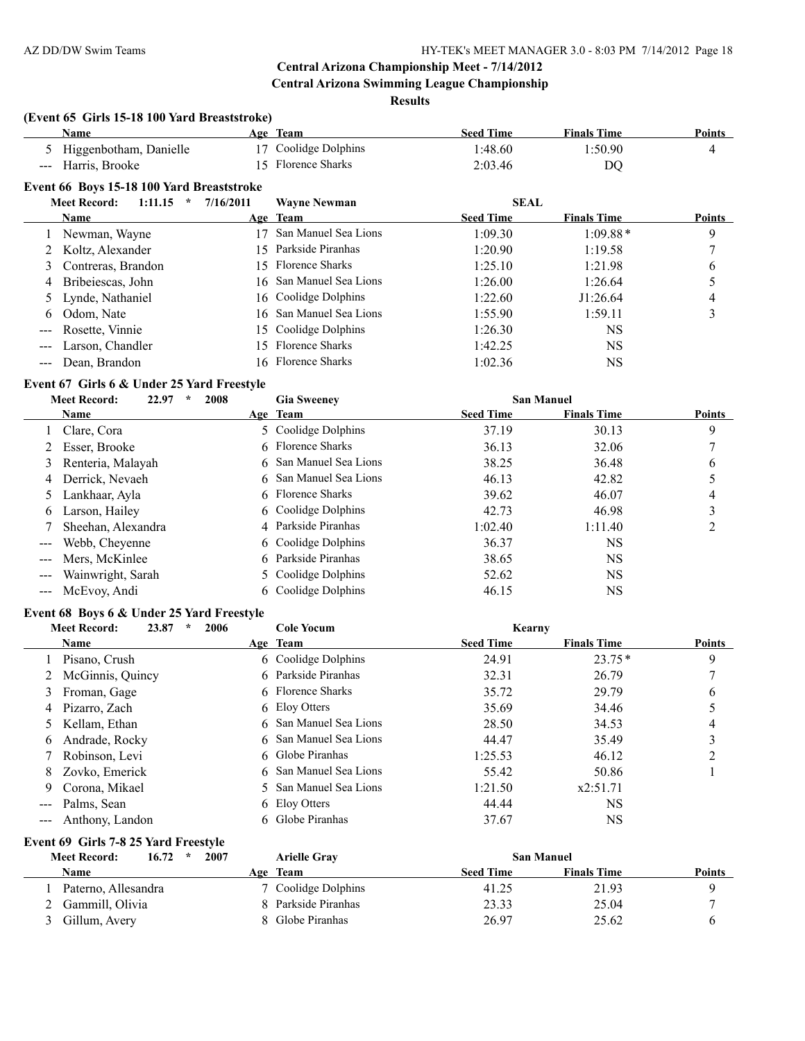#### **Results**

# **(Event 65 Girls 15-18 100 Yard Breaststroke)**

|                     | (Event 65 Girls 15-18 100 Yard Breaststroke) |                  |                         |                  |                    |               |
|---------------------|----------------------------------------------|------------------|-------------------------|------------------|--------------------|---------------|
|                     | <b>Name</b>                                  |                  | Age Team                | <b>Seed Time</b> | <b>Finals Time</b> | Points        |
| 5.                  | Higgenbotham, Danielle                       | 17               | Coolidge Dolphins       | 1:48.60          | 1:50.90            | 4             |
| $\qquad \qquad - -$ | Harris, Brooke                               | 15.              | <b>Florence Sharks</b>  | 2:03.46          | DQ                 |               |
|                     | Event 66 Boys 15-18 100 Yard Breaststroke    |                  |                         |                  |                    |               |
|                     | <b>Meet Record:</b><br>1:11.15<br>$\star$    | 7/16/2011        | <b>Wayne Newman</b>     | <b>SEAL</b>      |                    |               |
|                     | Name                                         |                  | Age Team                | <b>Seed Time</b> | <b>Finals Time</b> | <b>Points</b> |
|                     | Newman, Wayne                                | 17               | San Manuel Sea Lions    | 1:09.30          | $1:09.88*$         | 9             |
|                     | Koltz, Alexander                             | 15 <sup>15</sup> | Parkside Piranhas       | 1:20.90          | 1:19.58            |               |
| 3                   | Contreras, Brandon                           |                  | 15 Florence Sharks      | 1:25.10          | 1:21.98            | b             |
| 4                   | Bribeiescas, John                            |                  | 16 San Manuel Sea Lions | 1:26.00          | 1:26.64            |               |
| 5                   | Lynde, Nathaniel                             |                  | 16 Coolidge Dolphins    | 1:22.60          | J1:26.64           | 4             |
| 6                   | Odom, Nate                                   |                  | 16 San Manuel Sea Lions | 1:55.90          | 1:59.11            | 3             |
|                     | Rosette, Vinnie                              |                  | 15 Coolidge Dolphins    | 1:26.30          | <b>NS</b>          |               |
| $---$               | Larson, Chandler                             | 15.              | <b>Florence Sharks</b>  | 1:42.25          | NS.                |               |
|                     | Dean, Brandon                                |                  | 16 Florence Sharks      | 1:02.36          | <b>NS</b>          |               |
|                     |                                              |                  |                         |                  |                    |               |

# **Event 67 Girls 6 & Under 25 Yard Freestyle**

|   | <b>Meet Record:</b><br>22.97<br>2008<br>÷ | <b>Gia Sweeney</b>     |                  | <b>San Manuel</b>  |               |
|---|-------------------------------------------|------------------------|------------------|--------------------|---------------|
|   | <b>Name</b>                               | Age Team               | <b>Seed Time</b> | <b>Finals Time</b> | <b>Points</b> |
|   | Clare, Cora                               | 5 Coolidge Dolphins    | 37.19            | 30.13              | 9             |
|   | 2 Esser, Brooke                           | 6 Florence Sharks      | 36.13            | 32.06              |               |
|   | 3 Renteria, Malayah                       | 6 San Manuel Sea Lions | 38.25            | 36.48              | 6             |
|   | 4 Derrick, Nevaeh                         | 6 San Manuel Sea Lions | 46.13            | 42.82              |               |
|   | 5 Lankhaar, Ayla                          | 6 Florence Sharks      | 39.62            | 46.07              | 4             |
| 6 | Larson, Hailey                            | 6 Coolidge Dolphins    | 42.73            | 46.98              |               |
|   | Sheehan, Alexandra                        | 4 Parkside Piranhas    | 1:02.40          | 1:11.40            |               |
|   | Webb, Cheyenne                            | 6 Coolidge Dolphins    | 36.37            | NS                 |               |
|   | Mers, McKinlee                            | 6 Parkside Piranhas    | 38.65            | NS                 |               |
|   | Wainwright, Sarah                         | 5 Coolidge Dolphins    | 52.62            | NS                 |               |
|   | McEvov, Andi                              | 6 Coolidge Dolphins    | 46.15            | NS                 |               |

# **Event 68 Boys 6 & Under 25 Yard Freestyle**

|                     | <b>Meet Record:</b><br>23.87<br>2006<br>÷ | <b>Cole Yocum</b>      | Kearny           |                    |               |
|---------------------|-------------------------------------------|------------------------|------------------|--------------------|---------------|
|                     | Name                                      | Age Team               | <b>Seed Time</b> | <b>Finals Time</b> | <b>Points</b> |
|                     | Pisano, Crush                             | 6 Coolidge Dolphins    | 24.91            | $23.75*$           | 9             |
|                     | 2 McGinnis, Quincy                        | 6 Parkside Piranhas    | 32.31            | 26.79              |               |
|                     | 3 Froman, Gage                            | 6 Florence Sharks      | 35.72            | 29.79              | 6             |
| 4                   | Pizarro, Zach                             | 6 Eloy Otters          | 35.69            | 34.46              |               |
|                     | 5 Kellam, Ethan                           | 6 San Manuel Sea Lions | 28.50            | 34.53              | 4             |
| 6                   | Andrade, Rocky                            | 6 San Manuel Sea Lions | 44.47            | 35.49              |               |
|                     | 7 Robinson, Levi                          | 6 Globe Piranhas       | 1:25.53          | 46.12              |               |
| 8                   | Zovko, Emerick                            | 6 San Manuel Sea Lions | 55.42            | 50.86              |               |
| 9                   | Corona, Mikael                            | 5 San Manuel Sea Lions | 1:21.50          | x2:51.71           |               |
|                     | Palms, Sean                               | 6 Eloy Otters          | 44.44            | NS                 |               |
| $\qquad \qquad - -$ | Anthony, Landon                           | 6 Globe Piranhas       | 37.67            | NS.                |               |

#### **Event 69 Girls 7-8 25 Yard Freestyle**

| <b>Meet Record:</b><br>16.72 | 2007<br>$\star$ | <b>Arielle Gray</b> |                  | <b>San Manuel</b>  |        |
|------------------------------|-----------------|---------------------|------------------|--------------------|--------|
| Name                         | Age             | <b>Team</b>         | <b>Seed Time</b> | <b>Finals Time</b> | Points |
| Paterno, Allesandra          |                 | 7 Coolidge Dolphins | 41.25            | 21.93              |        |
| Gammill, Olivia              |                 | Parkside Piranhas   | 23.33            | 25.04              |        |
| Gillum, Avery                |                 | 8 Globe Piranhas    | 26.97            | 25.62              |        |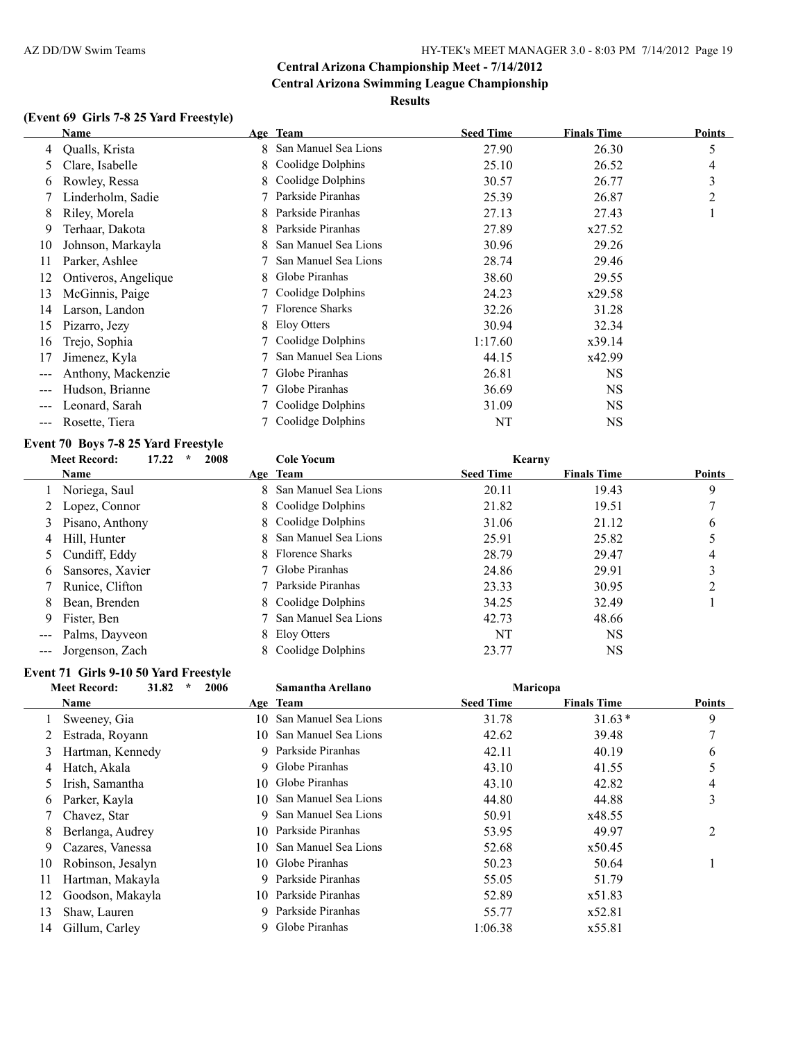# **(Event 69 Girls 7-8 25 Yard Freestyle)**

|     | Name                 |   | Age Team               | <b>Seed Time</b> | <b>Finals Time</b> | <b>Points</b> |
|-----|----------------------|---|------------------------|------------------|--------------------|---------------|
| 4   | Qualls, Krista       |   | 8 San Manuel Sea Lions | 27.90            | 26.30              | 5             |
| 5.  | Clare, Isabelle      |   | 8 Coolidge Dolphins    | 25.10            | 26.52              | 4             |
| 6   | Rowley, Ressa        | 8 | Coolidge Dolphins      | 30.57            | 26.77              | 3             |
|     | Linderholm, Sadie    |   | Parkside Piranhas      | 25.39            | 26.87              | 2             |
| 8   | Riley, Morela        | 8 | Parkside Piranhas      | 27.13            | 27.43              |               |
| 9   | Terhaar, Dakota      | 8 | Parkside Piranhas      | 27.89            | x27.52             |               |
| 10  | Johnson, Markayla    | 8 | San Manuel Sea Lions   | 30.96            | 29.26              |               |
| 11  | Parker, Ashlee       |   | San Manuel Sea Lions   | 28.74            | 29.46              |               |
| 12  | Ontiveros, Angelique | 8 | Globe Piranhas         | 38.60            | 29.55              |               |
| 13  | McGinnis, Paige      |   | Coolidge Dolphins      | 24.23            | x29.58             |               |
| 14  | Larson, Landon       |   | Florence Sharks        | 32.26            | 31.28              |               |
| 15  | Pizarro, Jezy        | 8 | Eloy Otters            | 30.94            | 32.34              |               |
| 16  | Trejo, Sophia        |   | Coolidge Dolphins      | 1:17.60          | x39.14             |               |
| 17  | Jimenez, Kyla        |   | San Manuel Sea Lions   | 44.15            | x42.99             |               |
|     | Anthony, Mackenzie   |   | Globe Piranhas         | 26.81            | <b>NS</b>          |               |
| --- | Hudson, Brianne      |   | Globe Piranhas         | 36.69            | <b>NS</b>          |               |
| --- | Leonard, Sarah       |   | Coolidge Dolphins      | 31.09            | <b>NS</b>          |               |
|     | Rosette, Tiera       |   | Coolidge Dolphins      | NT               | <b>NS</b>          |               |

# **Event 70 Boys 7-8 25 Yard Freestyle**

|                                                                                                                                                                                                                                                                                                                                                                                                                                                                            | <b>Meet Record:</b><br>17.22 | 2008 | <b>Cole Yocum</b>      | Kearny           |                    |        |
|----------------------------------------------------------------------------------------------------------------------------------------------------------------------------------------------------------------------------------------------------------------------------------------------------------------------------------------------------------------------------------------------------------------------------------------------------------------------------|------------------------------|------|------------------------|------------------|--------------------|--------|
|                                                                                                                                                                                                                                                                                                                                                                                                                                                                            | <b>Name</b>                  |      | Age Team               | <b>Seed Time</b> | <b>Finals Time</b> | Points |
|                                                                                                                                                                                                                                                                                                                                                                                                                                                                            | Noriega, Saul                |      | 8 San Manuel Sea Lions | 20.11            | 19.43              | 9      |
|                                                                                                                                                                                                                                                                                                                                                                                                                                                                            | 2 Lopez, Connor              |      | 8 Coolidge Dolphins    | 21.82            | 19.51              |        |
| 3                                                                                                                                                                                                                                                                                                                                                                                                                                                                          | Pisano, Anthony              |      | 8 Coolidge Dolphins    | 31.06            | 21.12              | 6      |
| 4                                                                                                                                                                                                                                                                                                                                                                                                                                                                          | Hill, Hunter                 |      | 8 San Manuel Sea Lions | 25.91            | 25.82              |        |
|                                                                                                                                                                                                                                                                                                                                                                                                                                                                            | 5 Cundiff, Eddy              |      | 8 Florence Sharks      | 28.79            | 29.47              | 4      |
| 6                                                                                                                                                                                                                                                                                                                                                                                                                                                                          | Sansores, Xavier             |      | 7 Globe Piranhas       | 24.86            | 29.91              |        |
|                                                                                                                                                                                                                                                                                                                                                                                                                                                                            | Runice, Clifton              |      | 7 Parkside Piranhas    | 23.33            | 30.95              |        |
| 8.                                                                                                                                                                                                                                                                                                                                                                                                                                                                         | Bean, Brenden                |      | 8 Coolidge Dolphins    | 34.25            | 32.49              |        |
| 9                                                                                                                                                                                                                                                                                                                                                                                                                                                                          | Fister, Ben                  |      | 7 San Manuel Sea Lions | 42.73            | 48.66              |        |
| $\qquad \qquad -$                                                                                                                                                                                                                                                                                                                                                                                                                                                          | Palms, Dayveon               |      | 8 Eloy Otters          | NT               | <b>NS</b>          |        |
| $\frac{1}{2} \left( \frac{1}{2} \right) \left( \frac{1}{2} \right) \left( \frac{1}{2} \right) \left( \frac{1}{2} \right) \left( \frac{1}{2} \right) \left( \frac{1}{2} \right) \left( \frac{1}{2} \right) \left( \frac{1}{2} \right) \left( \frac{1}{2} \right) \left( \frac{1}{2} \right) \left( \frac{1}{2} \right) \left( \frac{1}{2} \right) \left( \frac{1}{2} \right) \left( \frac{1}{2} \right) \left( \frac{1}{2} \right) \left( \frac{1}{2} \right) \left( \frac$ | Jorgenson, Zach              |      | 8 Coolidge Dolphins    | 23.77            | NS                 |        |

# **Event 71 Girls 9-10 50 Yard Freestyle**

|    | 31.82<br>$\star$<br><b>Meet Record:</b> | 2006 | Samantha Arellano    | Maricopa         |                    |               |
|----|-----------------------------------------|------|----------------------|------------------|--------------------|---------------|
|    | Name                                    |      | Age Team             | <b>Seed Time</b> | <b>Finals Time</b> | <b>Points</b> |
|    | Sweeney, Gia                            | 10   | San Manuel Sea Lions | 31.78            | $31.63*$           | 9             |
|    | Estrada, Royann                         | 10.  | San Manuel Sea Lions | 42.62            | 39.48              |               |
| 3  | Hartman, Kennedy                        |      | 9 Parkside Piranhas  | 42.11            | 40.19              | 6             |
| 4  | Hatch, Akala                            | 9.   | Globe Piranhas       | 43.10            | 41.55              |               |
| 5. | Irish, Samantha                         | 10.  | Globe Piranhas       | 43.10            | 42.82              | 4             |
| 6  | Parker, Kayla                           | 10   | San Manuel Sea Lions | 44.80            | 44.88              | 3             |
|    | Chavez, Star                            | 9.   | San Manuel Sea Lions | 50.91            | x48.55             |               |
| 8  | Berlanga, Audrey                        |      | 10 Parkside Piranhas | 53.95            | 49.97              | 2             |
| 9  | Cazares, Vanessa                        | 10   | San Manuel Sea Lions | 52.68            | x50.45             |               |
| 10 | Robinson, Jesalyn                       |      | 10 Globe Piranhas    | 50.23            | 50.64              |               |
| 11 | Hartman, Makayla                        |      | 9 Parkside Piranhas  | 55.05            | 51.79              |               |
| 12 | Goodson, Makayla                        | 10.  | Parkside Piranhas    | 52.89            | x51.83             |               |
| 13 | Shaw, Lauren                            |      | 9 Parkside Piranhas  | 55.77            | x52.81             |               |
| 14 | Gillum, Carley                          |      | Globe Piranhas       | 1:06.38          | x55.81             |               |
|    |                                         |      |                      |                  |                    |               |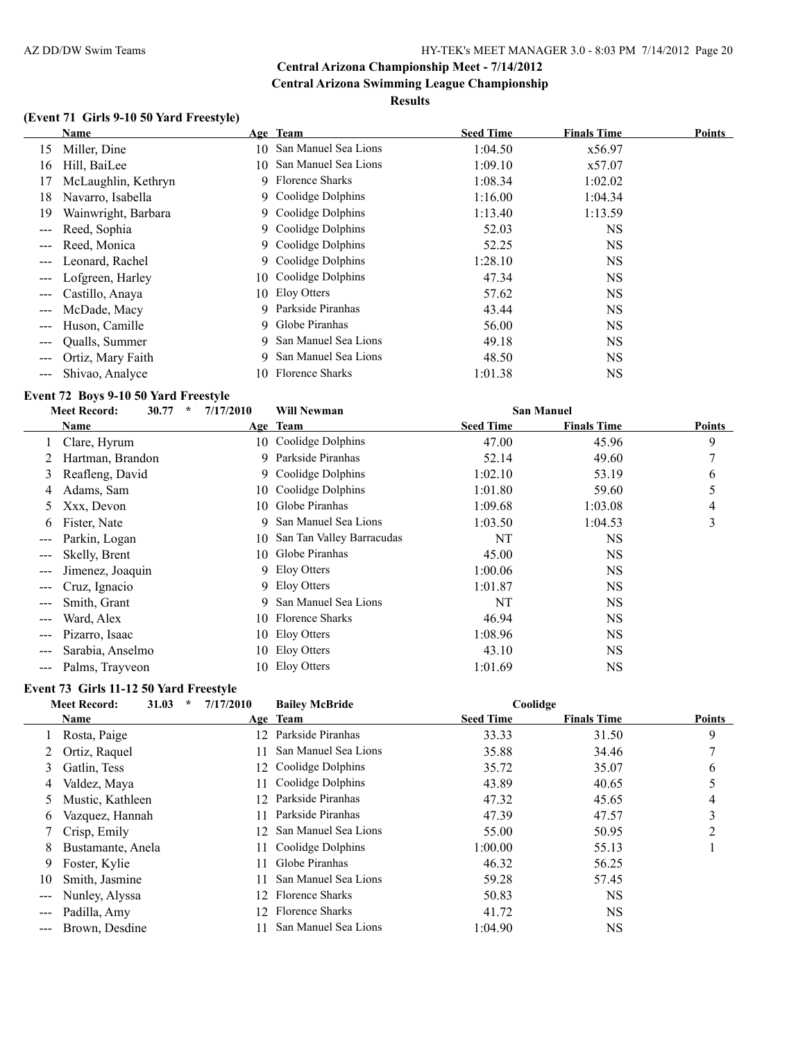#### **Results**

# **(Event 71 Girls 9-10 50 Yard Freestyle)**

|                   | Name                |     | Age Team               | <b>Seed Time</b> | <b>Finals Time</b> | Points |
|-------------------|---------------------|-----|------------------------|------------------|--------------------|--------|
| 15                | Miller, Dine        | 10- | San Manuel Sea Lions   | 1:04.50          | x56.97             |        |
| 16                | Hill, BaiLee        | 10. | San Manuel Sea Lions   | 1:09.10          | x57.07             |        |
| 17                | McLaughlin, Kethryn |     | 9 Florence Sharks      | 1:08.34          | 1:02.02            |        |
| 18                | Navarro, Isabella   |     | 9 Coolidge Dolphins    | 1:16.00          | 1:04.34            |        |
| 19                | Wainwright, Barbara |     | 9 Coolidge Dolphins    | 1:13.40          | 1:13.59            |        |
|                   | Reed, Sophia        | 9.  | Coolidge Dolphins      | 52.03            | <b>NS</b>          |        |
| $---$             | Reed, Monica        |     | 9 Coolidge Dolphins    | 52.25            | <b>NS</b>          |        |
| $---$             | Leonard, Rachel     |     | 9 Coolidge Dolphins    | 1:28.10          | <b>NS</b>          |        |
|                   | Lofgreen, Harley    | 10  | Coolidge Dolphins      | 47.34            | <b>NS</b>          |        |
| $---$             | Castillo, Anaya     |     | 10 Eloy Otters         | 57.62            | <b>NS</b>          |        |
|                   | McDade, Macy        | 9   | Parkside Piranhas      | 43.44            | <b>NS</b>          |        |
| ---               | Huson, Camille      | 9.  | Globe Piranhas         | 56.00            | <b>NS</b>          |        |
| $\qquad \qquad -$ | Qualls, Summer      | 9.  | San Manuel Sea Lions   | 49.18            | <b>NS</b>          |        |
|                   | Ortiz, Mary Faith   | 9   | San Manuel Sea Lions   | 48.50            | <b>NS</b>          |        |
|                   | Shivao, Analyce     | 10. | <b>Florence Sharks</b> | 1:01.38          | <b>NS</b>          |        |

#### **Event 72 Boys 9-10 50 Yard Freestyle**

|               | <b>Meet Record:</b><br>30.77 | $\ast$ | 7/17/2010 | <b>Will Newman</b>        |                  | <b>San Manuel</b>  |               |
|---------------|------------------------------|--------|-----------|---------------------------|------------------|--------------------|---------------|
|               | Name                         |        |           | Age Team                  | <b>Seed Time</b> | <b>Finals Time</b> | <b>Points</b> |
|               | Clare, Hyrum                 |        | 10-       | Coolidge Dolphins         | 47.00            | 45.96              | 9             |
|               | Hartman, Brandon             |        | 9         | Parkside Piranhas         | 52.14            | 49.60              | 7             |
| 3             | Reafleng, David              |        | 9.        | Coolidge Dolphins         | 1:02.10          | 53.19              | 6             |
| 4             | Adams, Sam                   |        | 10-       | Coolidge Dolphins         | 1:01.80          | 59.60              | 5             |
| 5             | Xxx, Devon                   |        | 10.       | Globe Piranhas            | 1:09.68          | 1:03.08            | 4             |
| 6             | Fister, Nate                 |        | 9.        | San Manuel Sea Lions      | 1:03.50          | 1:04.53            | 3             |
| ---           | Parkin, Logan                |        | 10-       | San Tan Valley Barracudas | NT               | NS                 |               |
|               | Skelly, Brent                |        | 10-       | Globe Piranhas            | 45.00            | <b>NS</b>          |               |
| $\frac{1}{2}$ | Jimenez, Joaquin             |        |           | 9 Eloy Otters             | 1:00.06          | NS                 |               |
| ---           | Cruz, Ignacio                |        |           | 9 Eloy Otters             | 1:01.87          | NS                 |               |
|               | Smith, Grant                 |        | 9.        | San Manuel Sea Lions      | NT               | <b>NS</b>          |               |
| ---           | Ward, Alex                   |        | 10-       | <b>Florence Sharks</b>    | 46.94            | <b>NS</b>          |               |
|               | Pizarro, Isaac               |        | 10.       | Eloy Otters               | 1:08.96          | <b>NS</b>          |               |
| ---           | Sarabia, Anselmo             |        | 10.       | Eloy Otters               | 43.10            | NS                 |               |
| ---           | Palms, Trayyeon              |        |           | 10 Eloy Otters            | 1:01.69          | NS                 |               |

# **Event 73 Girls 11-12 50 Yard Freestyle**

|                   | <b>Meet Record:</b> | 31.03<br>$\star$ | 7/17/2010        | <b>Bailey McBride</b>  | Coolidge         |                    |               |
|-------------------|---------------------|------------------|------------------|------------------------|------------------|--------------------|---------------|
|                   | Name                |                  |                  | Age Team               | <b>Seed Time</b> | <b>Finals Time</b> | <b>Points</b> |
|                   | Rosta, Paige        |                  | 12               | Parkside Piranhas      | 33.33            | 31.50              | 9             |
|                   | Ortiz, Raquel       |                  |                  | San Manuel Sea Lions   | 35.88            | 34.46              |               |
| 3                 | Gatlin, Tess        |                  | 12.              | Coolidge Dolphins      | 35.72            | 35.07              | 6             |
| 4                 | Valdez, Maya        |                  | 11               | Coolidge Dolphins      | 43.89            | 40.65              |               |
| 5                 | Mustic, Kathleen    |                  | 12.              | Parkside Piranhas      | 47.32            | 45.65              | 4             |
| 6                 | Vazquez, Hannah     |                  |                  | Parkside Piranhas      | 47.39            | 47.57              | 3             |
|                   | Crisp, Emily        |                  | 12.              | San Manuel Sea Lions   | 55.00            | 50.95              | 2             |
| 8                 | Bustamante, Anela   |                  | 11               | Coolidge Dolphins      | 1:00.00          | 55.13              |               |
| 9                 | Foster, Kylie       |                  | 11               | Globe Piranhas         | 46.32            | 56.25              |               |
| 10                | Smith, Jasmine      |                  | 11               | San Manuel Sea Lions   | 59.28            | 57.45              |               |
| $\qquad \qquad -$ | Nunley, Alyssa      |                  | 12 <sup>12</sup> | <b>Florence Sharks</b> | 50.83            | NS                 |               |
|                   | Padilla, Amy        |                  | $12 -$           | <b>Florence Sharks</b> | 41.72            | NS                 |               |
|                   | Brown, Desdine      |                  |                  | San Manuel Sea Lions   | 1:04.90          | NS                 |               |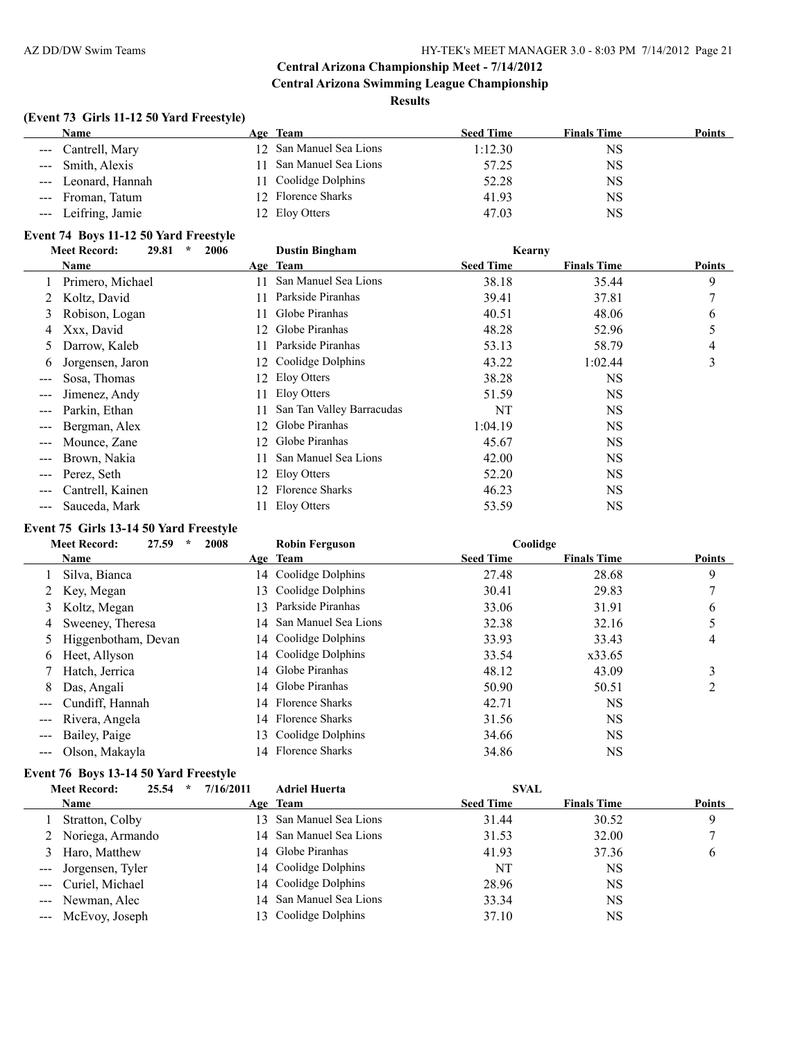# **(Event 73 Girls 11-12 50 Yard Freestyle)**

| Name                | Age Team                | <b>Seed Time</b> | <b>Finals Time</b> | Points |
|---------------------|-------------------------|------------------|--------------------|--------|
| --- Cantrell, Mary  | 12 San Manuel Sea Lions | 1:12.30          | NS                 |        |
| --- Smith, Alexis   | San Manuel Sea Lions    | 57.25            | NS                 |        |
| --- Leonard, Hannah | 11 Coolidge Dolphins    | 52.28            | NS                 |        |
| --- Froman, Tatum   | 12 Florence Sharks      | 41.93            | NS                 |        |
| --- Leifring, Jamie | 12 Eloy Otters          | 47.03            | NS                 |        |

#### **Event 74 Boys 11-12 50 Yard Freestyle**

|                        | 2006<br><b>Meet Record:</b><br>29.81<br>$\ast$ |     | <b>Dustin Bingham</b>     | Kearny           |                    |        |
|------------------------|------------------------------------------------|-----|---------------------------|------------------|--------------------|--------|
|                        | Name                                           |     | Age Team                  | <b>Seed Time</b> | <b>Finals Time</b> | Points |
|                        | Primero, Michael                               |     | San Manuel Sea Lions      | 38.18            | 35.44              | 9      |
| 2                      | Koltz, David                                   |     | Parkside Piranhas         | 39.41            | 37.81              | 7      |
| 3                      | Robison, Logan                                 | 11. | Globe Piranhas            | 40.51            | 48.06              | 6      |
| 4                      | Xxx, David                                     | 12. | Globe Piranhas            | 48.28            | 52.96              | 5      |
| $\mathcal{L}$          | Darrow, Kaleb                                  |     | Parkside Piranhas         | 53.13            | 58.79              | 4      |
| 6                      | Jorgensen, Jaron                               | 12  | Coolidge Dolphins         | 43.22            | 1:02.44            | 3      |
| $\qquad \qquad -$      | Sosa, Thomas                                   |     | 12 Eloy Otters            | 38.28            | <b>NS</b>          |        |
|                        | Jimenez, Andy                                  | 11  | Eloy Otters               | 51.59            | <b>NS</b>          |        |
| $\qquad \qquad \cdots$ | Parkin, Ethan                                  |     | San Tan Valley Barracudas | NT               | <b>NS</b>          |        |
|                        | Bergman, Alex                                  | 12  | Globe Piranhas            | 1:04.19          | <b>NS</b>          |        |
| $\qquad \qquad -$      | Mounce, Zane                                   | 12. | Globe Piranhas            | 45.67            | <b>NS</b>          |        |
|                        | Brown, Nakia                                   | 11  | San Manuel Sea Lions      | 42.00            | <b>NS</b>          |        |
| $\frac{1}{2}$          | Perez, Seth                                    | 12  | Eloy Otters               | 52.20            | <b>NS</b>          |        |
| ---                    | Cantrell, Kainen                               | 12. | Florence Sharks           | 46.23            | <b>NS</b>          |        |
| $\qquad \qquad \cdots$ | Sauceda, Mark                                  |     | Eloy Otters               | 53.59            | <b>NS</b>          |        |

# **Event 75 Girls 13-14 50 Yard Freestyle**

|                                                                                                                                                                                                                                                                                                                                                                                                                                                                            | 27.59<br><b>Meet Record:</b><br>2008<br>$\ast$ |     | <b>Robin Ferguson</b>   | Coolidge         |                    |               |
|----------------------------------------------------------------------------------------------------------------------------------------------------------------------------------------------------------------------------------------------------------------------------------------------------------------------------------------------------------------------------------------------------------------------------------------------------------------------------|------------------------------------------------|-----|-------------------------|------------------|--------------------|---------------|
|                                                                                                                                                                                                                                                                                                                                                                                                                                                                            | <b>Name</b>                                    |     | Age Team                | <b>Seed Time</b> | <b>Finals Time</b> | <b>Points</b> |
|                                                                                                                                                                                                                                                                                                                                                                                                                                                                            | Silva, Bianca                                  |     | 14 Coolidge Dolphins    | 27.48            | 28.68              | 9             |
|                                                                                                                                                                                                                                                                                                                                                                                                                                                                            | 2 Key, Megan                                   |     | 13 Coolidge Dolphins    | 30.41            | 29.83              |               |
| 3                                                                                                                                                                                                                                                                                                                                                                                                                                                                          | Koltz, Megan                                   | 13. | Parkside Piranhas       | 33.06            | 31.91              | 6             |
| 4                                                                                                                                                                                                                                                                                                                                                                                                                                                                          | Sweeney, Theresa                               |     | 14 San Manuel Sea Lions | 32.38            | 32.16              |               |
|                                                                                                                                                                                                                                                                                                                                                                                                                                                                            | Higgenbotham, Devan                            |     | 14 Coolidge Dolphins    | 33.93            | 33.43              | 4             |
| 6                                                                                                                                                                                                                                                                                                                                                                                                                                                                          | Heet, Allyson                                  |     | 14 Coolidge Dolphins    | 33.54            | x33.65             |               |
|                                                                                                                                                                                                                                                                                                                                                                                                                                                                            | Hatch, Jerrica                                 |     | 14 Globe Piranhas       | 48.12            | 43.09              | 3             |
| 8                                                                                                                                                                                                                                                                                                                                                                                                                                                                          | Das, Angali                                    |     | 14 Globe Piranhas       | 50.90            | 50.51              |               |
| $\qquad \qquad -$                                                                                                                                                                                                                                                                                                                                                                                                                                                          | Cundiff, Hannah                                |     | 14 Florence Sharks      | 42.71            | <b>NS</b>          |               |
| $\sim$ $\sim$ $\sim$                                                                                                                                                                                                                                                                                                                                                                                                                                                       | Rivera, Angela                                 |     | 14 Florence Sharks      | 31.56            | <b>NS</b>          |               |
| $\sim$ $\sim$ $\sim$                                                                                                                                                                                                                                                                                                                                                                                                                                                       | Bailey, Paige                                  |     | 13 Coolidge Dolphins    | 34.66            | <b>NS</b>          |               |
| $\frac{1}{2} \left( \frac{1}{2} \right) \left( \frac{1}{2} \right) \left( \frac{1}{2} \right) \left( \frac{1}{2} \right) \left( \frac{1}{2} \right) \left( \frac{1}{2} \right) \left( \frac{1}{2} \right) \left( \frac{1}{2} \right) \left( \frac{1}{2} \right) \left( \frac{1}{2} \right) \left( \frac{1}{2} \right) \left( \frac{1}{2} \right) \left( \frac{1}{2} \right) \left( \frac{1}{2} \right) \left( \frac{1}{2} \right) \left( \frac{1}{2} \right) \left( \frac$ | Olson, Makayla                                 |     | 14 Florence Sharks      | 34.86            | <b>NS</b>          |               |

# **Event 76 Boys 13-14 50 Yard Freestyle**

| 25.54<br><b>Meet Record:</b><br>$\star$ | 7/16/2011 | <b>Adriel Huerta</b>    | <b>SVAL</b>      |                    |               |
|-----------------------------------------|-----------|-------------------------|------------------|--------------------|---------------|
| Name                                    |           | Age Team                | <b>Seed Time</b> | <b>Finals Time</b> | <b>Points</b> |
| Stratton, Colby                         |           | 13 San Manuel Sea Lions | 31.44            | 30.52              | 9             |
| 2 Noriega, Armando                      |           | 14 San Manuel Sea Lions | 31.53            | 32.00              |               |
| 3 Haro, Matthew                         |           | 14 Globe Piranhas       | 41.93            | 37.36              | $\sigma$      |
| --- Jorgensen, Tyler                    |           | 14 Coolidge Dolphins    | NT               | NS                 |               |
| --- Curiel, Michael                     |           | 14 Coolidge Dolphins    | 28.96            | NS                 |               |
| --- Newman, Alec                        |           | 14 San Manuel Sea Lions | 33.34            | NS                 |               |
| --- McEvoy, Joseph                      |           | 13 Coolidge Dolphins    | 37.10            | NS                 |               |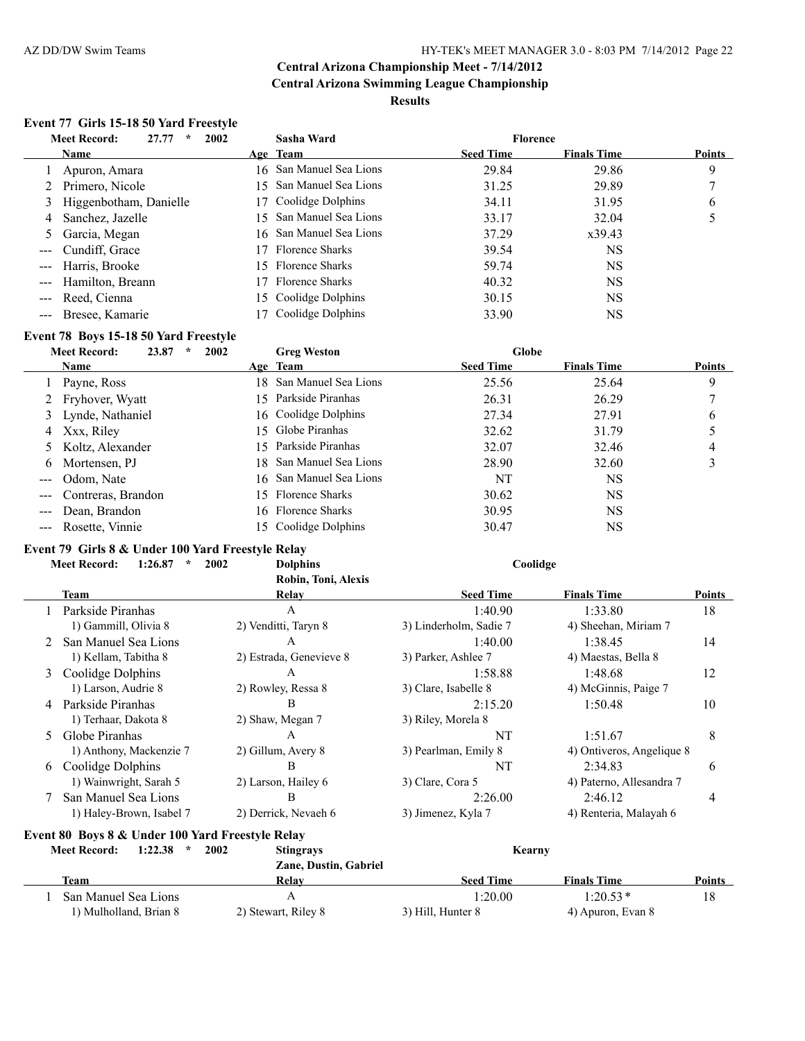# **Event 77 Girls 15-18 50 Yard Freestyle**

|   | <b>Meet Record:</b><br>27.77<br>$\star$ | 2002    | Sasha Ward              | <b>Florence</b>  |                    |               |
|---|-----------------------------------------|---------|-------------------------|------------------|--------------------|---------------|
|   | Name                                    |         | Age Team                | <b>Seed Time</b> | <b>Finals Time</b> | <b>Points</b> |
|   | Apuron, Amara                           |         | 16 San Manuel Sea Lions | 29.84            | 29.86              | 9             |
|   | 2 Primero, Nicole                       | I. 5. I | San Manuel Sea Lions    | 31.25            | 29.89              |               |
| 3 | Higgenbotham, Danielle                  |         | 17 Coolidge Dolphins    | 34.11            | 31.95              | 6             |
| 4 | Sanchez, Jazelle                        |         | 15 San Manuel Sea Lions | 33.17            | 32.04              |               |
|   | 5 Garcia, Megan                         |         | 16 San Manuel Sea Lions | 37.29            | x39.43             |               |
|   | --- Cundiff, Grace                      |         | 17 Florence Sharks      | 39.54            | NS                 |               |
|   | --- Harris, Brooke                      |         | 15 Florence Sharks      | 59.74            | <b>NS</b>          |               |
|   | Hamilton, Breann                        |         | 17 Florence Sharks      | 40.32            | <b>NS</b>          |               |
|   | --- Reed, Cienna                        |         | 15 Coolidge Dolphins    | 30.15            | <b>NS</b>          |               |
|   | --- Bresee, Kamarie                     |         | Coolidge Dolphins       | 33.90            | NS                 |               |

# **Event 78 Boys 15-18 50 Yard Freestyle**

|                                                                                                                                                                                                                                                                                                                                                                                                                                                                            | <b>Meet Record:</b><br>23.87<br>$\star$ | 2002 | <b>Greg Weston</b>      | Globe            |                    |               |
|----------------------------------------------------------------------------------------------------------------------------------------------------------------------------------------------------------------------------------------------------------------------------------------------------------------------------------------------------------------------------------------------------------------------------------------------------------------------------|-----------------------------------------|------|-------------------------|------------------|--------------------|---------------|
|                                                                                                                                                                                                                                                                                                                                                                                                                                                                            | Name                                    |      | Age Team                | <b>Seed Time</b> | <b>Finals Time</b> | <b>Points</b> |
|                                                                                                                                                                                                                                                                                                                                                                                                                                                                            | 1 Payne, Ross                           |      | 18 San Manuel Sea Lions | 25.56            | 25.64              | 9             |
|                                                                                                                                                                                                                                                                                                                                                                                                                                                                            | 2 Fryhover, Wyatt                       |      | 15 Parkside Piranhas    | 26.31            | 26.29              |               |
|                                                                                                                                                                                                                                                                                                                                                                                                                                                                            | 3 Lynde, Nathaniel                      |      | 16 Coolidge Dolphins    | 27.34            | 27.91              | 6             |
|                                                                                                                                                                                                                                                                                                                                                                                                                                                                            | 4 Xxx, Riley                            |      | 15 Globe Piranhas       | 32.62            | 31.79              |               |
|                                                                                                                                                                                                                                                                                                                                                                                                                                                                            | 5 Koltz, Alexander                      |      | 15 Parkside Piranhas    | 32.07            | 32.46              | 4             |
|                                                                                                                                                                                                                                                                                                                                                                                                                                                                            | 6 Mortensen, PJ                         |      | 18 San Manuel Sea Lions | 28.90            | 32.60              |               |
| $\qquad \qquad - -$                                                                                                                                                                                                                                                                                                                                                                                                                                                        | Odom, Nate                              |      | 16 San Manuel Sea Lions | NT               | NS                 |               |
| $\frac{1}{2} \left( \frac{1}{2} \right) \left( \frac{1}{2} \right) \left( \frac{1}{2} \right) \left( \frac{1}{2} \right) \left( \frac{1}{2} \right) \left( \frac{1}{2} \right) \left( \frac{1}{2} \right) \left( \frac{1}{2} \right) \left( \frac{1}{2} \right) \left( \frac{1}{2} \right) \left( \frac{1}{2} \right) \left( \frac{1}{2} \right) \left( \frac{1}{2} \right) \left( \frac{1}{2} \right) \left( \frac{1}{2} \right) \left( \frac{1}{2} \right) \left( \frac$ | Contreras, Brandon                      |      | 15 Florence Sharks      | 30.62            | NS                 |               |
|                                                                                                                                                                                                                                                                                                                                                                                                                                                                            | Dean, Brandon                           |      | 16 Florence Sharks      | 30.95            | NS                 |               |
|                                                                                                                                                                                                                                                                                                                                                                                                                                                                            | --- Rosette, Vinnie                     |      | 15 Coolidge Dolphins    | 30.47            | NS                 |               |

#### **Event 79 Girls 8 & Under 100 Yard Freestyle Relay**

|    | <b>Meet Record:</b><br>1:26.87<br>$\star$ | 2002<br><b>Dolphins</b> | Coolidge               |                           |        |
|----|-------------------------------------------|-------------------------|------------------------|---------------------------|--------|
|    |                                           | Robin, Toni, Alexis     |                        |                           |        |
|    | Team                                      | Relav                   | <b>Seed Time</b>       | <b>Finals Time</b>        | Points |
|    | Parkside Piranhas                         | A                       | 1:40.90                | 1:33.80                   | 18     |
|    | 1) Gammill, Olivia 8                      | 2) Venditti, Taryn 8    | 3) Linderholm, Sadie 7 | 4) Sheehan, Miriam 7      |        |
| 2  | San Manuel Sea Lions                      | А                       | 1:40.00                | 1:38.45                   | 14     |
|    | 1) Kellam, Tabitha 8                      | 2) Estrada, Genevieve 8 | 3) Parker, Ashlee 7    | 4) Maestas, Bella 8       |        |
| 3  | Coolidge Dolphins                         | А                       | 1:58.88                | 1:48.68                   | 12     |
|    | 1) Larson, Audrie 8                       | 2) Rowley, Ressa 8      | 3) Clare, Isabelle 8   | 4) McGinnis, Paige 7      |        |
| 4  | Parkside Piranhas                         | B                       | 2:15.20                | 1:50.48                   | 10     |
|    | 1) Terhaar, Dakota 8                      | 2) Shaw, Megan 7        | 3) Riley, Morela 8     |                           |        |
| 5. | Globe Piranhas                            | A                       | NT                     | 1:51.67                   | 8      |
|    | 1) Anthony, Mackenzie 7                   | 2) Gillum, Avery 8      | 3) Pearlman, Emily 8   | 4) Ontiveros, Angelique 8 |        |
| 6  | Coolidge Dolphins                         | B                       | NT                     | 2:34.83                   | 6      |
|    | 1) Wainwright, Sarah 5                    | 2) Larson, Hailey 6     | 3) Clare, Cora 5       | 4) Paterno, Allesandra 7  |        |
|    | San Manuel Sea Lions                      | B                       | 2:26.00                | 2:46.12                   | 4      |
|    | 1) Haley-Brown, Isabel 7                  | 2) Derrick, Nevaeh 6    | 3) Jimenez, Kyla 7     | 4) Renteria, Malayah 6    |        |

# **Event 80 Boys 8 & Under 100 Yard Freestyle Relay**

| 1:22.38<br><b>Meet Record:</b><br>$\star$ | 2002<br><b>Stingrays</b> | Kearny            |                    |               |
|-------------------------------------------|--------------------------|-------------------|--------------------|---------------|
|                                           | Zane, Dustin, Gabriel    |                   |                    |               |
| <b>Team</b>                               | <b>Relav</b>             | <b>Seed Time</b>  | <b>Finals Time</b> | <b>Points</b> |
| San Manuel Sea Lions                      |                          | 1:20.00           | $1:20.53*$         | 18            |
| 1) Mulholland, Brian 8                    | 2) Stewart, Riley 8      | 3) Hill, Hunter 8 | 4) Apuron, Evan 8  |               |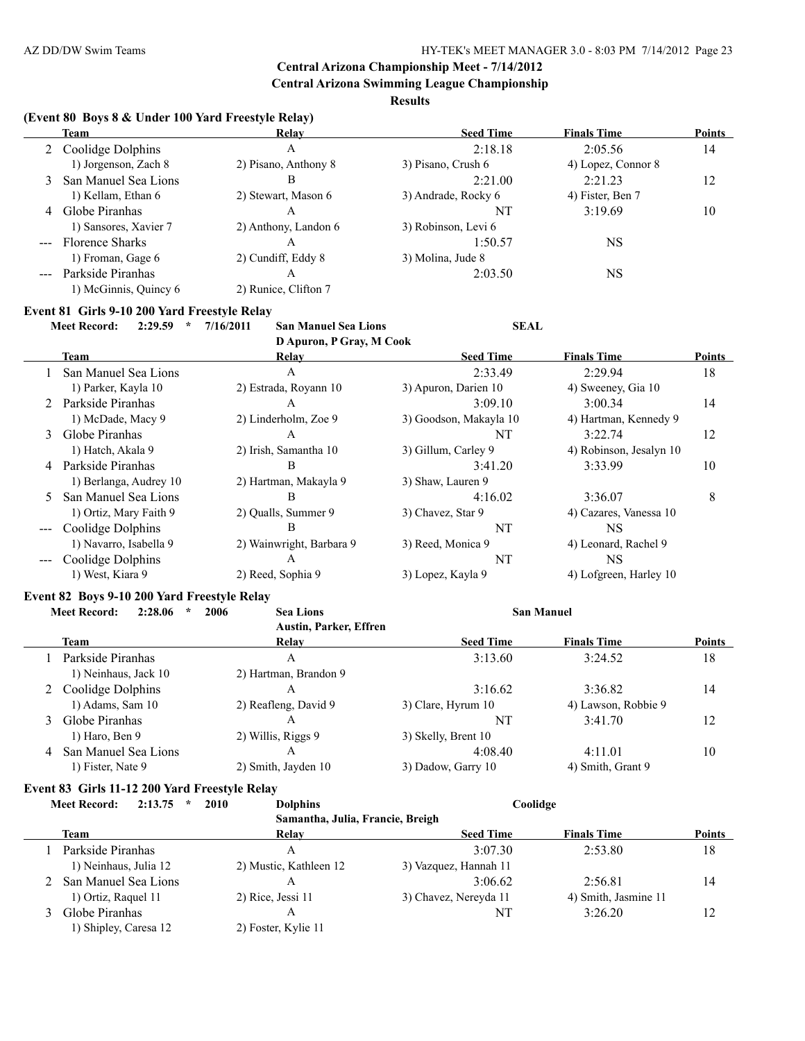**Central Arizona Swimming League Championship**

**Results**

#### **(Event 80 Boys 8 & Under 100 Yard Freestyle Relay)**

|                                                                                                                                                                                                                                                                                                                                                                                              | Team                  | Relay                | <b>Seed Time</b>    | <b>Finals Time</b> | <b>Points</b> |
|----------------------------------------------------------------------------------------------------------------------------------------------------------------------------------------------------------------------------------------------------------------------------------------------------------------------------------------------------------------------------------------------|-----------------------|----------------------|---------------------|--------------------|---------------|
|                                                                                                                                                                                                                                                                                                                                                                                              | Coolidge Dolphins     | A                    | 2:18.18             | 2:05.56            | 14            |
|                                                                                                                                                                                                                                                                                                                                                                                              | 1) Jorgenson, Zach 8  | 2) Pisano, Anthony 8 | 3) Pisano, Crush 6  | 4) Lopez, Connor 8 |               |
|                                                                                                                                                                                                                                                                                                                                                                                              | San Manuel Sea Lions  | В                    | 2:21.00             | 2:21.23            | 12            |
|                                                                                                                                                                                                                                                                                                                                                                                              | 1) Kellam, Ethan 6    | 2) Stewart, Mason 6  | 3) Andrade, Rocky 6 | 4) Fister, Ben 7   |               |
| 4                                                                                                                                                                                                                                                                                                                                                                                            | Globe Piranhas        | A                    | NT                  | 3:19.69            | 10            |
|                                                                                                                                                                                                                                                                                                                                                                                              | 1) Sansores, Xavier 7 | 2) Anthony, Landon 6 | 3) Robinson, Levi 6 |                    |               |
| $\frac{1}{2} \frac{1}{2} \frac{1}{2} \frac{1}{2} \frac{1}{2} \frac{1}{2} \frac{1}{2} \frac{1}{2} \frac{1}{2} \frac{1}{2} \frac{1}{2} \frac{1}{2} \frac{1}{2} \frac{1}{2} \frac{1}{2} \frac{1}{2} \frac{1}{2} \frac{1}{2} \frac{1}{2} \frac{1}{2} \frac{1}{2} \frac{1}{2} \frac{1}{2} \frac{1}{2} \frac{1}{2} \frac{1}{2} \frac{1}{2} \frac{1}{2} \frac{1}{2} \frac{1}{2} \frac{1}{2} \frac{$ | Florence Sharks       | A                    | 1:50.57             | NS                 |               |
|                                                                                                                                                                                                                                                                                                                                                                                              | 1) Froman, Gage 6     | 2) Cundiff, Eddy 8   | 3) Molina, Jude 8   |                    |               |
|                                                                                                                                                                                                                                                                                                                                                                                              | Parkside Piranhas     | A                    | 2:03.50             | <b>NS</b>          |               |
|                                                                                                                                                                                                                                                                                                                                                                                              | 1) McGinnis, Quincy 6 | 2) Runice, Clifton 7 |                     |                    |               |

# **Event 81 Girls 9-10 200 Yard Freestyle Relay**

**Meet Record: 2:29.59 \* 7/16/2011 San Manuel Sea Lions SEAL**

**D Apuron, P Gray, M Cook**

|    |                        | $\sim$                   |                        |                         |               |
|----|------------------------|--------------------------|------------------------|-------------------------|---------------|
|    | Team                   | Relay                    | <b>Seed Time</b>       | <b>Finals Time</b>      | <b>Points</b> |
|    | San Manuel Sea Lions   | A                        | 2:33.49                | 2:29.94                 | 18            |
|    | 1) Parker, Kayla 10    | 2) Estrada, Royann 10    | 3) Apuron, Darien 10   | 4) Sweeney, Gia 10      |               |
| 2  | Parkside Piranhas      | A                        | 3:09.10                | 3:00.34                 | 14            |
|    | 1) McDade, Macy 9      | 2) Linderholm, Zoe 9     | 3) Goodson, Makayla 10 | 4) Hartman, Kennedy 9   |               |
| 3  | Globe Piranhas         | A                        | NT                     | 3:22.74                 | 12            |
|    | 1) Hatch, Akala 9      | 2) Irish, Samantha 10    | 3) Gillum, Carley 9    | 4) Robinson, Jesalyn 10 |               |
| 4  | Parkside Piranhas      | В                        | 3:41.20                | 3:33.99                 | 10            |
|    | 1) Berlanga, Audrey 10 | 2) Hartman, Makayla 9    | 3) Shaw, Lauren 9      |                         |               |
| 5. | San Manuel Sea Lions   | B                        | 4:16.02                | 3:36.07                 | 8             |
|    | 1) Ortiz, Mary Faith 9 | 2) Oualls, Summer 9      | 3) Chavez, Star 9      | 4) Cazares, Vanessa 10  |               |
|    | Coolidge Dolphins      | В                        | NT                     | NS.                     |               |
|    | 1) Navarro, Isabella 9 | 2) Wainwright, Barbara 9 | 3) Reed, Monica 9      | 4) Leonard, Rachel 9    |               |
|    | Coolidge Dolphins      | A                        | NT                     | NS                      |               |
|    | 1) West, Kiara 9       | 2) Reed, Sophia 9        | 3) Lopez, Kayla 9      | 4) Lofgreen, Harley 10  |               |

#### **Event 82 Boys 9-10 200 Yard Freestyle Relay**

|   | 2:28.06<br><b>Meet Record:</b><br>$\star$ | 2006<br><b>Sea Lions</b>      | <b>San Manuel</b>   |                     |               |
|---|-------------------------------------------|-------------------------------|---------------------|---------------------|---------------|
|   |                                           | <b>Austin, Parker, Effren</b> |                     |                     |               |
|   | <b>Team</b>                               | Relay                         | <b>Seed Time</b>    | <b>Finals Time</b>  | <b>Points</b> |
|   | Parkside Piranhas                         | A                             | 3:13.60             | 3:24.52             | 18            |
|   | 1) Neinhaus, Jack 10                      | 2) Hartman, Brandon 9         |                     |                     |               |
|   | Coolidge Dolphins                         | A                             | 3:16.62             | 3:36.82             | 14            |
|   | $1)$ Adams, Sam $10$                      | 2) Reafleng, David 9          | 3) Clare, Hyrum 10  | 4) Lawson, Robbie 9 |               |
| 3 | Globe Piranhas                            | A                             | NT                  | 3:41.70             | 12            |
|   | $1)$ Haro, Ben 9                          | 2) Willis, Riggs 9            | 3) Skelly, Brent 10 |                     |               |
| 4 | San Manuel Sea Lions                      | A                             | 4:08.40             | 4:11.01             | 10            |
|   | 1) Fister, Nate 9                         | 2) Smith, Jayden 10           | 3) Dadow, Garry 10  | 4) Smith, Grant 9   |               |

#### **Event 83 Girls 11-12 200 Yard Freestyle Relay Meet Record: 2:13.75 \* 2010 Dolphins Coolidge**

|                        | ----<br>$\sim$ 0.11.11.11.11     | $\sim$                |                      |               |
|------------------------|----------------------------------|-----------------------|----------------------|---------------|
|                        | Samantha, Julia, Francie, Breigh |                       |                      |               |
| Team                   | Relay                            | <b>Seed Time</b>      | <b>Finals Time</b>   | <b>Points</b> |
| Parkside Piranhas      | Α                                | 3.0730                | 2:53.80              | 18            |
| 1) Neinhaus, Julia 12  | 2) Mustic, Kathleen 12           | 3) Vazquez, Hannah 11 |                      |               |
| 2 San Manuel Sea Lions | Α                                | 3:06.62               | 2:56.81              | 14            |
| 1) Ortiz, Raquel 11    | 2) Rice, Jessi 11                | 3) Chavez, Nereyda 11 | 4) Smith, Jasmine 11 |               |
| Globe Piranhas         | Α                                | NT                    | 3:26.20              | 12            |
| 1) Shipley, Caresa 12  | 2) Foster, Kylie 11              |                       |                      |               |
|                        |                                  |                       |                      |               |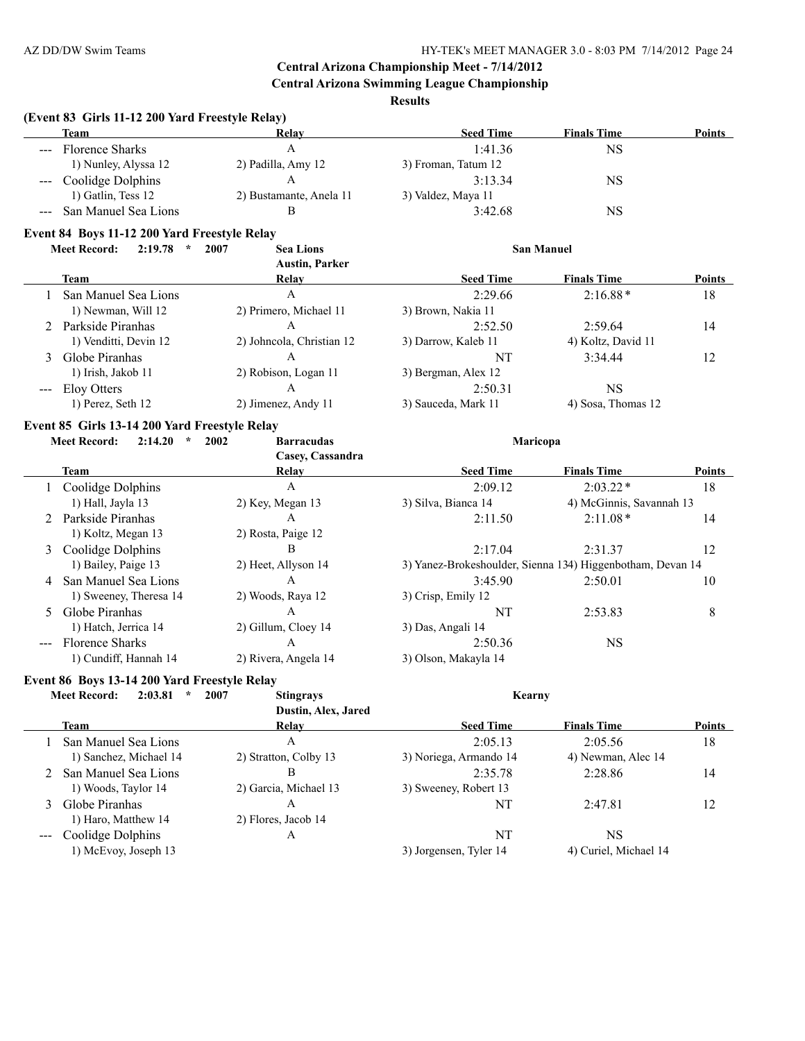**Central Arizona Swimming League Championship**

**Results**

#### **(Event 83 Girls 11-12 200 Yard Freestyle Relay)**

|                                                                                                                                                                                                                                                                                                                                                                                                                                                                            | <b>Team</b>            | Relay                   | <b>Seed Time</b>    | <b>Finals Time</b> | <b>Points</b> |
|----------------------------------------------------------------------------------------------------------------------------------------------------------------------------------------------------------------------------------------------------------------------------------------------------------------------------------------------------------------------------------------------------------------------------------------------------------------------------|------------------------|-------------------------|---------------------|--------------------|---------------|
| $---$                                                                                                                                                                                                                                                                                                                                                                                                                                                                      | <b>Florence Sharks</b> |                         | 1:41.36             | NS                 |               |
|                                                                                                                                                                                                                                                                                                                                                                                                                                                                            | 1) Nunley, Alyssa 12   | 2) Padilla, Amy 12      | 3) Froman, Tatum 12 |                    |               |
| $\frac{1}{2} \left( \frac{1}{2} \right) \left( \frac{1}{2} \right) \left( \frac{1}{2} \right) \left( \frac{1}{2} \right) \left( \frac{1}{2} \right) \left( \frac{1}{2} \right) \left( \frac{1}{2} \right) \left( \frac{1}{2} \right) \left( \frac{1}{2} \right) \left( \frac{1}{2} \right) \left( \frac{1}{2} \right) \left( \frac{1}{2} \right) \left( \frac{1}{2} \right) \left( \frac{1}{2} \right) \left( \frac{1}{2} \right) \left( \frac{1}{2} \right) \left( \frac$ | Coolidge Dolphins      |                         | 3.13.34             | NS                 |               |
|                                                                                                                                                                                                                                                                                                                                                                                                                                                                            | 1) Gatlin, Tess 12     | 2) Bustamante, Anela 11 | 3) Valdez, Maya 11  |                    |               |
|                                                                                                                                                                                                                                                                                                                                                                                                                                                                            | San Manuel Sea Lions   |                         | 3:42.68             | NS                 |               |

# **Event 84 Boys 11-12 200 Yard Freestyle Relay**

|   | 2:19.78<br><b>Meet Record:</b><br>$\star$ | 2007<br><b>Sea Lions</b><br><b>Austin, Parker</b> |                     | <b>San Manuel</b>  |               |
|---|-------------------------------------------|---------------------------------------------------|---------------------|--------------------|---------------|
|   | <b>Team</b>                               | Relav                                             | <b>Seed Time</b>    | <b>Finals Time</b> | <b>Points</b> |
|   | San Manuel Sea Lions                      | A                                                 | 2:29.66             | $2:16.88*$         | 18            |
|   | 1) Newman, Will 12                        | 2) Primero, Michael 11                            | 3) Brown, Nakia 11  |                    |               |
|   | Parkside Piranhas                         | A                                                 | 2:52.50             | 2:59.64            | 14            |
|   | 1) Venditti, Devin 12                     | 2) Johncola, Christian 12                         | 3) Darrow, Kaleb 11 | 4) Koltz, David 11 |               |
| 3 | Globe Piranhas                            | A                                                 | NT                  | 3:34.44            | 12            |
|   | 1) Irish, Jakob 11                        | 2) Robison, Logan 11                              | 3) Bergman, Alex 12 |                    |               |
|   | Eloy Otters                               | A                                                 | 2:50.31             | NS                 |               |
|   | 1) Perez, Seth 12                         | 2) Jimenez, Andy 11                               | 3) Sauceda, Mark 11 | 4) Sosa, Thomas 12 |               |

#### **Event 85 Girls 13-14 200 Yard Freestyle Relay**

| 2:14.20<br><b>Meet Record:</b><br>$\star$ | 2002<br><b>Barracudas</b> | Maricopa                                                   |                          |               |
|-------------------------------------------|---------------------------|------------------------------------------------------------|--------------------------|---------------|
|                                           | Casey, Cassandra          |                                                            |                          |               |
| Team                                      | Relay                     | <b>Seed Time</b>                                           | <b>Finals Time</b>       | <b>Points</b> |
| Coolidge Dolphins                         | A                         | 2:09.12                                                    | $2:03.22*$               | 18            |
| 1) Hall, Jayla 13                         | 2) Key, Megan 13          | 3) Silva, Bianca 14                                        | 4) McGinnis, Savannah 13 |               |
| 2 Parkside Piranhas                       | A                         | 2:11.50                                                    | $2:11.08*$               | 14            |
| 1) Koltz, Megan 13                        | 2) Rosta, Paige 12        |                                                            |                          |               |
| 3 Coolidge Dolphins                       | B                         | 2:17.04                                                    | 2:31.37                  | 12            |
| 1) Bailey, Paige 13                       | 2) Heet, Allyson 14       | 3) Yanez-Brokeshoulder, Sienna 134) Higgenbotham, Devan 14 |                          |               |
| 4 San Manuel Sea Lions                    | A                         | 3:45.90                                                    | 2:50.01                  | 10            |
| 1) Sweeney, Theresa 14                    | 2) Woods, Raya 12         | 3) Crisp, Emily 12                                         |                          |               |
| 5 Globe Piranhas                          | А                         | NT                                                         | 2:53.83                  | 8             |
| 1) Hatch, Jerrica 14                      | 2) Gillum, Cloey 14       | 3) Das, Angali 14                                          |                          |               |
| <b>Florence Sharks</b>                    | A                         | 2:50.36                                                    | <b>NS</b>                |               |
| 1) Cundiff, Hannah 14                     | 2) Rivera, Angela 14      | 3) Olson, Makayla 14                                       |                          |               |

#### **Event 86 Boys 13-14 200 Yard Freestyle Relay**

| <b>Meet Record:</b><br>2:03.81<br>$\star$ | 2007<br><b>Stingrays</b> | Kearny                 |                       |               |
|-------------------------------------------|--------------------------|------------------------|-----------------------|---------------|
|                                           | Dustin, Alex, Jared      |                        |                       |               |
| Team                                      | <b>Relav</b>             | <b>Seed Time</b>       | <b>Finals Time</b>    | <b>Points</b> |
| San Manuel Sea Lions                      | А                        | 2:05.13                | 2:05.56               | 18            |
| 1) Sanchez, Michael 14                    | 2) Stratton, Colby 13    | 3) Noriega, Armando 14 | 4) Newman, Alec 14    |               |
| 2 San Manuel Sea Lions                    | В                        | 2:35.78                | 2:28.86               | 14            |
| 1) Woods, Taylor 14                       | 2) Garcia, Michael 13    | 3) Sweeney, Robert 13  |                       |               |
| 3 Globe Piranhas                          | Α                        | NT                     | 2:47.81               | 12            |
| 1) Haro, Matthew 14                       | 2) Flores, Jacob 14      |                        |                       |               |
| Coolidge Dolphins                         | Α                        | NT                     | NS                    |               |
| 1) McEvoy, Joseph 13                      |                          | 3) Jorgensen, Tyler 14 | 4) Curiel, Michael 14 |               |